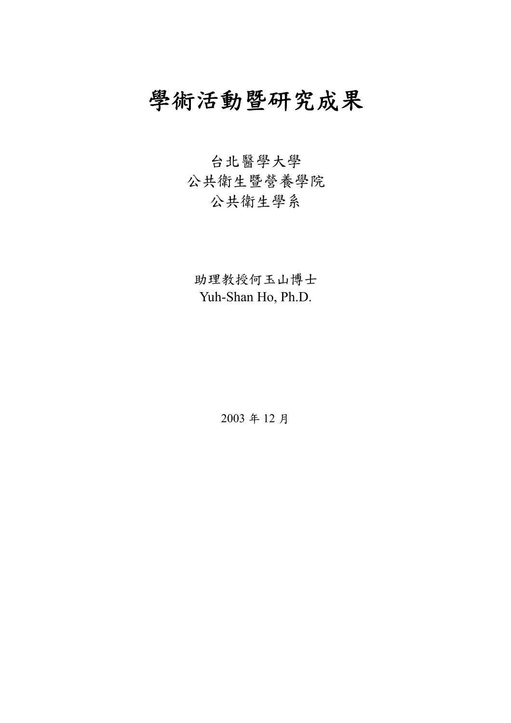# 學術活動暨研究成果

# 台北醫學大學 公共衛生暨營養學院 公共衛生學系

助理教授何玉山博士 Yuh-Shan Ho, Ph.D.

2003 年 12 月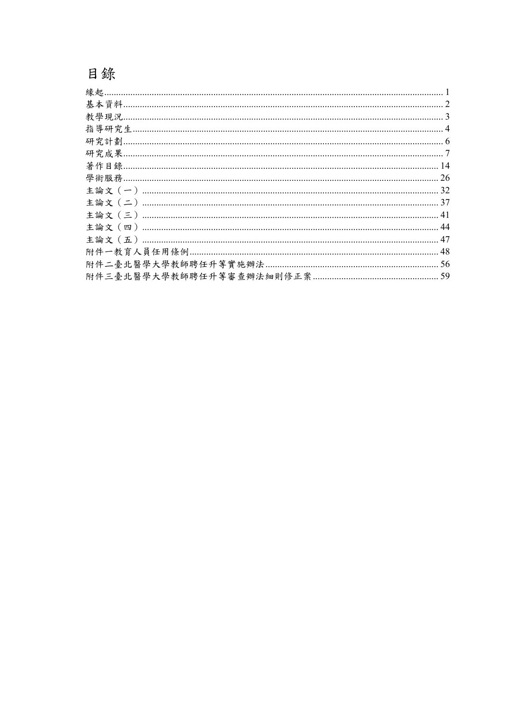# 目錄

| 3   |
|-----|
|     |
|     |
|     |
|     |
| 26  |
| 32  |
|     |
| .41 |
| 44  |
|     |
|     |
| 56  |
| 59  |
|     |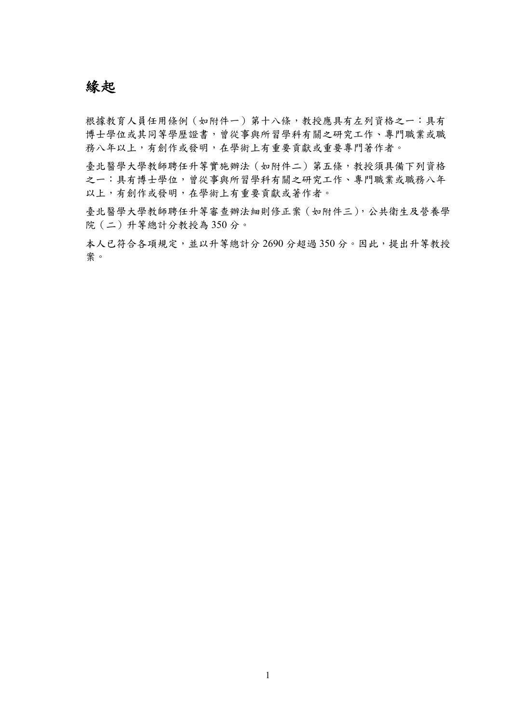### 緣起

根據教育人員任用條例(如附件一)第十八條,教授應具有左列資格之一:具有 博士學位或其同等學歷證書,曾從事與所習學科有關之研究工作、專門職業或職 務八年以上,有創作或發明,在學術上有重要貢獻或重要專門著作者。

臺北醫學大學教師聘任升等實施辦法(如附件二)第五條,教授須具備下列資格 之一:具有博士學位,曾從事與所習學科有關之研究工作、專門職業或職務八年 以上,有創作或發明,在學術上有重要貢獻或著作者。

臺北醫學大學教師聘任升等審查辦法細則修正案(如附件三),公共衛生及營養學 院(二)升等總計分教授為 350 分。

本人已符合各項規定,並以升等總計分 2690 分超過 350 分。因此,提出升等教授 案。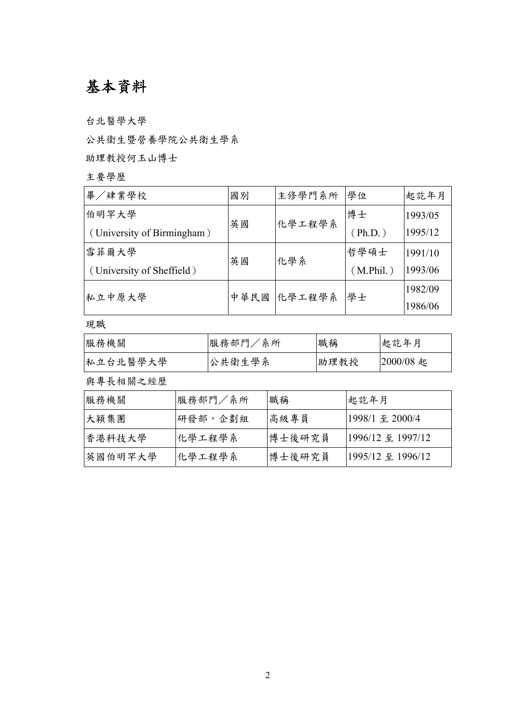## 基本資料

台北醫學大學

公共衛生暨營養學院公共衛生學系

助理教授何玉山博士

主要學歷

| 畢/肄業學校                     | 國別   | 主修學門系所 | 學位        | 起訖年月    |
|----------------------------|------|--------|-----------|---------|
| 伯明罕大學                      | 英國   | 化學工程學系 | 博士        | 1993/05 |
| (University of Birmingham) |      |        | (Ph.D.)   | 1995/12 |
| 雪菲爾大學                      | 英國   | 化學系    | 哲學碩士      | 1991/10 |
| (University of Sheffield)  |      |        | (M.Phil.) | 1993/06 |
| 私立中原大學                     | 中華民國 | 化學工程學系 | 學士        | 1982/09 |
|                            |      |        |           | 1986/06 |

現職

| 服務機關     | 服務部門/系所 | 職稱   | 起訖年月        |
|----------|---------|------|-------------|
| 私立台北醫學大學 | 公共衛生學系  | 助理教授 | $2000/08$ 起 |

與專長相關之經歷

| 服務機關    | 服務部門/系所 | 職稱     | 起訖年月              |
|---------|---------|--------|-------------------|
| 大穎集團    | 研發部,企劃組 | 高級專員   | 1998/1 至 2000/4   |
| 香港科技大學  | 化學工程學系  | 博士後研究員 | 1996/12 至 1997/12 |
| 英國伯明罕大學 | 化學工程學系  | 博士後研究員 | 1995/12 至 1996/12 |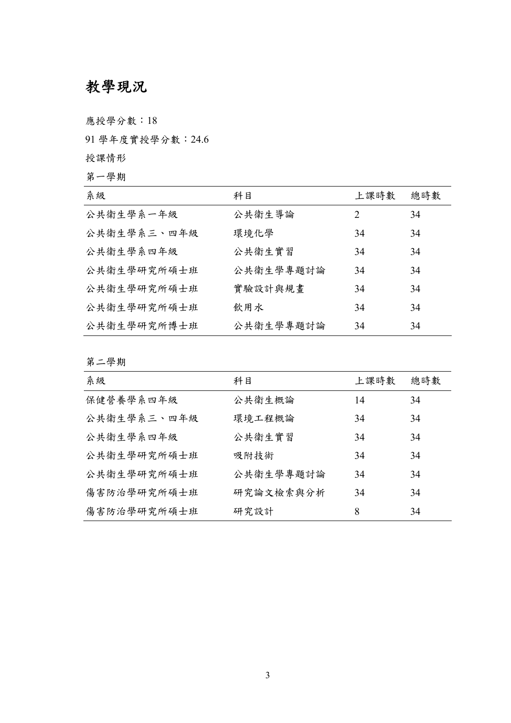# 教學現況

應授學分數:18

91 學年度實授學分數:24.6

授課情形

第一學期

| 系級          | 科目        | 上課時數                        | 總時數 |
|-------------|-----------|-----------------------------|-----|
| 公共衛生學系一年級   | 公共衛生導論    | $\mathcal{D}_{\mathcal{L}}$ | 34  |
| 公共衛生學系三、四年級 | 環境化學      | 34                          | 34  |
| 公共衛生學系四年級   | 公共衛生實習    | 34                          | 34  |
| 公共衛生學研究所碩士班 | 公共衛生學專題討論 | 34                          | 34  |
| 公共衛生學研究所碩士班 | 實驗設計與規畫   | 34                          | 34  |
| 公共衛生學研究所碩士班 | 飲用水       | 34                          | 34  |
| 公共衛生學研究所博士班 | 公共衛生學專題討論 | 34                          | 34  |

第二學期

| 系級          | 科目        | 上課時數 | 總時數 |
|-------------|-----------|------|-----|
| 保健營養學系四年級   | 公共衛生概論    | 14   | 34  |
| 公共衛生學系三、四年級 | 環境工程概論    | 34   | 34  |
| 公共衛生學系四年級   | 公共衛生實習    | 34   | 34  |
| 公共衛生學研究所碩士班 | 吸附技術      | 34   | 34  |
| 公共衛生學研究所碩士班 | 公共衛生學專題討論 | 34   | 34  |
| 傷害防治學研究所碩士班 | 研究論文檢索與分析 | 34   | 34  |
| 傷害防治學研究所碩士班 | 研究設計      | 8    | 34  |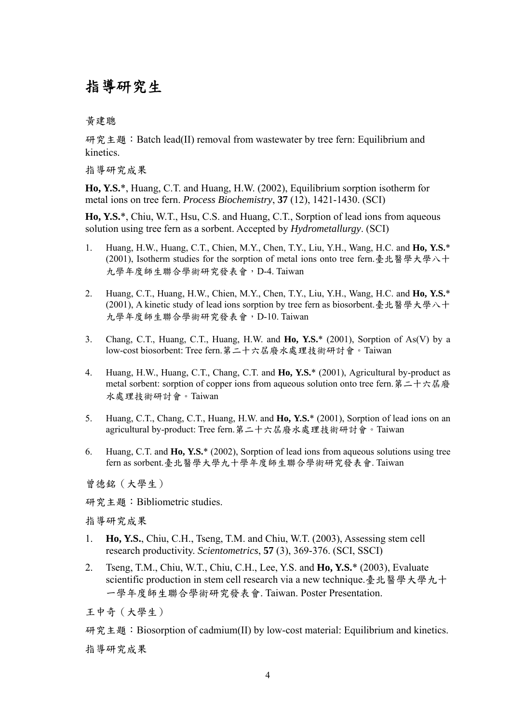### 指導研究生

黃建聰

研究主題: Batch lead(II) removal from wastewater by tree fern: Equilibrium and kinetics.

指導研究成果

**Ho, Y.S.**\*, Huang, C.T. and Huang, H.W. (2002), Equilibrium sorption isotherm for metal ions on tree fern. *Process Biochemistry*, **37** (12), 1421-1430. (SCI)

**Ho, Y.S.**\*, Chiu, W.T., Hsu, C.S. and Huang, C.T., Sorption of lead ions from aqueous solution using tree fern as a sorbent. Accepted by *Hydrometallurgy*. (SCI)

- 1. Huang, H.W., Huang, C.T., Chien, M.Y., Chen, T.Y., Liu, Y.H., Wang, H.C. and **Ho, Y.S.**\* (2001), Isotherm studies for the sorption of metal ions onto tree fern.臺北醫學大學八十 九學年度師生聯合學術研究發表會,D-4. Taiwan
- 2. Huang, C.T., Huang, H.W., Chien, M.Y., Chen, T.Y., Liu, Y.H., Wang, H.C. and **Ho, Y.S.**\* (2001), A kinetic study of lead ions sorption by tree fern as biosorbent.臺北醫學大學八十 九學年度師生聯合學術研究發表會,D-10. Taiwan
- 3. Chang, C.T., Huang, C.T., Huang, H.W. and **Ho, Y.S.**\* (2001), Sorption of As(V) by a low-cost biosorbent: Tree fern.第二十六屆廢水處理技術研討會。Taiwan
- 4. Huang, H.W., Huang, C.T., Chang, C.T. and **Ho, Y.S.**\* (2001), Agricultural by-product as metal sorbent: sorption of copper ions from aqueous solution onto tree fern. 第二十六屆廢 水處理技術研討會。Taiwan
- 5. Huang, C.T., Chang, C.T., Huang, H.W. and **Ho, Y.S.**\* (2001), Sorption of lead ions on an agricultural by-product: Tree fern.第二十六屆廢水處理技術研討會。Taiwan
- 6. Huang, C.T. and **Ho, Y.S.**\* (2002), Sorption of lead ions from aqueous solutions using tree fern as sorbent.臺北醫學大學九十學年度師生聯合學術研究發表會. Taiwan

曾德銘(大學生)

研究主題:Bibliometric studies.

指導研究成果

- 1. **Ho, Y.S.**, Chiu, C.H., Tseng, T.M. and Chiu, W.T. (2003), Assessing stem cell research productivity. *Scientometrics*, **57** (3), 369-376. (SCI, SSCI)
- 2. Tseng, T.M., Chiu, W.T., Chiu, C.H., Lee, Y.S. and **Ho, Y.S.**\* (2003), Evaluate scientific production in stem cell research via a new technique.臺北醫學大學九十 一學年度師生聯合學術研究發表會. Taiwan. Poster Presentation.

王中奇(大學生)

研究主題: Biosorption of cadmium(II) by low-cost material: Equilibrium and kinetics. 指導研究成果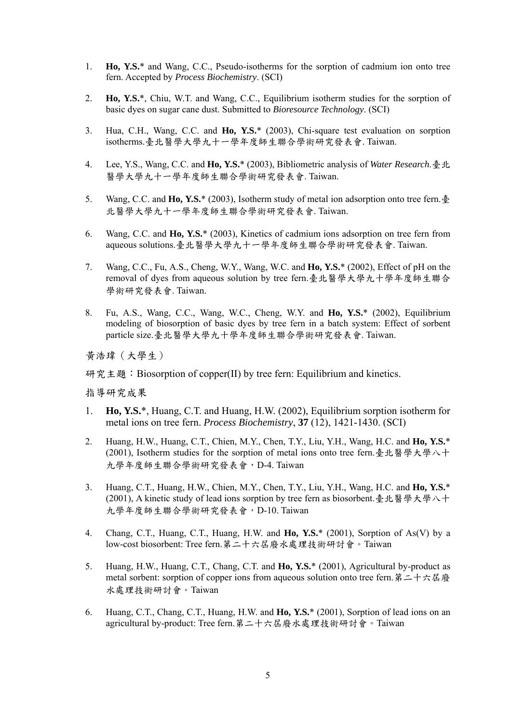- 1. **Ho, Y.S.**\* and Wang, C.C., Pseudo-isotherms for the sorption of cadmium ion onto tree fern. Accepted by *Process Biochemistry*. (SCI)
- 2. **Ho, Y.S.**\*, Chiu, W.T. and Wang, C.C., Equilibrium isotherm studies for the sorption of basic dyes on sugar cane dust. Submitted to *Bioresource Technology*. (SCI)
- 3. Hua, C.H., Wang, C.C. and **Ho, Y.S.**\* (2003), Chi-square test evaluation on sorption isotherms.臺北醫學大學九十一學年度師生聯合學術研究發表會. Taiwan.
- 4. Lee, Y.S., Wang, C.C. and **Ho, Y.S.**\* (2003), Bibliometric analysis of *Water Research*.臺北 醫學大學九十一學年度師生聯合學術研究發表會. Taiwan.
- 5. Wang, C.C. and **Ho, Y.S.**\* (2003), Isotherm study of metal ion adsorption onto tree fern.臺 北醫學大學九十一學年度師生聯合學術研究發表會. Taiwan.
- 6. Wang, C.C. and **Ho, Y.S.**\* (2003), Kinetics of cadmium ions adsorption on tree fern from aqueous solutions.臺北醫學大學九十一學年度師生聯合學術研究發表會. Taiwan.
- 7. Wang, C.C., Fu, A.S., Cheng, W.Y., Wang, W.C. and **Ho, Y.S.**\* (2002), Effect of pH on the removal of dyes from aqueous solution by tree fern.臺北醫學大學九十學年度師生聯合 學術研究發表會. Taiwan.
- 8. Fu, A.S., Wang, C.C., Wang, W.C., Cheng, W.Y. and **Ho, Y.S.**\* (2002), Equilibrium modeling of biosorption of basic dyes by tree fern in a batch system: Effect of sorbent particle size.臺北醫學大學九十學年度師生聯合學術研究發表會. Taiwan.

黃浩瑋(大學生)

研究主題: Biosorption of copper(II) by tree fern: Equilibrium and kinetics.

指導研究成果

- 1. **Ho, Y.S.**\*, Huang, C.T. and Huang, H.W. (2002), Equilibrium sorption isotherm for metal ions on tree fern. *Process Biochemistry*, **37** (12), 1421-1430. (SCI)
- 2. Huang, H.W., Huang, C.T., Chien, M.Y., Chen, T.Y., Liu, Y.H., Wang, H.C. and **Ho, Y.S.**\* (2001), Isotherm studies for the sorption of metal ions onto tree fern.臺北醫學大學八十 九學年度師生聯合學術研究發表會,D-4. Taiwan
- 3. Huang, C.T., Huang, H.W., Chien, M.Y., Chen, T.Y., Liu, Y.H., Wang, H.C. and **Ho, Y.S.**\* (2001), A kinetic study of lead ions sorption by tree fern as biosorbent.臺北醫學大學八十 九學年度師生聯合學術研究發表會,D-10. Taiwan
- 4. Chang, C.T., Huang, C.T., Huang, H.W. and **Ho, Y.S.**\* (2001), Sorption of As(V) by a low-cost biosorbent: Tree fern.第二十六屆廢水處理技術研討會。Taiwan
- 5. Huang, H.W., Huang, C.T., Chang, C.T. and **Ho, Y.S.**\* (2001), Agricultural by-product as metal sorbent: sorption of copper ions from aqueous solution onto tree fern. 第二十六屆廢 水處理技術研討會。Taiwan
- 6. Huang, C.T., Chang, C.T., Huang, H.W. and **Ho, Y.S.**\* (2001), Sorption of lead ions on an agricultural by-product: Tree fern.第二十六屆廢水處理技術研討會。Taiwan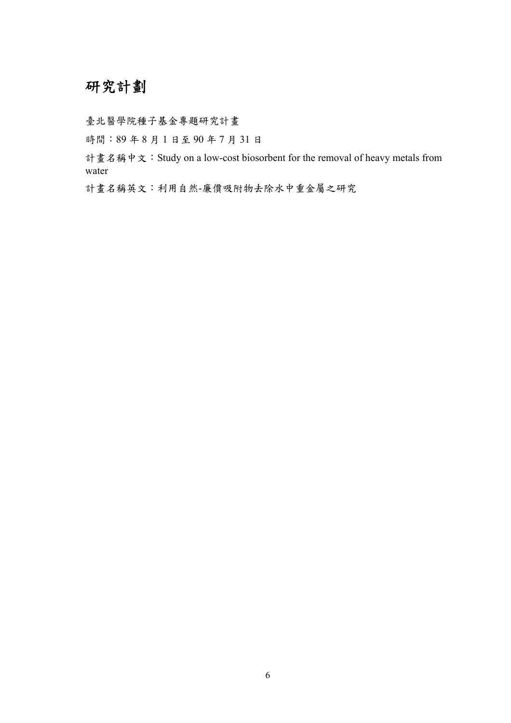## 研究計劃

臺北醫學院種子基金專題研究計畫

時間:89 年 8 月 1 日至 90 年 7 月 31 日

計畫名稱中文:Study on a low-cost biosorbent for the removal of heavy metals from water

計畫名稱英文:利用自然-廉價吸附物去除水中重金屬之研究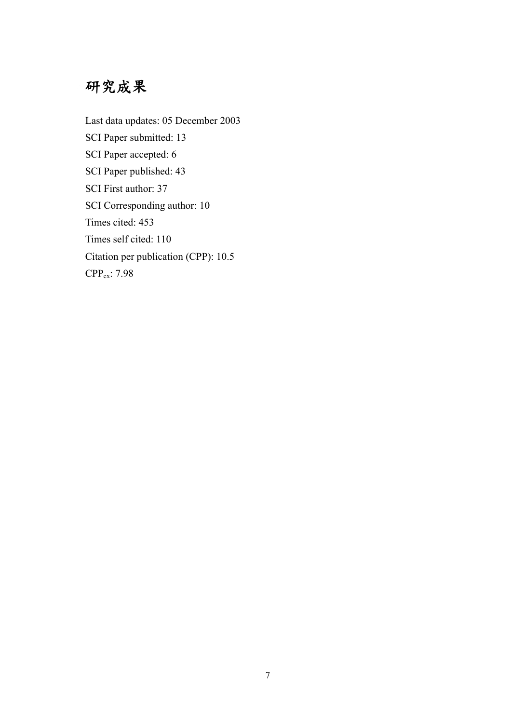## 研究成果

Last data updates: 05 December 2003 SCI Paper submitted: 13 SCI Paper accepted: 6 SCI Paper published: 43 SCI First author: 37 SCI Corresponding author: 10 Times cited: 453 Times self cited: 110 Citation per publication (CPP): 10.5 CPPex: 7.98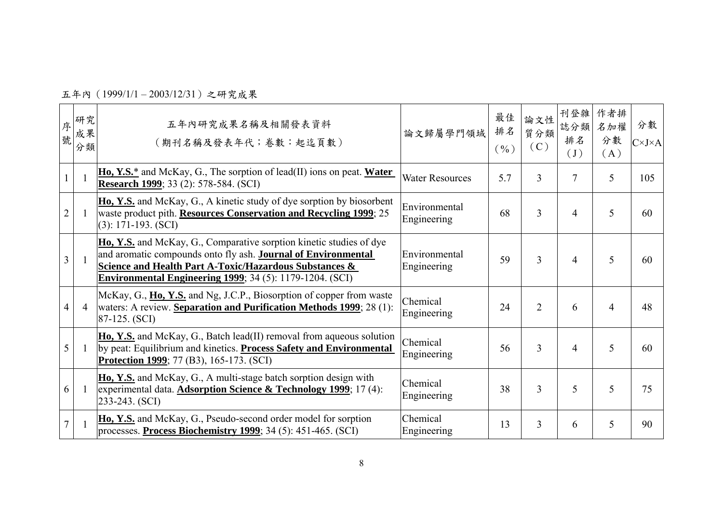五年內(1999/1/1 – 2003/12/31)之研究成果

| 序<br>號         | 研究<br>成果<br>分類           | 五年內研究成果名稱及相關發表資料<br>(期刊名稱及發表年代;卷數:起迄頁數)                                                                                                                                                                                                                                              | 論文歸屬學門領域                     | 最佳<br>排名<br>$($ %) | 論文性<br>質分類<br>(C) | 刊登雜<br>誌分類<br>排名<br>(J) | 作者排<br>名加權<br>分數<br>(A) | 分數<br>$C\times J\times A$ |
|----------------|--------------------------|--------------------------------------------------------------------------------------------------------------------------------------------------------------------------------------------------------------------------------------------------------------------------------------|------------------------------|--------------------|-------------------|-------------------------|-------------------------|---------------------------|
|                |                          | $\underline{\textbf{Ho}, \textbf{Y.S.}}^*$ and McKay, G., The sorption of lead(II) ions on peat. Water<br><b>Research 1999</b> ; 33 (2): 578-584. (SCI)                                                                                                                              | <b>Water Resources</b>       | 5.7                | 3                 | $\overline{7}$          | 5                       | 105                       |
| $\overline{2}$ | $\overline{\phantom{a}}$ | Ho, Y.S. and McKay, G., A kinetic study of dye sorption by biosorbent<br>waste product pith. Resources Conservation and Recycling 1999; 25<br>$(3): 171-193. (SCI)$                                                                                                                  | Environmental<br>Engineering | 68                 | 3                 | $\overline{4}$          | 5                       | 60                        |
| 3              | -1                       | Ho, Y.S. and McKay, G., Comparative sorption kinetic studies of dye<br>and aromatic compounds onto fly ash. <b>Journal of Environmental</b><br><b>Science and Health Part A-Toxic/Hazardous Substances &amp;</b><br><b>Environmental Engineering 1999</b> ; 34 (5): 1179-1204. (SCI) | Environmental<br>Engineering | 59                 | 3                 | $\overline{4}$          | 5                       | 60                        |
| 4              | $\overline{4}$           | McKay, G., Ho, Y.S. and Ng, J.C.P., Biosorption of copper from waste<br>waters: A review. Separation and Purification Methods 1999; 28 (1):<br>$87-125. (SCI)$                                                                                                                       | Chemical<br>Engineering      | 24                 | $\overline{2}$    | 6                       | 4                       | 48                        |
| 5              |                          | Ho, Y.S. and McKay, G., Batch lead(II) removal from aqueous solution<br>by peat: Equilibrium and kinetics. Process Safety and Environmental<br><b>Protection 1999</b> ; 77 (B3), 165-173. (SCI)                                                                                      | Chemical<br>Engineering      | 56                 | 3                 | $\overline{4}$          | 5                       | 60                        |
| 6              | -1                       | Ho, Y.S. and McKay, G., A multi-stage batch sorption design with<br>experimental data. <b>Adsorption Science &amp; Technology 1999</b> ; 17(4):<br>$233-243. (SCI)$                                                                                                                  | Chemical<br>Engineering      | 38                 | 3                 | 5                       | 5                       | 75                        |
| $\overline{7}$ |                          | Ho, Y.S. and McKay, G., Pseudo-second order model for sorption<br>processes. <b>Process Biochemistry 1999</b> ; 34 (5): 451-465. (SCI)                                                                                                                                               | Chemical<br>Engineering      | 13                 | 3                 | 6                       | 5                       | 90                        |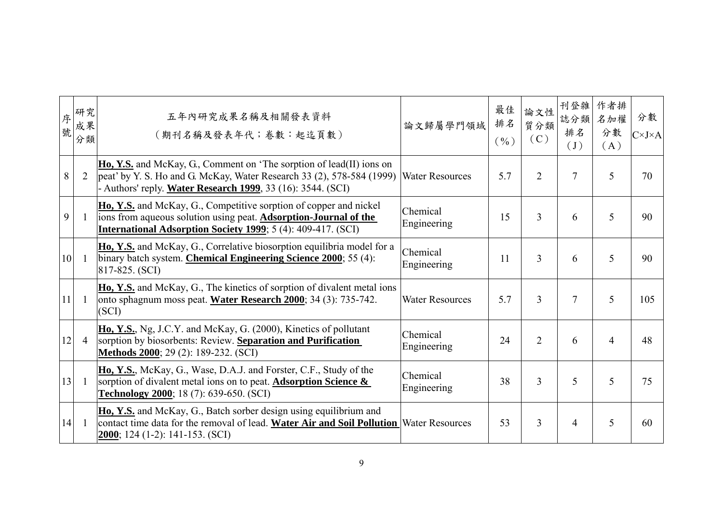| 序<br>號 | 研究<br>成果<br>分類 | 五年內研究成果名稱及相關發表資料<br>(期刊名稱及發表年代;卷數:起迄頁數)                                                                                                                                                                                  | 論文歸屬學門領域                | 最佳<br>排名<br>$(\%)$ | 論文性<br>質分類<br>(C) | 刊登雜<br>誌分類<br>排名<br>(J) | 作者排<br>名加權<br>分數<br>(A) | 分數<br>$C\times J\times A$ |
|--------|----------------|--------------------------------------------------------------------------------------------------------------------------------------------------------------------------------------------------------------------------|-------------------------|--------------------|-------------------|-------------------------|-------------------------|---------------------------|
| 8      | $\overline{2}$ | <b>Ho, Y.S.</b> and McKay, G., Comment on 'The sorption of lead(II) ions on<br>peat' by Y. S. Ho and G. McKay, Water Research 33 $(2)$ , 578-584 $(1999)$<br>- Authors' reply. Water Research 1999, 33 (16): 3544. (SCI) | <b>Water Resources</b>  | 5.7                | $\overline{2}$    | $\overline{7}$          | 5                       | 70                        |
| 9      |                | Ho, Y.S. and McKay, G., Competitive sorption of copper and nickel<br>ions from aqueous solution using peat. <b>Adsorption-Journal of the</b><br><b>International Adsorption Society 1999</b> ; 5 (4): 409-417. (SCI)     | Chemical<br>Engineering | 15                 | 3                 | 6                       | 5                       | 90                        |
| 10     | -1             | Ho, Y.S. and McKay, G., Correlative biosorption equilibria model for a<br>binary batch system. Chemical Engineering Science 2000; 55 (4):<br>817-825. (SCI)                                                              | Chemical<br>Engineering | 11                 | $\overline{3}$    | 6                       | 5                       | 90                        |
| 11     |                | Ho, Y.S. and McKay, G., The kinetics of sorption of divalent metal ions<br>onto sphagnum moss peat. Water Research 2000; 34 (3): 735-742.<br>(SCI)                                                                       | <b>Water Resources</b>  | 5.7                | 3                 | $\overline{7}$          | 5                       | 105                       |
| 12     | $\overline{4}$ | Ho, Y.S., Ng, J.C.Y. and McKay, G. (2000), Kinetics of pollutant<br>sorption by biosorbents: Review. Separation and Purification<br>Methods 2000; 29 (2): 189-232. (SCI)                                                 | Chemical<br>Engineering | 24                 | $\overline{2}$    | 6                       | $\overline{4}$          | 48                        |
| 13     | -1             | Ho, Y.S., McKay, G., Wase, D.A.J. and Forster, C.F., Study of the<br>sorption of divalent metal ions on to peat. Adsorption Science &<br><b>Technology 2000</b> ; 18 (7): 639-650. (SCI)                                 | Chemical<br>Engineering | 38                 | 3                 | 5                       | 5                       | 75                        |
| 14     | -1             | Ho, Y.S. and McKay, G., Batch sorber design using equilibrium and<br>contact time data for the removal of lead. Water Air and Soil Pollution Water Resources<br>$2000$ ; 124 (1-2): 141-153. (SCI)                       |                         | 53                 | $\overline{3}$    | $\overline{4}$          | 5                       | 60                        |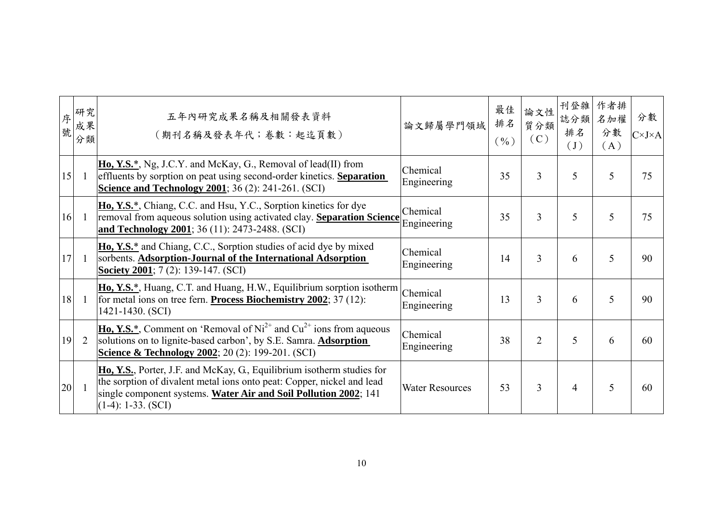| 序<br>號 | 研究<br>成果<br>分類 | 五年內研究成果名稱及相關發表資料<br>(期刊名稱及發表年代;卷數:起迄頁數)                                                                                                                                                                                                      | 論文歸屬學門領域                | 最佳<br>排名<br>$($ %) | 論文性<br>質分類<br>(C) | 刊登雜<br>誌分類<br>排名<br>$\begin{pmatrix} 1 \end{pmatrix}$ | 作者排<br>名加權<br>分數<br>(A) | 分數<br>$C\times J\times A$ |
|--------|----------------|----------------------------------------------------------------------------------------------------------------------------------------------------------------------------------------------------------------------------------------------|-------------------------|--------------------|-------------------|-------------------------------------------------------|-------------------------|---------------------------|
| 15     | -1             | $\overline{H_0, Y.S.^*}$ , Ng, J.C.Y. and McKay, G., Removal of lead(II) from<br>effluents by sorption on peat using second-order kinetics. Separation<br><b>Science and Technology 2001</b> ; 36 (2): 241-261. (SCI)                        | Chemical<br>Engineering | 35                 | $\overline{3}$    | 5                                                     | 5                       | 75                        |
| 16     | $\mathbf{1}$   | Ho, Y.S.*, Chiang, C.C. and Hsu, Y.C., Sorption kinetics for dye<br>removal from aqueous solution using activated clay. Separation Science<br>and Technology 2001; 36 (11): 2473-2488. (SCI)                                                 | Chemical<br>Engineering | 35                 | 3                 | 5                                                     | 5                       | 75                        |
| 17     |                | Ho, Y.S. <sup>*</sup> and Chiang, C.C., Sorption studies of acid dye by mixed<br>sorbents. Adsorption-Journal of the International Adsorption<br><b>Society 2001</b> ; $7(2)$ : 139-147. (SCI)                                               | Chemical<br>Engineering | 14                 | 3                 | 6                                                     | 5                       | 90                        |
| 18     | -1             | <b>Ho, Y.S.*</b> , Huang, C.T. and Huang, H.W., Equilibrium sorption isotherm<br>for metal ions on tree fern. <b>Process Biochemistry 2002</b> ; 37 (12):<br>1421-1430. (SCI)                                                                | Chemical<br>Engineering | 13                 | 3                 | 6                                                     | 5                       | 90                        |
| 19     | 2              | <b>Ho, Y.S.</b> *, Comment on 'Removal of $Ni^{2+}$ and $Cu^{2+}$ ions from aqueous<br>solutions on to lignite-based carbon', by S.E. Samra. <b>Adsorption</b><br><b>Science &amp; Technology 2002</b> ; 20 (2): 199-201. (SCI)              | Chemical<br>Engineering | 38                 | $\overline{2}$    | 5                                                     | 6                       | 60                        |
| 20     |                | Ho, Y.S., Porter, J.F. and McKay, G., Equilibrium isotherm studies for<br>the sorption of divalent metal ions onto peat: Copper, nickel and lead<br>single component systems. Water Air and Soil Pollution 2002; 141<br>$(1-4): 1-33. (SCI)$ | <b>Water Resources</b>  | 53                 | $\overline{3}$    | 4                                                     | 5                       | 60                        |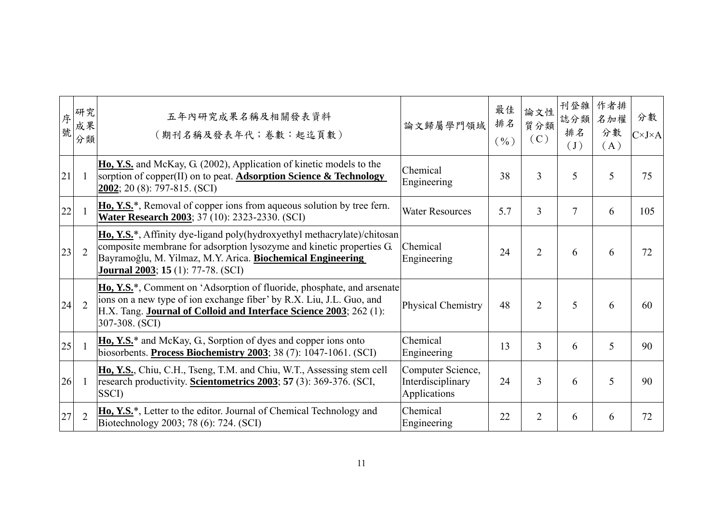| 序<br>號 | 研究<br>成果<br>分類 | 五年內研究成果名稱及相關發表資料<br>(期刊名稱及發表年代;卷數:起迄頁數)                                                                                                                                                                                                                            | 論文歸屬學門領域                                               | 最佳<br>排名<br>$($ %) | 論文性<br>質分類<br>(C) | 刊登雜<br>誌分類<br>排名<br>$\left( \mathrm{J}\right)$ | 作者排<br>名加權<br>分數<br>(A) | 分數<br>$C\times J\times A$ |
|--------|----------------|--------------------------------------------------------------------------------------------------------------------------------------------------------------------------------------------------------------------------------------------------------------------|--------------------------------------------------------|--------------------|-------------------|------------------------------------------------|-------------------------|---------------------------|
| 21     |                | Ho, Y.S. and McKay, G. (2002), Application of kinetic models to the<br>sorption of copper(II) on to peat. Adsorption Science & Technology<br>$2002$ ; 20 (8): 797-815. (SCI)                                                                                       | Chemical<br>Engineering                                | 38                 | 3                 | 5                                              | 5                       | 75                        |
| 22     |                | Ho, Y.S. <sup>*</sup> , Removal of copper ions from aqueous solution by tree fern.<br>Water Research 2003; 37 (10): 2323-2330. (SCI)                                                                                                                               | <b>Water Resources</b>                                 | 5.7                | 3                 | $\overline{7}$                                 | 6                       | 105                       |
| 23     | $\overline{2}$ | Ho, Y.S.*, Affinity dye-ligand poly(hydroxyethyl methacrylate)/chitosan<br>composite membrane for adsorption lysozyme and kinetic properties G.<br>Bayramoğlu, M. Yilmaz, M.Y. Arica. Biochemical Engineering<br><b>Journal 2003</b> ; <b>15</b> (1): 77-78. (SCI) | Chemical<br>Engineering                                | 24                 | $\overline{2}$    | 6                                              | 6                       | 72                        |
| 24     | $\overline{2}$ | Ho, Y.S. <sup>*</sup> , Comment on 'Adsorption of fluoride, phosphate, and arsenate<br>ions on a new type of ion exchange fiber' by R.X. Liu, J.L. Guo, and<br>H.X. Tang. Journal of Colloid and Interface Science 2003; 262 (1):<br>307-308. (SCI)                | Physical Chemistry                                     | 48                 | $\overline{2}$    | 5                                              | 6                       | 60                        |
| 25     |                | Ho, Y.S. <sup>*</sup> and McKay, G., Sorption of dyes and copper ions onto<br>biosorbents. Process Biochemistry 2003; 38 (7): 1047-1061. (SCI)                                                                                                                     | Chemical<br>Engineering                                | 13                 | 3                 | 6                                              | 5                       | 90                        |
| 26     | -1             | Ho, Y.S., Chiu, C.H., Tseng, T.M. and Chiu, W.T., Assessing stem cell<br>research productivity. <b>Scientometrics 2003</b> ; 57 (3): 369-376. (SCI,<br>SSCI)                                                                                                       | Computer Science,<br>Interdisciplinary<br>Applications | 24                 | 3                 | 6                                              | 5                       | 90                        |
| 27     | $\overline{2}$ | <b>Ho, Y.S.</b> *, Letter to the editor. Journal of Chemical Technology and<br>Biotechnology 2003; 78 (6): 724. (SCI)                                                                                                                                              | Chemical<br>Engineering                                | 22                 | 2                 | 6                                              | 6                       | 72                        |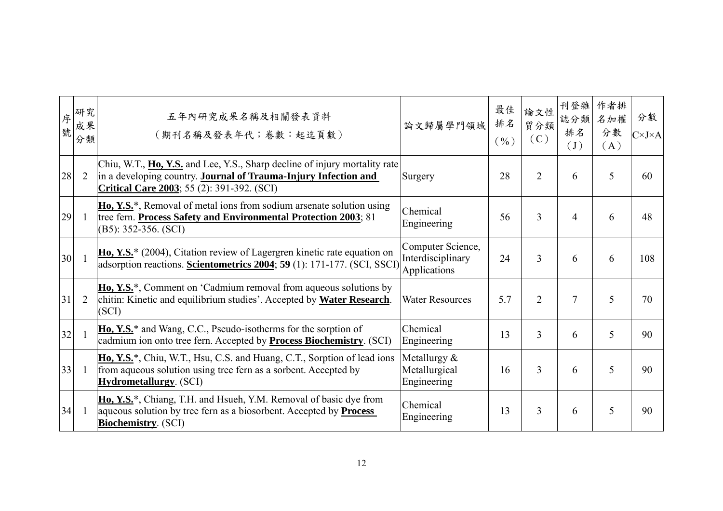| 序<br>號 | 研究<br>成果<br>分類 | 五年內研究成果名稱及相關發表資料<br>(期刊名稱及發表年代;卷數:起迄頁數)                                                                                                                                                             | 論文歸屬學門領域                                               | 最佳<br>排名<br>(9/0) | 論文性<br>質分類<br>(C) | 刊登雜<br>誌分類<br>排名<br>$\begin{pmatrix} 1 \end{pmatrix}$ | 作者排<br>名加權<br>分數<br>(A) | 分數<br>$C\times J\times A$ |
|--------|----------------|-----------------------------------------------------------------------------------------------------------------------------------------------------------------------------------------------------|--------------------------------------------------------|-------------------|-------------------|-------------------------------------------------------|-------------------------|---------------------------|
| 28     | $\overline{2}$ | Chiu, W.T., Ho, Y.S. and Lee, Y.S., Sharp decline of injury mortality rate<br>in a developing country. Journal of Trauma-Injury Infection and<br><b>Critical Care 2003</b> ; 55 (2): 391-392. (SCI) | Surgery                                                | 28                | $\overline{2}$    | 6                                                     | 5                       | 60                        |
| 29     | -1             | Ho, Y.S. <sup>*</sup> , Removal of metal ions from sodium arsenate solution using<br>tree fern. Process Safety and Environmental Protection 2003; 81<br>$(B5): 352-356. (SCI)$                      | Chemical<br>Engineering                                | 56                | 3                 | 4                                                     | 6                       | 48                        |
| 30     |                | Ho, Y.S.* (2004), Citation review of Lagergren kinetic rate equation on<br>adsorption reactions. Scientometrics 2004; 59 (1): 171-177. (SCI, SSCI)                                                  | Computer Science,<br>Interdisciplinary<br>Applications | 24                | 3                 | 6                                                     | 6                       | 108                       |
| 31     | 2              | Ho, Y.S. <sup>*</sup> , Comment on 'Cadmium removal from aqueous solutions by<br>chitin: Kinetic and equilibrium studies'. Accepted by Water Research.<br>(SCI)                                     | <b>Water Resources</b>                                 | 5.7               | $\overline{2}$    | $\overline{7}$                                        | 5                       | 70                        |
| 32     |                | Ho, Y.S. <sup>*</sup> and Wang, C.C., Pseudo-isotherms for the sorption of<br>cadmium ion onto tree fern. Accepted by <b>Process Biochemistry</b> . (SCI)                                           | Chemical<br>Engineering                                | 13                | 3                 | 6                                                     | 5                       | 90                        |
| 33     | -1             | Ho, Y.S. <sup>*</sup> , Chiu, W.T., Hsu, C.S. and Huang, C.T., Sorption of lead ions<br>from aqueous solution using tree fern as a sorbent. Accepted by<br><b>Hydrometallurgy.</b> (SCI)            | Metallurgy $\&$<br>Metallurgical<br>Engineering        | 16                | 3                 | 6                                                     | 5                       | 90                        |
| 34     |                | Ho, Y.S. <sup>*</sup> , Chiang, T.H. and Hsueh, Y.M. Removal of basic dye from<br>aqueous solution by tree fern as a biosorbent. Accepted by <b>Process</b><br><b>Biochemistry.</b> (SCI)           | Chemical<br>Engineering                                | 13                | 3                 | 6                                                     | 5                       | 90                        |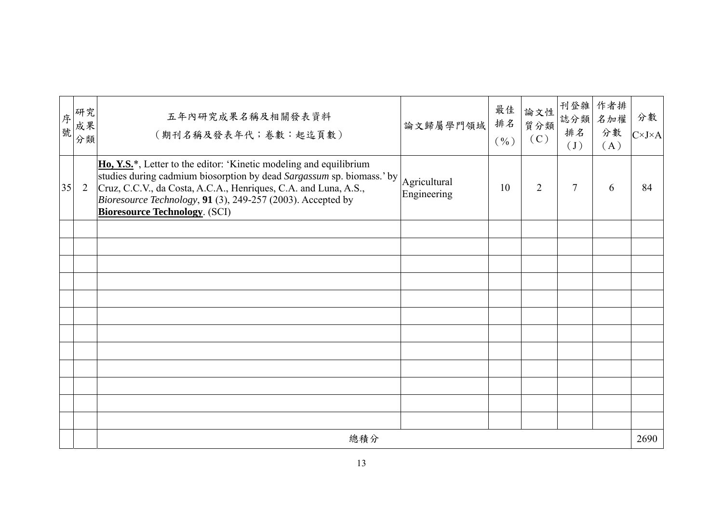| 序號 | 研究<br>成果<br>分類 | 五年內研究成果名稱及相關發表資料<br>(期刊名稱及發表年代;卷數:起迄頁數)                                                                                                                                                                                                                                                                                               | 論文歸屬學門領域                    | 最佳<br>排名<br>$(\% )$ | 論文性<br>質分類<br>(C) | 刊登雜<br>誌分類<br>排名<br>$\left( \int \right)$ | 作者排<br>名加權<br>分數<br>(A) | 分數<br>$C\times J\times A$ |
|----|----------------|---------------------------------------------------------------------------------------------------------------------------------------------------------------------------------------------------------------------------------------------------------------------------------------------------------------------------------------|-----------------------------|---------------------|-------------------|-------------------------------------------|-------------------------|---------------------------|
| 35 | 2              | <b>Ho, Y.S.</b> *, Letter to the editor: 'Kinetic modeling and equilibrium<br>studies during cadmium biosorption by dead Sargassum sp. biomass.' by<br>Cruz, C.C.V., da Costa, A.C.A., Henriques, C.A. and Luna, A.S.,<br><i>Bioresource Technology</i> , 91 (3), 249-257 (2003). Accepted by<br><b>Bioresource Technology. (SCI)</b> | Agricultural<br>Engineering | 10 <sup>1</sup>     | $\overline{2}$    | $\overline{7}$                            | 6                       | 84                        |
|    |                |                                                                                                                                                                                                                                                                                                                                       |                             |                     |                   |                                           |                         |                           |
|    |                |                                                                                                                                                                                                                                                                                                                                       |                             |                     |                   |                                           |                         |                           |
|    |                |                                                                                                                                                                                                                                                                                                                                       |                             |                     |                   |                                           |                         |                           |
|    |                |                                                                                                                                                                                                                                                                                                                                       |                             |                     |                   |                                           |                         |                           |
|    |                |                                                                                                                                                                                                                                                                                                                                       |                             |                     |                   |                                           |                         |                           |
|    |                |                                                                                                                                                                                                                                                                                                                                       |                             |                     |                   |                                           |                         |                           |
|    |                |                                                                                                                                                                                                                                                                                                                                       |                             |                     |                   |                                           |                         |                           |
|    |                |                                                                                                                                                                                                                                                                                                                                       |                             |                     |                   |                                           |                         |                           |
|    |                |                                                                                                                                                                                                                                                                                                                                       |                             |                     |                   |                                           |                         |                           |
|    |                |                                                                                                                                                                                                                                                                                                                                       |                             |                     |                   |                                           |                         |                           |
|    |                |                                                                                                                                                                                                                                                                                                                                       |                             |                     |                   |                                           |                         |                           |
|    |                |                                                                                                                                                                                                                                                                                                                                       |                             |                     |                   |                                           |                         |                           |
|    |                | 總積分                                                                                                                                                                                                                                                                                                                                   |                             |                     |                   |                                           |                         | 2690                      |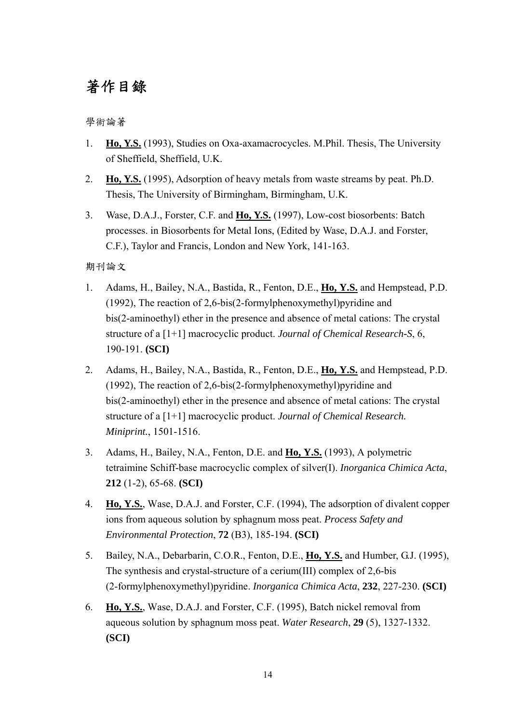### 著作目錄

學術論著

- 1. **Ho, Y.S.** (1993), Studies on Oxa-axamacrocycles. M.Phil. Thesis, The University of Sheffield, Sheffield, U.K.
- 2. **Ho, Y.S.** (1995), Adsorption of heavy metals from waste streams by peat. Ph.D. Thesis, The University of Birmingham, Birmingham, U.K.
- 3. Wase, D.A.J., Forster, C.F. and **Ho, Y.S.** (1997), Low-cost biosorbents: Batch processes. in Biosorbents for Metal Ions, (Edited by Wase, D.A.J. and Forster, C.F.), Taylor and Francis, London and New York, 141-163.

期刊論文

- 1. Adams, H., Bailey, N.A., Bastida, R., Fenton, D.E., **Ho, Y.S.** and Hempstead, P.D. (1992), The reaction of 2,6-bis(2-formylphenoxymethyl)pyridine and bis(2-aminoethyl) ether in the presence and absence of metal cations: The crystal structure of a [1+1] macrocyclic product. *Journal of Chemical Research-S*, 6, 190-191. **(SCI)**
- 2. Adams, H., Bailey, N.A., Bastida, R., Fenton, D.E., **Ho, Y.S.** and Hempstead, P.D. (1992), The reaction of 2,6-bis(2-formylphenoxymethyl)pyridine and bis(2-aminoethyl) ether in the presence and absence of metal cations: The crystal structure of a [1+1] macrocyclic product. *Journal of Chemical Research. Miniprint.*, 1501-1516.
- 3. Adams, H., Bailey, N.A., Fenton, D.E. and **Ho, Y.S.** (1993), A polymetric tetraimine Schiff-base macrocyclic complex of silver(I). *Inorganica Chimica Acta*, **212** (1-2), 65-68. **(SCI)**
- 4. **Ho, Y.S.**, Wase, D.A.J. and Forster, C.F. (1994), The adsorption of divalent copper ions from aqueous solution by sphagnum moss peat. *Process Safety and Environmental Protection*, **72** (B3), 185-194. **(SCI)**
- 5. Bailey, N.A., Debarbarin, C.O.R., Fenton, D.E., **Ho, Y.S.** and Humber, G.J. (1995), The synthesis and crystal-structure of a cerium(III) complex of 2,6-bis (2-formylphenoxymethyl)pyridine. *Inorganica Chimica Acta*, **232**, 227-230. **(SCI)**
- 6. **Ho, Y.S.**, Wase, D.A.J. and Forster, C.F. (1995), Batch nickel removal from aqueous solution by sphagnum moss peat. *Water Research*, **29** (5), 1327-1332. **(SCI)**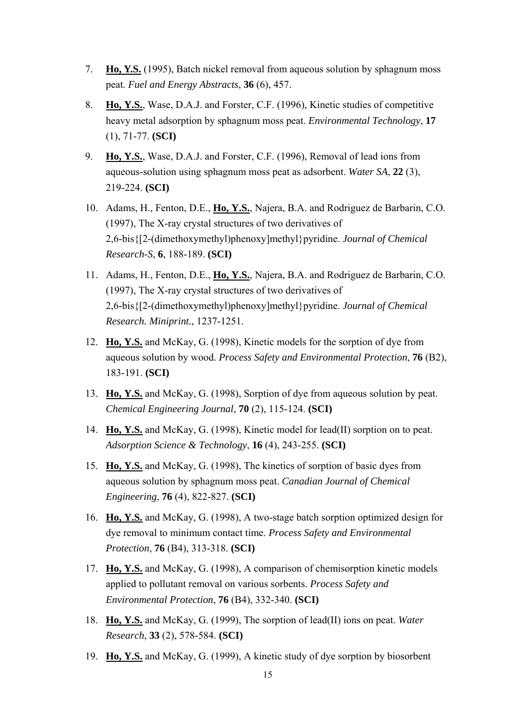- 7. **Ho, Y.S.** (1995), Batch nickel removal from aqueous solution by sphagnum moss peat. *Fuel and Energy Abstracts*, **36** (6), 457.
- 8. **Ho, Y.S.**, Wase, D.A.J. and Forster, C.F. (1996), Kinetic studies of competitive heavy metal adsorption by sphagnum moss peat. *Environmental Technology*, **17** (1), 71-77. **(SCI)**
- 9. **Ho, Y.S.**, Wase, D.A.J. and Forster, C.F. (1996), Removal of lead ions from aqueous-solution using sphagnum moss peat as adsorbent. *Water SA*, **22** (3), 219-224. **(SCI)**
- 10. Adams, H., Fenton, D.E., **Ho, Y.S.**, Najera, B.A. and Rodriguez de Barbarin, C.O. (1997), The X-ray crystal structures of two derivatives of 2,6-bis{[2-(dimethoxymethyl)phenoxy]methyl}pyridine. *Journal of Chemical Research-S*, **6**, 188-189. **(SCI)**
- 11. Adams, H., Fenton, D.E., **Ho, Y.S.**, Najera, B.A. and Rodriguez de Barbarin, C.O. (1997), The X-ray crystal structures of two derivatives of 2,6-bis{[2-(dimethoxymethyl)phenoxy]methyl}pyridine. *Journal of Chemical Research. Miniprint.*, 1237-1251.
- 12. **Ho, Y.S.** and McKay, G. (1998), Kinetic models for the sorption of dye from aqueous solution by wood. *Process Safety and Environmental Protection*, **76** (B2), 183-191. **(SCI)**
- 13. **Ho, Y.S.** and McKay, G. (1998), Sorption of dye from aqueous solution by peat. *Chemical Engineering Journal*, **70** (2), 115-124. **(SCI)**
- 14. **Ho, Y.S.** and McKay, G. (1998), Kinetic model for lead(II) sorption on to peat. *Adsorption Science & Technology*, **16** (4), 243-255. **(SCI)**
- 15. **Ho, Y.S.** and McKay, G. (1998), The kinetics of sorption of basic dyes from aqueous solution by sphagnum moss peat. *Canadian Journal of Chemical Engineering*, **76** (4), 822-827. **(SCI)**
- 16. **Ho, Y.S.** and McKay, G. (1998), A two-stage batch sorption optimized design for dye removal to minimum contact time. *Process Safety and Environmental Protection*, **76** (B4), 313-318. **(SCI)**
- 17. **Ho, Y.S.** and McKay, G. (1998), A comparison of chemisorption kinetic models applied to pollutant removal on various sorbents. *Process Safety and Environmental Protection*, **76** (B4), 332-340. **(SCI)**
- 18. **Ho, Y.S.** and McKay, G. (1999), The sorption of lead(II) ions on peat. *Water Research*, **33** (2), 578-584. **(SCI)**
- 19. **Ho, Y.S.** and McKay, G. (1999), A kinetic study of dye sorption by biosorbent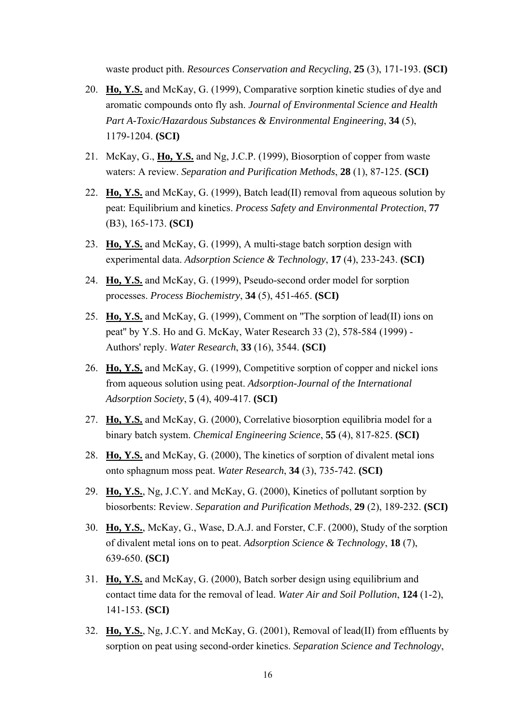waste product pith. *Resources Conservation and Recycling*, **25** (3), 171-193. **(SCI)**

- 20. **Ho, Y.S.** and McKay, G. (1999), Comparative sorption kinetic studies of dye and aromatic compounds onto fly ash. *Journal of Environmental Science and Health Part A-Toxic/Hazardous Substances & Environmental Engineering*, **34** (5), 1179-1204. **(SCI)**
- 21. McKay, G., **Ho, Y.S.** and Ng, J.C.P. (1999), Biosorption of copper from waste waters: A review. *Separation and Purification Methods*, **28** (1), 87-125. **(SCI)**
- 22. **Ho, Y.S.** and McKay, G. (1999), Batch lead(II) removal from aqueous solution by peat: Equilibrium and kinetics. *Process Safety and Environmental Protection*, **77** (B3), 165-173. **(SCI)**
- 23. **Ho, Y.S.** and McKay, G. (1999), A multi-stage batch sorption design with experimental data. *Adsorption Science & Technology*, **17** (4), 233-243. **(SCI)**
- 24. **Ho, Y.S.** and McKay, G. (1999), Pseudo-second order model for sorption processes. *Process Biochemistry*, **34** (5), 451-465. **(SCI)**
- 25. **Ho, Y.S.** and McKay, G. (1999), Comment on ''The sorption of lead(II) ions on peat'' by Y.S. Ho and G. McKay, Water Research 33 (2), 578-584 (1999) - Authors' reply. *Water Research*, **33** (16), 3544. **(SCI)**
- 26. **Ho, Y.S.** and McKay, G. (1999), Competitive sorption of copper and nickel ions from aqueous solution using peat. *Adsorption-Journal of the International Adsorption Society*, **5** (4), 409-417. **(SCI)**
- 27. **Ho, Y.S.** and McKay, G. (2000), Correlative biosorption equilibria model for a binary batch system. *Chemical Engineering Science*, **55** (4), 817-825. **(SCI)**
- 28. **Ho, Y.S.** and McKay, G. (2000), The kinetics of sorption of divalent metal ions onto sphagnum moss peat. *Water Research*, **34** (3), 735-742. **(SCI)**
- 29. **Ho, Y.S.**, Ng, J.C.Y. and McKay, G. (2000), Kinetics of pollutant sorption by biosorbents: Review. *Separation and Purification Methods*, **29** (2), 189-232. **(SCI)**
- 30. **Ho, Y.S.**, McKay, G., Wase, D.A.J. and Forster, C.F. (2000), Study of the sorption of divalent metal ions on to peat. *Adsorption Science & Technology*, **18** (7), 639-650. **(SCI)**
- 31. **Ho, Y.S.** and McKay, G. (2000), Batch sorber design using equilibrium and contact time data for the removal of lead. *Water Air and Soil Pollution*, **124** (1-2), 141-153. **(SCI)**
- 32. **Ho, Y.S.**, Ng, J.C.Y. and McKay, G. (2001), Removal of lead(II) from effluents by sorption on peat using second-order kinetics. *Separation Science and Technology*,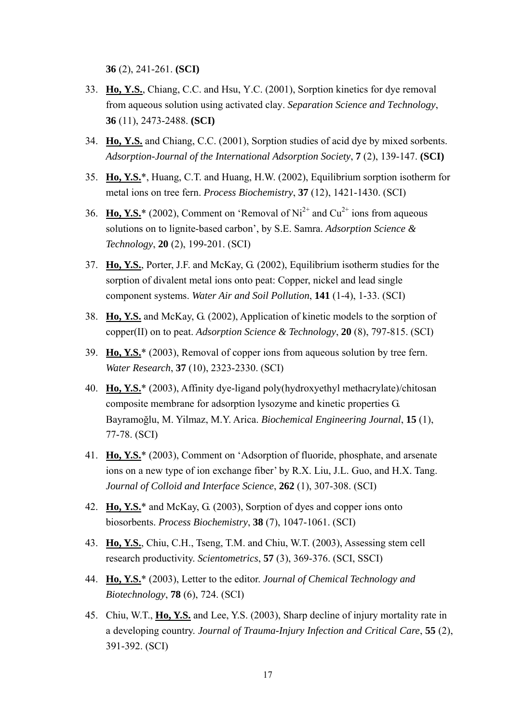**36** (2), 241-261. **(SCI)**

- 33. **Ho, Y.S.**, Chiang, C.C. and Hsu, Y.C. (2001), Sorption kinetics for dye removal from aqueous solution using activated clay. *Separation Science and Technology*, **36** (11), 2473-2488. **(SCI)**
- 34. **Ho, Y.S.** and Chiang, C.C. (2001), Sorption studies of acid dye by mixed sorbents. *Adsorption-Journal of the International Adsorption Society*, **7** (2), 139-147. **(SCI)**
- 35. **Ho, Y.S.**\*, Huang, C.T. and Huang, H.W. (2002), Equilibrium sorption isotherm for metal ions on tree fern. *Process Biochemistry*, **37** (12), 1421-1430. (SCI)
- 36. **Ho, Y.S.**\* (2002), Comment on 'Removal of  $Ni^{2+}$  and  $Cu^{2+}$  ions from aqueous solutions on to lignite-based carbon', by S.E. Samra. *Adsorption Science & Technology*, **20** (2), 199-201. (SCI)
- 37. **Ho, Y.S.**, Porter, J.F. and McKay, G. (2002), Equilibrium isotherm studies for the sorption of divalent metal ions onto peat: Copper, nickel and lead single component systems. *Water Air and Soil Pollution*, **141** (1-4), 1-33. (SCI)
- 38. **Ho, Y.S.** and McKay, G. (2002), Application of kinetic models to the sorption of copper(II) on to peat. *Adsorption Science & Technology*, **20** (8), 797-815. (SCI)
- 39. **Ho, Y.S.**\* (2003), Removal of copper ions from aqueous solution by tree fern. *Water Research*, **37** (10), 2323-2330. (SCI)
- 40. **Ho, Y.S.**\* (2003), Affinity dye-ligand poly(hydroxyethyl methacrylate)/chitosan composite membrane for adsorption lysozyme and kinetic properties G. Bayramoğlu, M. Yilmaz, M.Y. Arica. *Biochemical Engineering Journal*, **15** (1), 77-78. (SCI)
- 41. **Ho, Y.S.**\* (2003), Comment on 'Adsorption of fluoride, phosphate, and arsenate ions on a new type of ion exchange fiber' by R.X. Liu, J.L. Guo, and H.X. Tang. *Journal of Colloid and Interface Science*, **262** (1), 307-308. (SCI)
- 42. **Ho, Y.S.**\* and McKay, G. (2003), Sorption of dyes and copper ions onto biosorbents. *Process Biochemistry*, **38** (7), 1047-1061. (SCI)
- 43. **Ho, Y.S.**, Chiu, C.H., Tseng, T.M. and Chiu, W.T. (2003), Assessing stem cell research productivity. *Scientometrics*, **57** (3), 369-376. (SCI, SSCI)
- 44. **Ho, Y.S.**\* (2003), Letter to the editor. *Journal of Chemical Technology and Biotechnology*, **78** (6), 724. (SCI)
- 45. Chiu, W.T., **Ho, Y.S.** and Lee, Y.S. (2003), Sharp decline of injury mortality rate in a developing country. *Journal of Trauma-Injury Infection and Critical Care*, **55** (2), 391-392. (SCI)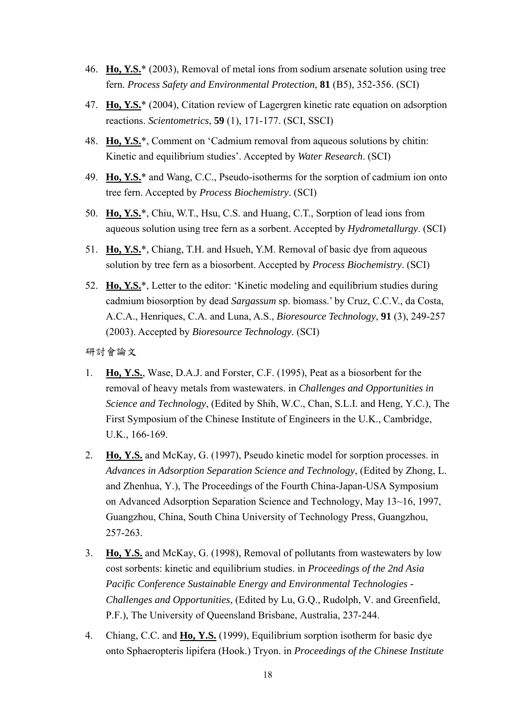- 46. **Ho, Y.S.**\* (2003), Removal of metal ions from sodium arsenate solution using tree fern. *Process Safety and Environmental Protection*, **81** (B5), 352-356. (SCI)
- 47. **Ho, Y.S.**\* (2004), Citation review of Lagergren kinetic rate equation on adsorption reactions. *Scientometrics*, **59** (1), 171-177. (SCI, SSCI)
- 48. **Ho, Y.S.**\*, Comment on 'Cadmium removal from aqueous solutions by chitin: Kinetic and equilibrium studies'. Accepted by *Water Research*. (SCI)
- 49. **Ho, Y.S.**\* and Wang, C.C., Pseudo-isotherms for the sorption of cadmium ion onto tree fern. Accepted by *Process Biochemistry*. (SCI)
- 50. **Ho, Y.S.**\*, Chiu, W.T., Hsu, C.S. and Huang, C.T., Sorption of lead ions from aqueous solution using tree fern as a sorbent. Accepted by *Hydrometallurgy*. (SCI)
- 51. **Ho, Y.S.**\*, Chiang, T.H. and Hsueh, Y.M. Removal of basic dye from aqueous solution by tree fern as a biosorbent. Accepted by *Process Biochemistry*. (SCI)
- 52. **Ho, Y.S.**\*, Letter to the editor: 'Kinetic modeling and equilibrium studies during cadmium biosorption by dead *Sargassum* sp. biomass.' by Cruz, C.C.V., da Costa, A.C.A., Henriques, C.A. and Luna, A.S., *Bioresource Technology*, **91** (3), 249-257 (2003). Accepted by *Bioresource Technology*. (SCI)

研討會論文

- 1. **Ho, Y.S.**, Wase, D.A.J. and Forster, C.F. (1995), Peat as a biosorbent for the removal of heavy metals from wastewaters. in *Challenges and Opportunities in Science and Technology*, (Edited by Shih, W.C., Chan, S.L.I. and Heng, Y.C.), The First Symposium of the Chinese Institute of Engineers in the U.K., Cambridge, U.K., 166-169.
- 2. **Ho, Y.S.** and McKay, G. (1997), Pseudo kinetic model for sorption processes. in *Advances in Adsorption Separation Science and Technology*, (Edited by Zhong, L. and Zhenhua, Y.), The Proceedings of the Fourth China-Japan-USA Symposium on Advanced Adsorption Separation Science and Technology, May 13~16, 1997, Guangzhou, China, South China University of Technology Press, Guangzhou, 257-263.
- 3. **Ho, Y.S.** and McKay, G. (1998), Removal of pollutants from wastewaters by low cost sorbents: kinetic and equilibrium studies. in *Proceedings of the 2nd Asia Pacific Conference Sustainable Energy and Environmental Technologies - Challenges and Opportunities*, (Edited by Lu, G.Q., Rudolph, V. and Greenfield, P.F.), The University of Queensland Brisbane, Australia, 237-244.
- 4. Chiang, C.C. and **Ho, Y.S.** (1999), Equilibrium sorption isotherm for basic dye onto Sphaeropteris lipifera (Hook.) Tryon. in *Proceedings of the Chinese Institute*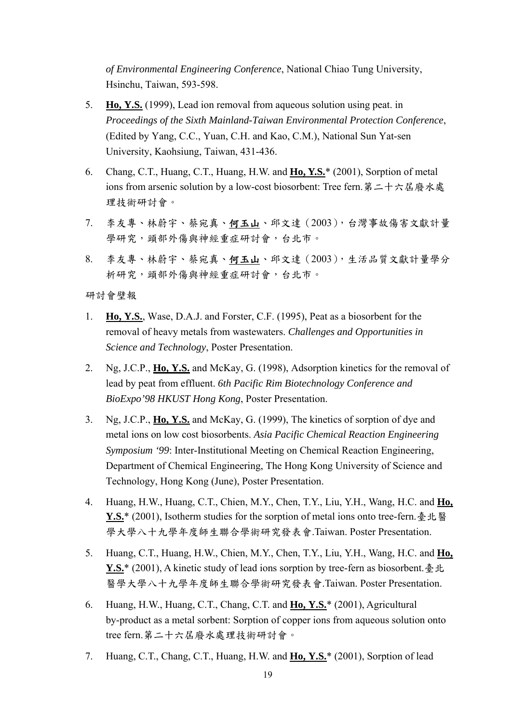*of Environmental Engineering Conference*, National Chiao Tung University, Hsinchu, Taiwan, 593-598.

- 5. **Ho, Y.S.** (1999), Lead ion removal from aqueous solution using peat. in *Proceedings of the Sixth Mainland-Taiwan Environmental Protection Conference*, (Edited by Yang, C.C., Yuan, C.H. and Kao, C.M.), National Sun Yat-sen University, Kaohsiung, Taiwan, 431-436.
- 6. Chang, C.T., Huang, C.T., Huang, H.W. and **Ho, Y.S.**\* (2001), Sorption of metal ions from arsenic solution by a low-cost biosorbent: Tree fern.第二十六屆廢水處 理技術研討會。
- 7. 李友專、林蔚宇、蔡宛真、何玉山、邱文達(2003),台灣事故傷害文獻計量 學研究,頭部外傷與神經重症研討會,台北市。
- 8. 李友專、林蔚宇、蔡宛真、何玉山、邱文達(2003),生活品質文獻計量學分 析研究,頭部外傷與神經重症研討會,台北市。

研討會壁報

- 1. **Ho, Y.S.**, Wase, D.A.J. and Forster, C.F. (1995), Peat as a biosorbent for the removal of heavy metals from wastewaters. *Challenges and Opportunities in Science and Technology*, Poster Presentation.
- 2. Ng, J.C.P., **Ho, Y.S.** and McKay, G. (1998), Adsorption kinetics for the removal of lead by peat from effluent. *6th Pacific Rim Biotechnology Conference and BioExpo'98 HKUST Hong Kong*, Poster Presentation.
- 3. Ng, J.C.P., **Ho, Y.S.** and McKay, G. (1999), The kinetics of sorption of dye and metal ions on low cost biosorbents. *Asia Pacific Chemical Reaction Engineering Symposium '99*: Inter-Institutional Meeting on Chemical Reaction Engineering, Department of Chemical Engineering, The Hong Kong University of Science and Technology, Hong Kong (June), Poster Presentation.
- 4. Huang, H.W., Huang, C.T., Chien, M.Y., Chen, T.Y., Liu, Y.H., Wang, H.C. and **Ho,**  Y.S.<sup>\*</sup> (2001), Isotherm studies for the sorption of metal ions onto tree-fern.臺北醫 學大學八十九學年度師生聯合學術研究發表會.Taiwan. Poster Presentation.
- 5. Huang, C.T., Huang, H.W., Chien, M.Y., Chen, T.Y., Liu, Y.H., Wang, H.C. and **Ho,**  Y.S.<sup>\*</sup> (2001), A kinetic study of lead ions sorption by tree-fern as biosorbent. 臺北 醫學大學八十九學年度師生聯合學術研究發表會.Taiwan. Poster Presentation.
- 6. Huang, H.W., Huang, C.T., Chang, C.T. and **Ho, Y.S.**\* (2001), Agricultural by-product as a metal sorbent: Sorption of copper ions from aqueous solution onto tree fern.第二十六屆廢水處理技術研討會。
- 7. Huang, C.T., Chang, C.T., Huang, H.W. and **Ho, Y.S.**\* (2001), Sorption of lead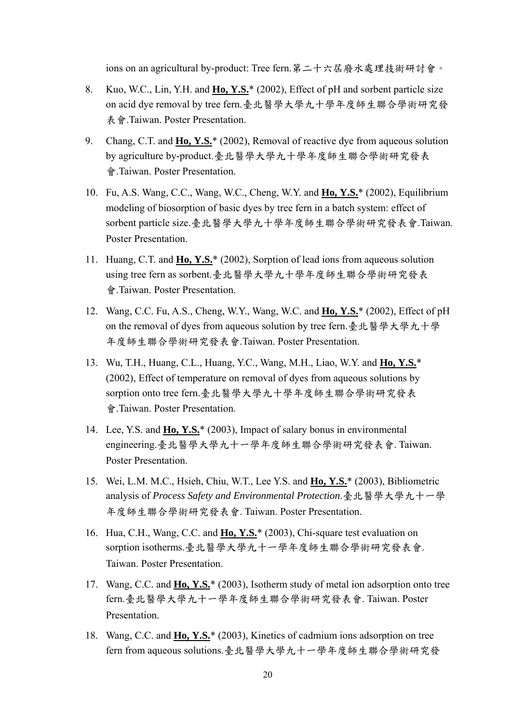ions on an agricultural by-product: Tree fern.第二十六屆廢水處理技術研討會。

- 8. Kuo, W.C., Lin, Y.H. and **Ho, Y.S.**\* (2002), Effect of pH and sorbent particle size on acid dye removal by tree fern.臺北醫學大學九十學年度師生聯合學術研究發 表會.Taiwan. Poster Presentation.
- 9. Chang, C.T. and **Ho, Y.S.**\* (2002), Removal of reactive dye from aqueous solution by agriculture by-product.臺北醫學大學九十學年度師生聯合學術研究發表 會.Taiwan. Poster Presentation.
- 10. Fu, A.S. Wang, C.C., Wang, W.C., Cheng, W.Y. and **Ho, Y.S.**\* (2002), Equilibrium modeling of biosorption of basic dyes by tree fern in a batch system: effect of sorbent particle size.臺北醫學大學九十學年度師生聯合學術研究發表會.Taiwan. Poster Presentation.
- 11. Huang, C.T. and **Ho, Y.S.**\* (2002), Sorption of lead ions from aqueous solution using tree fern as sorbent.臺北醫學大學九十學年度師生聯合學術研究發表 會.Taiwan. Poster Presentation.
- 12. Wang, C.C. Fu, A.S., Cheng, W.Y., Wang, W.C. and **Ho, Y.S.**\* (2002), Effect of pH on the removal of dyes from aqueous solution by tree fern.臺北醫學大學九十學 年度師生聯合學術研究發表會.Taiwan. Poster Presentation.
- 13. Wu, T.H., Huang, C.L., Huang, Y.C., Wang, M.H., Liao, W.Y. and **Ho, Y.S.**\* (2002), Effect of temperature on removal of dyes from aqueous solutions by sorption onto tree fern.臺北醫學大學九十學年度師生聯合學術研究發表 會.Taiwan. Poster Presentation.
- 14. Lee, Y.S. and **Ho, Y.S.**\* (2003), Impact of salary bonus in environmental engineering.臺北醫學大學九十一學年度師生聯合學術研究發表會. Taiwan. Poster Presentation.
- 15. Wei, L.M. M.C., Hsieh, Chiu, W.T., Lee Y.S. and **Ho, Y.S.**\* (2003), Bibliometric analysis of *Process Safety and Environmental Protection*.臺北醫學大學九十一學 年度師生聯合學術研究發表會. Taiwan. Poster Presentation.
- 16. Hua, C.H., Wang, C.C. and **Ho, Y.S.**\* (2003), Chi-square test evaluation on sorption isotherms.臺北醫學大學九十一學年度師生聯合學術研究發表會. Taiwan. Poster Presentation.
- 17. Wang, C.C. and **Ho, Y.S.**\* (2003), Isotherm study of metal ion adsorption onto tree fern.臺北醫學大學九十一學年度師生聯合學術研究發表會. Taiwan. Poster Presentation.
- 18. Wang, C.C. and **Ho, Y.S.**\* (2003), Kinetics of cadmium ions adsorption on tree fern from aqueous solutions.臺北醫學大學九十一學年度師生聯合學術研究發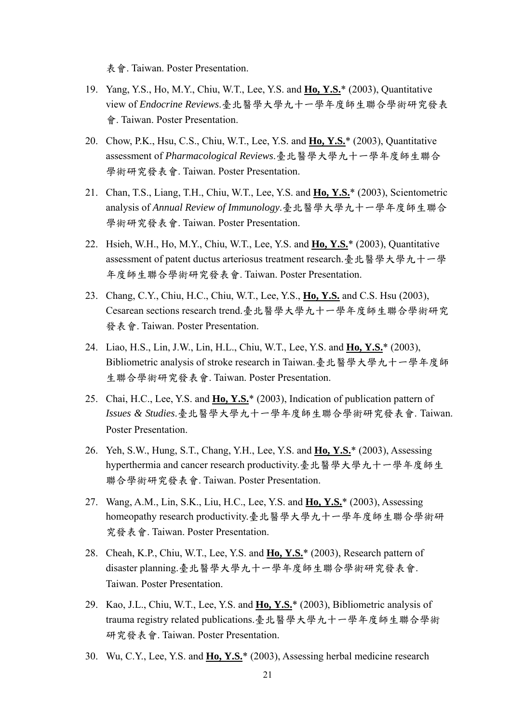表會. Taiwan. Poster Presentation.

- 19. Yang, Y.S., Ho, M.Y., Chiu, W.T., Lee, Y.S. and **Ho, Y.S.**\* (2003), Quantitative view of *Endocrine Reviews*.臺北醫學大學九十一學年度師生聯合學術研究發表 會. Taiwan. Poster Presentation.
- 20. Chow, P.K., Hsu, C.S., Chiu, W.T., Lee, Y.S. and **Ho, Y.S.**\* (2003), Quantitative assessment of *Pharmacological Reviews*.臺北醫學大學九十一學年度師生聯合 學術研究發表會. Taiwan. Poster Presentation.
- 21. Chan, T.S., Liang, T.H., Chiu, W.T., Lee, Y.S. and **Ho, Y.S.**\* (2003), Scientometric analysis of *Annual Review of Immunology*.臺北醫學大學九十一學年度師生聯合 學術研究發表會. Taiwan. Poster Presentation.
- 22. Hsieh, W.H., Ho, M.Y., Chiu, W.T., Lee, Y.S. and **Ho, Y.S.**\* (2003), Quantitative assessment of patent ductus arteriosus treatment research.臺北醫學大學九十一學 年度師生聯合學術研究發表會. Taiwan. Poster Presentation.
- 23. Chang, C.Y., Chiu, H.C., Chiu, W.T., Lee, Y.S., **Ho, Y.S.** and C.S. Hsu (2003), Cesarean sections research trend.臺北醫學大學九十一學年度師生聯合學術研究 發表會. Taiwan. Poster Presentation.
- 24. Liao, H.S., Lin, J.W., Lin, H.L., Chiu, W.T., Lee, Y.S. and **Ho, Y.S.**\* (2003), Bibliometric analysis of stroke research in Taiwan.臺北醫學大學九十一學年度師 生聯合學術研究發表會. Taiwan. Poster Presentation.
- 25. Chai, H.C., Lee, Y.S. and **Ho, Y.S.**\* (2003), Indication of publication pattern of *Issues & Studies*.臺北醫學大學九十一學年度師生聯合學術研究發表會. Taiwan. Poster Presentation.
- 26. Yeh, S.W., Hung, S.T., Chang, Y.H., Lee, Y.S. and **Ho, Y.S.**\* (2003), Assessing hyperthermia and cancer research productivity.臺北醫學大學九十一學年度師生 聯合學術研究發表會. Taiwan. Poster Presentation.
- 27. Wang, A.M., Lin, S.K., Liu, H.C., Lee, Y.S. and **Ho, Y.S.**\* (2003), Assessing homeopathy research productivity.臺北醫學大學九十一學年度師生聯合學術研 究發表會. Taiwan. Poster Presentation.
- 28. Cheah, K.P., Chiu, W.T., Lee, Y.S. and **Ho, Y.S.**\* (2003), Research pattern of disaster planning.臺北醫學大學九十一學年度師生聯合學術研究發表會. Taiwan. Poster Presentation.
- 29. Kao, J.L., Chiu, W.T., Lee, Y.S. and **Ho, Y.S.**\* (2003), Bibliometric analysis of trauma registry related publications.臺北醫學大學九十一學年度師生聯合學術 研究發表會. Taiwan. Poster Presentation.
- 30. Wu, C.Y., Lee, Y.S. and **Ho, Y.S.**\* (2003), Assessing herbal medicine research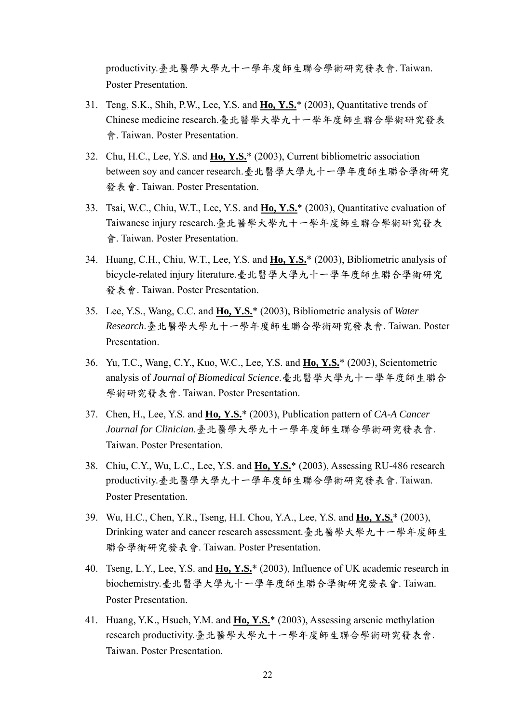productivity.臺北醫學大學九十一學年度師生聯合學術研究發表會. Taiwan. Poster Presentation.

- 31. Teng, S.K., Shih, P.W., Lee, Y.S. and **Ho, Y.S.**\* (2003), Quantitative trends of Chinese medicine research.臺北醫學大學九十一學年度師生聯合學術研究發表 會. Taiwan. Poster Presentation.
- 32. Chu, H.C., Lee, Y.S. and **Ho, Y.S.**\* (2003), Current bibliometric association between soy and cancer research.臺北醫學大學九十一學年度師生聯合學術研究 發表會. Taiwan. Poster Presentation.
- 33. Tsai, W.C., Chiu, W.T., Lee, Y.S. and **Ho, Y.S.**\* (2003), Quantitative evaluation of Taiwanese injury research.臺北醫學大學九十一學年度師生聯合學術研究發表 會. Taiwan. Poster Presentation.
- 34. Huang, C.H., Chiu, W.T., Lee, Y.S. and **Ho, Y.S.**\* (2003), Bibliometric analysis of bicycle-related injury literature.臺北醫學大學九十一學年度師生聯合學術研究 發表會. Taiwan. Poster Presentation.
- 35. Lee, Y.S., Wang, C.C. and **Ho, Y.S.**\* (2003), Bibliometric analysis of *Water Research*.臺北醫學大學九十一學年度師生聯合學術研究發表會. Taiwan. Poster Presentation.
- 36. Yu, T.C., Wang, C.Y., Kuo, W.C., Lee, Y.S. and **Ho, Y.S.**\* (2003), Scientometric analysis of *Journal of Biomedical Science*.臺北醫學大學九十一學年度師生聯合 學術研究發表會. Taiwan. Poster Presentation.
- 37. Chen, H., Lee, Y.S. and **Ho, Y.S.**\* (2003), Publication pattern of *CA-A Cancer Journal for Clinician*.臺北醫學大學九十一學年度師生聯合學術研究發表會. Taiwan. Poster Presentation.
- 38. Chiu, C.Y., Wu, L.C., Lee, Y.S. and **Ho, Y.S.**\* (2003), Assessing RU-486 research productivity.臺北醫學大學九十一學年度師生聯合學術研究發表會. Taiwan. Poster Presentation.
- 39. Wu, H.C., Chen, Y.R., Tseng, H.I. Chou, Y.A., Lee, Y.S. and **Ho, Y.S.**\* (2003), Drinking water and cancer research assessment.臺北醫學大學九十一學年度師生 聯合學術研究發表會. Taiwan. Poster Presentation.
- 40. Tseng, L.Y., Lee, Y.S. and **Ho, Y.S.**\* (2003), Influence of UK academic research in biochemistry.臺北醫學大學九十一學年度師生聯合學術研究發表會. Taiwan. Poster Presentation.
- 41. Huang, Y.K., Hsueh, Y.M. and **Ho, Y.S.**\* (2003), Assessing arsenic methylation research productivity.臺北醫學大學九十一學年度師生聯合學術研究發表會. Taiwan. Poster Presentation.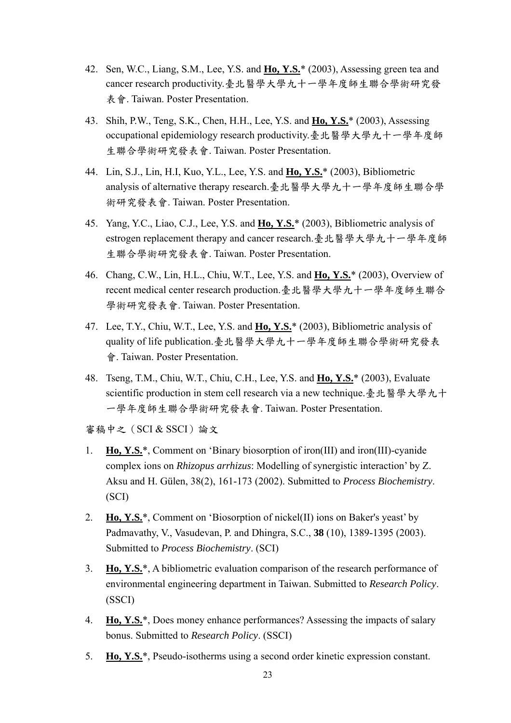- 42. Sen, W.C., Liang, S.M., Lee, Y.S. and **Ho, Y.S.**\* (2003), Assessing green tea and cancer research productivity.臺北醫學大學九十一學年度師生聯合學術研究發 表會. Taiwan. Poster Presentation.
- 43. Shih, P.W., Teng, S.K., Chen, H.H., Lee, Y.S. and **Ho, Y.S.**\* (2003), Assessing occupational epidemiology research productivity.臺北醫學大學九十一學年度師 生聯合學術研究發表會. Taiwan. Poster Presentation.
- 44. Lin, S.J., Lin, H.I, Kuo, Y.L., Lee, Y.S. and **Ho, Y.S.**\* (2003), Bibliometric analysis of alternative therapy research.臺北醫學大學九十一學年度師生聯合學 術研究發表會. Taiwan. Poster Presentation.
- 45. Yang, Y.C., Liao, C.J., Lee, Y.S. and **Ho, Y.S.**\* (2003), Bibliometric analysis of estrogen replacement therapy and cancer research.臺北醫學大學九十一學年度師 生聯合學術研究發表會. Taiwan. Poster Presentation.
- 46. Chang, C.W., Lin, H.L., Chiu, W.T., Lee, Y.S. and **Ho, Y.S.**\* (2003), Overview of recent medical center research production.臺北醫學大學九十一學年度師生聯合 學術研究發表會. Taiwan. Poster Presentation.
- 47. Lee, T.Y., Chiu, W.T., Lee, Y.S. and **Ho, Y.S.**\* (2003), Bibliometric analysis of quality of life publication.臺北醫學大學九十一學年度師生聯合學術研究發表 會. Taiwan. Poster Presentation.
- 48. Tseng, T.M., Chiu, W.T., Chiu, C.H., Lee, Y.S. and **Ho, Y.S.**\* (2003), Evaluate scientific production in stem cell research via a new technique.臺北醫學大學九十 一學年度師生聯合學術研究發表會. Taiwan. Poster Presentation.

審稿中之(SCI & SSCI)論文

- 1. **Ho, Y.S.**\*, Comment on 'Binary biosorption of iron(III) and iron(III)-cyanide complex ions on *Rhizopus arrhizus*: Modelling of synergistic interaction' by Z. Aksu and H. Gülen, 38(2), 161-173 (2002). Submitted to *Process Biochemistry*. (SCI)
- 2. **Ho, Y.S.**\*, Comment on 'Biosorption of nickel(II) ions on Baker's yeast' by Padmavathy, V., Vasudevan, P. and Dhingra, S.C., **38** (10), 1389-1395 (2003). Submitted to *Process Biochemistry*. (SCI)
- 3. **Ho, Y.S.**\*, A bibliometric evaluation comparison of the research performance of environmental engineering department in Taiwan. Submitted to *Research Policy*. (SSCI)
- 4. **Ho, Y.S.**\*, Does money enhance performances? Assessing the impacts of salary bonus. Submitted to *Research Policy*. (SSCI)
- 5. **Ho, Y.S.**\*, Pseudo-isotherms using a second order kinetic expression constant.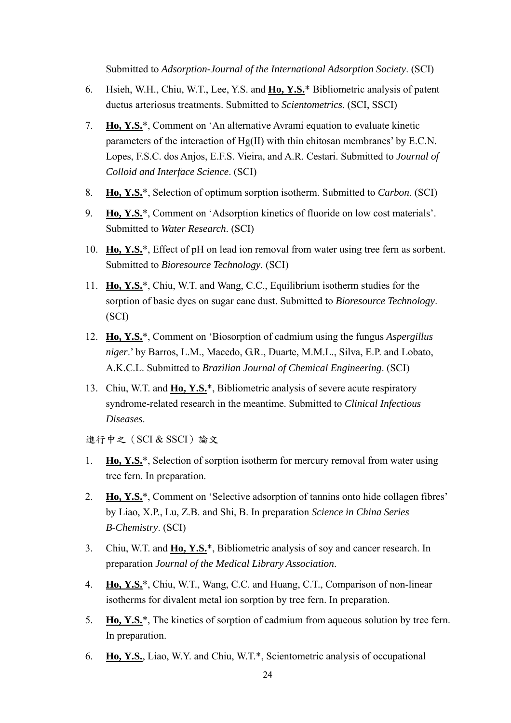Submitted to *Adsorption-Journal of the International Adsorption Society*. (SCI)

- 6. Hsieh, W.H., Chiu, W.T., Lee, Y.S. and **Ho, Y.S.**\* Bibliometric analysis of patent ductus arteriosus treatments. Submitted to *Scientometrics*. (SCI, SSCI)
- 7. **Ho, Y.S.**\*, Comment on 'An alternative Avrami equation to evaluate kinetic parameters of the interaction of Hg(II) with thin chitosan membranes' by E.C.N. Lopes, F.S.C. dos Anjos, E.F.S. Vieira, and A.R. Cestari. Submitted to *Journal of Colloid and Interface Science*. (SCI)
- 8. **Ho, Y.S.**\*, Selection of optimum sorption isotherm. Submitted to *Carbon*. (SCI)
- 9. **Ho, Y.S.**\*, Comment on 'Adsorption kinetics of fluoride on low cost materials'. Submitted to *Water Research*. (SCI)
- 10. **Ho, Y.S.**\*, Effect of pH on lead ion removal from water using tree fern as sorbent. Submitted to *Bioresource Technology*. (SCI)
- 11. **Ho, Y.S.**\*, Chiu, W.T. and Wang, C.C., Equilibrium isotherm studies for the sorption of basic dyes on sugar cane dust. Submitted to *Bioresource Technology*. (SCI)
- 12. **Ho, Y.S.**\*, Comment on 'Biosorption of cadmium using the fungus *Aspergillus niger*.' by Barros, L.M., Macedo, G.R., Duarte, M.M.L., Silva, E.P. and Lobato, A.K.C.L. Submitted to *Brazilian Journal of Chemical Engineering*. (SCI)
- 13. Chiu, W.T. and **Ho, Y.S.**\*, Bibliometric analysis of severe acute respiratory syndrome-related research in the meantime. Submitted to *Clinical Infectious Diseases*.
- 進行中之(SCI & SSCI)論文
- 1. **Ho, Y.S.**\*, Selection of sorption isotherm for mercury removal from water using tree fern. In preparation.
- 2. **Ho, Y.S.**\*, Comment on 'Selective adsorption of tannins onto hide collagen fibres' by Liao, X.P., Lu, Z.B. and Shi, B. In preparation *Science in China Series B-Chemistry*. (SCI)
- 3. Chiu, W.T. and **Ho, Y.S.**\*, Bibliometric analysis of soy and cancer research. In preparation *Journal of the Medical Library Association*.
- 4. **Ho, Y.S.**\*, Chiu, W.T., Wang, C.C. and Huang, C.T., Comparison of non-linear isotherms for divalent metal ion sorption by tree fern. In preparation.
- 5. **Ho, Y.S.**\*, The kinetics of sorption of cadmium from aqueous solution by tree fern. In preparation.
- 6. **Ho, Y.S.**, Liao, W.Y. and Chiu, W.T.\*, Scientometric analysis of occupational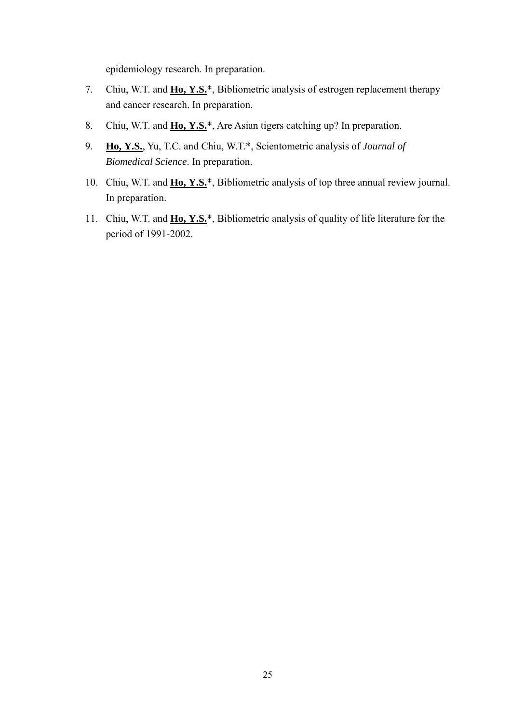epidemiology research. In preparation.

- 7. Chiu, W.T. and **Ho, Y.S.**\*, Bibliometric analysis of estrogen replacement therapy and cancer research. In preparation.
- 8. Chiu, W.T. and **Ho, Y.S.**\*, Are Asian tigers catching up? In preparation.
- 9. **Ho, Y.S.**, Yu, T.C. and Chiu, W.T.\*, Scientometric analysis of *Journal of Biomedical Science*. In preparation.
- 10. Chiu, W.T. and **Ho, Y.S.**\*, Bibliometric analysis of top three annual review journal. In preparation.
- 11. Chiu, W.T. and **Ho, Y.S.**\*, Bibliometric analysis of quality of life literature for the period of 1991-2002.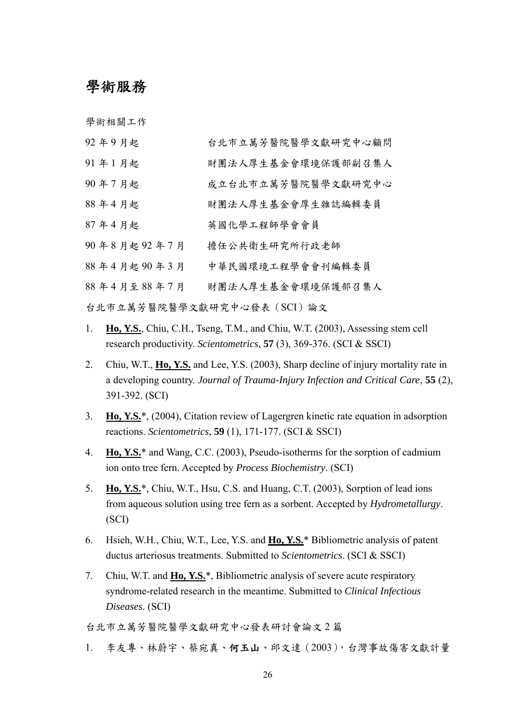### 學術服務

學術相關工作

| 92年9月起                     | 台北市立萬芳醫院醫學文獻研究中心顧問 |  |  |
|----------------------------|--------------------|--|--|
| 91年1月起                     | 財團法人厚生基金會環境保護部副召集人 |  |  |
| 90年7月起                     | 成立台北市立萬芳醫院醫學文獻研究中心 |  |  |
| 88年4月起                     | 財團法人厚生基金會厚生雜誌編輯委員  |  |  |
| 87年4月起                     | 英國化學工程師學會會員        |  |  |
| 90年8月起92年7月                | 擔任公共衛生研究所行政老師      |  |  |
| 88年4月起90年3月                | 中華民國環境工程學會會刊編輯委員   |  |  |
| 88年4月至88年7月                | 財團法人厚生基金會環境保護部召集人  |  |  |
| 台北市立萬芳醫院醫學文獻研究中心發表 (SCI)論文 |                    |  |  |

- 1. **Ho, Y.S.**, Chiu, C.H., Tseng, T.M., and Chiu, W.T. (2003), Assessing stem cell research productivity. *Scientometrics*, **57** (3), 369-376. (SCI & SSCI)
- 2. Chiu, W.T., **Ho, Y.S.** and Lee, Y.S. (2003), Sharp decline of injury mortality rate in a developing country. *Journal of Trauma-Injury Infection and Critical Care*, **55** (2), 391-392. (SCI)
- 3. **Ho, Y.S.**\*, (2004), Citation review of Lagergren kinetic rate equation in adsorption reactions. *Scientometrics*, **59** (1), 171-177. (SCI & SSCI)
- 4. **Ho, Y.S.**\* and Wang, C.C. (2003), Pseudo-isotherms for the sorption of cadmium ion onto tree fern. Accepted by *Process Biochemistry*. (SCI)
- 5. **Ho, Y.S.**\*, Chiu, W.T., Hsu, C.S. and Huang, C.T. (2003), Sorption of lead ions from aqueous solution using tree fern as a sorbent. Accepted by *Hydrometallurgy*. (SCI)
- 6. Hsieh, W.H., Chiu, W.T., Lee, Y.S. and **Ho, Y.S.**\* Bibliometric analysis of patent ductus arteriosus treatments. Submitted to *Scientometrics*. (SCI & SSCI)
- 7. Chiu, W.T. and **Ho, Y.S.**\*, Bibliometric analysis of severe acute respiratory syndrome-related research in the meantime. Submitted to *Clinical Infectious Diseases*. (SCI)

台北市立萬芳醫院醫學文獻研究中心發表研討會論文 2 篇

1. 李友專、林蔚宇、蔡宛真、何玉山、邱文達(2003),台灣事故傷害文獻計量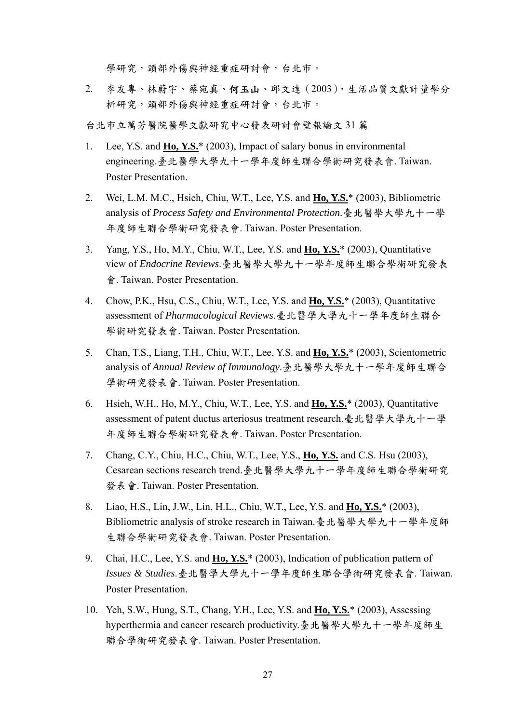學研究,頭部外傷與神經重症研討會,台北市。

2. 李友專、林蔚宇、蔡宛真、何玉山、邱文達(2003),生活品質文獻計量學分 析研究,頭部外傷與神經重症研討會,台北市。

台北市立萬芳醫院醫學文獻研究中心發表研討會壁報論文 31 篇

- 1. Lee, Y.S. and **Ho, Y.S.**\* (2003), Impact of salary bonus in environmental engineering.臺北醫學大學九十一學年度師生聯合學術研究發表會. Taiwan. Poster Presentation.
- 2. Wei, L.M. M.C., Hsieh, Chiu, W.T., Lee, Y.S. and **Ho, Y.S.**\* (2003), Bibliometric analysis of *Process Safety and Environmental Protection*.臺北醫學大學九十一學 年度師生聯合學術研究發表會. Taiwan. Poster Presentation.
- 3. Yang, Y.S., Ho, M.Y., Chiu, W.T., Lee, Y.S. and **Ho, Y.S.**\* (2003), Quantitative view of *Endocrine Reviews*.臺北醫學大學九十一學年度師生聯合學術研究發表 會. Taiwan. Poster Presentation.
- 4. Chow, P.K., Hsu, C.S., Chiu, W.T., Lee, Y.S. and **Ho, Y.S.**\* (2003), Quantitative assessment of *Pharmacological Reviews*.臺北醫學大學九十一學年度師生聯合 學術研究發表會. Taiwan. Poster Presentation.
- 5. Chan, T.S., Liang, T.H., Chiu, W.T., Lee, Y.S. and **Ho, Y.S.**\* (2003), Scientometric analysis of *Annual Review of Immunology*.臺北醫學大學九十一學年度師生聯合 學術研究發表會. Taiwan. Poster Presentation.
- 6. Hsieh, W.H., Ho, M.Y., Chiu, W.T., Lee, Y.S. and **Ho, Y.S.**\* (2003), Quantitative assessment of patent ductus arteriosus treatment research.臺北醫學大學九十一學 年度師生聯合學術研究發表會. Taiwan. Poster Presentation.
- 7. Chang, C.Y., Chiu, H.C., Chiu, W.T., Lee, Y.S., **Ho, Y.S.** and C.S. Hsu (2003), Cesarean sections research trend.臺北醫學大學九十一學年度師生聯合學術研究 發表會. Taiwan. Poster Presentation.
- 8. Liao, H.S., Lin, J.W., Lin, H.L., Chiu, W.T., Lee, Y.S. and **Ho, Y.S.**\* (2003), Bibliometric analysis of stroke research in Taiwan.臺北醫學大學九十一學年度師 生聯合學術研究發表會. Taiwan. Poster Presentation.
- 9. Chai, H.C., Lee, Y.S. and **Ho, Y.S.**\* (2003), Indication of publication pattern of *Issues & Studies*.臺北醫學大學九十一學年度師生聯合學術研究發表會. Taiwan. Poster Presentation.
- 10. Yeh, S.W., Hung, S.T., Chang, Y.H., Lee, Y.S. and **Ho, Y.S.**\* (2003), Assessing hyperthermia and cancer research productivity.臺北醫學大學九十一學年度師生 聯合學術研究發表會. Taiwan. Poster Presentation.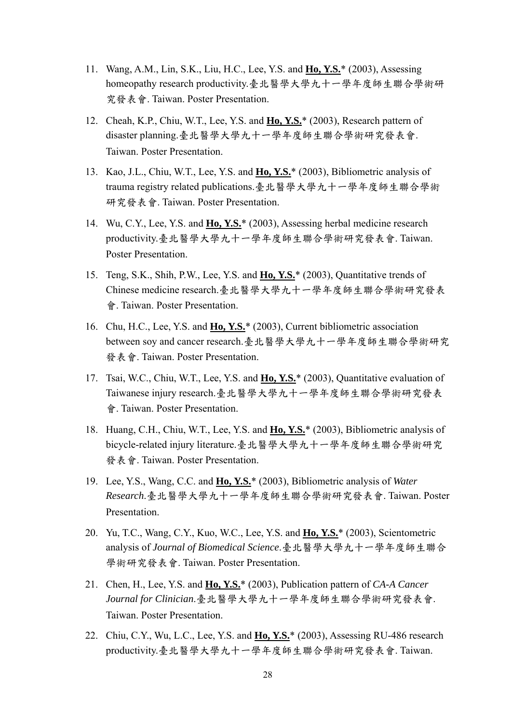- 11. Wang, A.M., Lin, S.K., Liu, H.C., Lee, Y.S. and **Ho, Y.S.**\* (2003), Assessing homeopathy research productivity.臺北醫學大學九十一學年度師生聯合學術研 究發表會. Taiwan. Poster Presentation.
- 12. Cheah, K.P., Chiu, W.T., Lee, Y.S. and **Ho, Y.S.**\* (2003), Research pattern of disaster planning.臺北醫學大學九十一學年度師生聯合學術研究發表會. Taiwan. Poster Presentation.
- 13. Kao, J.L., Chiu, W.T., Lee, Y.S. and **Ho, Y.S.**\* (2003), Bibliometric analysis of trauma registry related publications.臺北醫學大學九十一學年度師生聯合學術 研究發表會. Taiwan. Poster Presentation.
- 14. Wu, C.Y., Lee, Y.S. and **Ho, Y.S.**\* (2003), Assessing herbal medicine research productivity.臺北醫學大學九十一學年度師生聯合學術研究發表會. Taiwan. Poster Presentation.
- 15. Teng, S.K., Shih, P.W., Lee, Y.S. and **Ho, Y.S.**\* (2003), Quantitative trends of Chinese medicine research.臺北醫學大學九十一學年度師生聯合學術研究發表 會. Taiwan. Poster Presentation.
- 16. Chu, H.C., Lee, Y.S. and **Ho, Y.S.**\* (2003), Current bibliometric association between soy and cancer research.臺北醫學大學九十一學年度師生聯合學術研究 發表會. Taiwan. Poster Presentation.
- 17. Tsai, W.C., Chiu, W.T., Lee, Y.S. and **Ho, Y.S.**\* (2003), Quantitative evaluation of Taiwanese injury research.臺北醫學大學九十一學年度師生聯合學術研究發表 會. Taiwan. Poster Presentation.
- 18. Huang, C.H., Chiu, W.T., Lee, Y.S. and **Ho, Y.S.**\* (2003), Bibliometric analysis of bicycle-related injury literature.臺北醫學大學九十一學年度師生聯合學術研究 發表會. Taiwan. Poster Presentation.
- 19. Lee, Y.S., Wang, C.C. and **Ho, Y.S.**\* (2003), Bibliometric analysis of *Water Research*.臺北醫學大學九十一學年度師生聯合學術研究發表會. Taiwan. Poster Presentation.
- 20. Yu, T.C., Wang, C.Y., Kuo, W.C., Lee, Y.S. and **Ho, Y.S.**\* (2003), Scientometric analysis of *Journal of Biomedical Science*.臺北醫學大學九十一學年度師生聯合 學術研究發表會. Taiwan. Poster Presentation.
- 21. Chen, H., Lee, Y.S. and **Ho, Y.S.**\* (2003), Publication pattern of *CA-A Cancer Journal for Clinician*.臺北醫學大學九十一學年度師生聯合學術研究發表會. Taiwan. Poster Presentation.
- 22. Chiu, C.Y., Wu, L.C., Lee, Y.S. and **Ho, Y.S.**\* (2003), Assessing RU-486 research productivity.臺北醫學大學九十一學年度師生聯合學術研究發表會. Taiwan.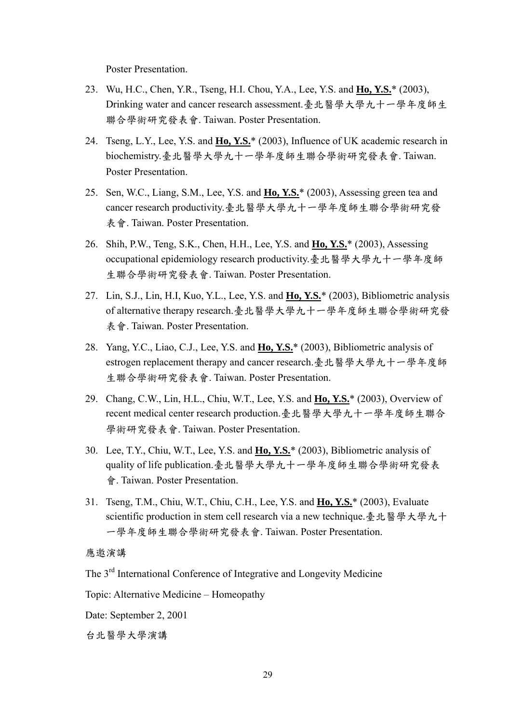Poster Presentation.

- 23. Wu, H.C., Chen, Y.R., Tseng, H.I. Chou, Y.A., Lee, Y.S. and **Ho, Y.S.**\* (2003), Drinking water and cancer research assessment.臺北醫學大學九十一學年度師生 聯合學術研究發表會. Taiwan. Poster Presentation.
- 24. Tseng, L.Y., Lee, Y.S. and **Ho, Y.S.**\* (2003), Influence of UK academic research in biochemistry.臺北醫學大學九十一學年度師生聯合學術研究發表會. Taiwan. Poster Presentation.
- 25. Sen, W.C., Liang, S.M., Lee, Y.S. and **Ho, Y.S.**\* (2003), Assessing green tea and cancer research productivity.臺北醫學大學九十一學年度師生聯合學術研究發 表會. Taiwan. Poster Presentation.
- 26. Shih, P.W., Teng, S.K., Chen, H.H., Lee, Y.S. and **Ho, Y.S.**\* (2003), Assessing occupational epidemiology research productivity.臺北醫學大學九十一學年度師 生聯合學術研究發表會. Taiwan. Poster Presentation.
- 27. Lin, S.J., Lin, H.I, Kuo, Y.L., Lee, Y.S. and **Ho, Y.S.**\* (2003), Bibliometric analysis of alternative therapy research.臺北醫學大學九十一學年度師生聯合學術研究發 表會. Taiwan. Poster Presentation.
- 28. Yang, Y.C., Liao, C.J., Lee, Y.S. and **Ho, Y.S.**\* (2003), Bibliometric analysis of estrogen replacement therapy and cancer research.臺北醫學大學九十一學年度師 生聯合學術研究發表會. Taiwan. Poster Presentation.
- 29. Chang, C.W., Lin, H.L., Chiu, W.T., Lee, Y.S. and **Ho, Y.S.**\* (2003), Overview of recent medical center research production.臺北醫學大學九十一學年度師生聯合 學術研究發表會. Taiwan. Poster Presentation.
- 30. Lee, T.Y., Chiu, W.T., Lee, Y.S. and **Ho, Y.S.**\* (2003), Bibliometric analysis of quality of life publication.臺北醫學大學九十一學年度師生聯合學術研究發表 會. Taiwan. Poster Presentation.
- 31. Tseng, T.M., Chiu, W.T., Chiu, C.H., Lee, Y.S. and **Ho, Y.S.**\* (2003), Evaluate scientific production in stem cell research via a new technique.臺北醫學大學九十 一學年度師生聯合學術研究發表會. Taiwan. Poster Presentation.

#### 應邀演講

The 3<sup>rd</sup> International Conference of Integrative and Longevity Medicine

Topic: Alternative Medicine – Homeopathy

Date: September 2, 2001

台北醫學大學演講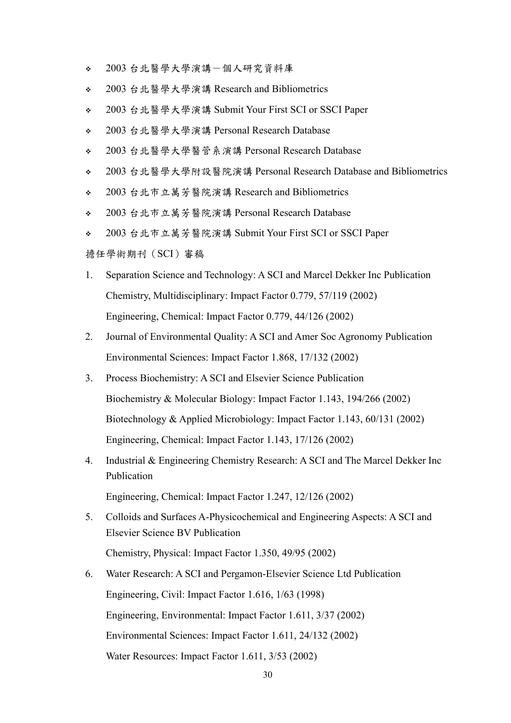- 2003 台北醫學大學演講-個人研究資料庫
- 2003 台北醫學大學演講 Research and Bibliometrics
- 2003 台北醫學大學演講 Submit Your First SCI or SSCI Paper
- 2003 台北醫學大學演講 Personal Research Database
- 2003 台北醫學大學醫管系演講 Personal Research Database
- 2003 台北醫學大學附設醫院演講 Personal Research Database and Bibliometrics
- 2003 台北市立萬芳醫院演講 Research and Bibliometrics
- 2003 台北市立萬芳醫院演講 Personal Research Database
- 2003 台北市立萬芳醫院演講 Submit Your First SCI or SSCI Paper

擔任學術期刊(SCI)審稿

- 1. Separation Science and Technology: A SCI and Marcel Dekker Inc Publication Chemistry, Multidisciplinary: Impact Factor 0.779, 57/119 (2002) Engineering, Chemical: Impact Factor 0.779, 44/126 (2002)
- 2. Journal of Environmental Quality: A SCI and Amer Soc Agronomy Publication Environmental Sciences: Impact Factor 1.868, 17/132 (2002)
- 3. Process Biochemistry: A SCI and Elsevier Science Publication Biochemistry & Molecular Biology: Impact Factor 1.143, 194/266 (2002) Biotechnology & Applied Microbiology: Impact Factor 1.143, 60/131 (2002) Engineering, Chemical: Impact Factor 1.143, 17/126 (2002)
- 4. Industrial & Engineering Chemistry Research: A SCI and The Marcel Dekker Inc Publication

Engineering, Chemical: Impact Factor 1.247, 12/126 (2002)

- 5. Colloids and Surfaces A-Physicochemical and Engineering Aspects: A SCI and Elsevier Science BV Publication Chemistry, Physical: Impact Factor 1.350, 49/95 (2002)
- 6. Water Research: A SCI and Pergamon-Elsevier Science Ltd Publication Engineering, Civil: Impact Factor 1.616, 1/63 (1998) Engineering, Environmental: Impact Factor 1.611, 3/37 (2002) Environmental Sciences: Impact Factor 1.611, 24/132 (2002) Water Resources: Impact Factor 1.611, 3/53 (2002)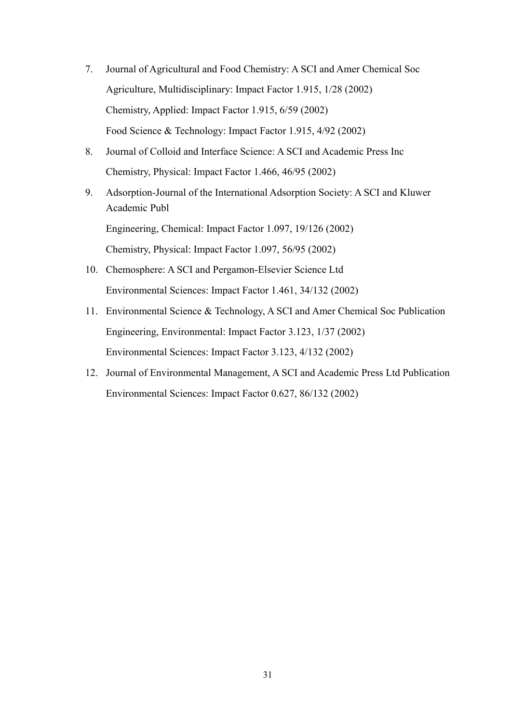- 7. Journal of Agricultural and Food Chemistry: A SCI and Amer Chemical Soc Agriculture, Multidisciplinary: Impact Factor 1.915, 1/28 (2002) Chemistry, Applied: Impact Factor 1.915, 6/59 (2002) Food Science & Technology: Impact Factor 1.915, 4/92 (2002)
- 8. Journal of Colloid and Interface Science: A SCI and Academic Press Inc Chemistry, Physical: Impact Factor 1.466, 46/95 (2002)
- 9. Adsorption-Journal of the International Adsorption Society: A SCI and Kluwer Academic Publ Engineering, Chemical: Impact Factor 1.097, 19/126 (2002) Chemistry, Physical: Impact Factor 1.097, 56/95 (2002)
- 10. Chemosphere: A SCI and Pergamon-Elsevier Science Ltd Environmental Sciences: Impact Factor 1.461, 34/132 (2002)
- 11. Environmental Science & Technology, A SCI and Amer Chemical Soc Publication Engineering, Environmental: Impact Factor 3.123, 1/37 (2002) Environmental Sciences: Impact Factor 3.123, 4/132 (2002)
- 12. Journal of Environmental Management, A SCI and Academic Press Ltd Publication Environmental Sciences: Impact Factor 0.627, 86/132 (2002)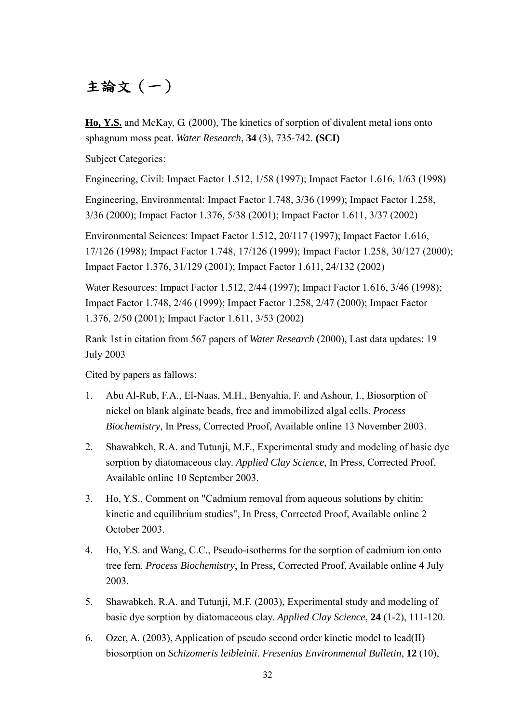# 主論文(一)

**Ho, Y.S.** and McKay, G. (2000), The kinetics of sorption of divalent metal ions onto sphagnum moss peat. *Water Research*, **34** (3), 735-742. **(SCI)**

Subject Categories:

Engineering, Civil: Impact Factor 1.512, 1/58 (1997); Impact Factor 1.616, 1/63 (1998)

Engineering, Environmental: Impact Factor 1.748, 3/36 (1999); Impact Factor 1.258, 3/36 (2000); Impact Factor 1.376, 5/38 (2001); Impact Factor 1.611, 3/37 (2002)

Environmental Sciences: Impact Factor 1.512, 20/117 (1997); Impact Factor 1.616, 17/126 (1998); Impact Factor 1.748, 17/126 (1999); Impact Factor 1.258, 30/127 (2000); Impact Factor 1.376, 31/129 (2001); Impact Factor 1.611, 24/132 (2002)

Water Resources: Impact Factor 1.512, 2/44 (1997); Impact Factor 1.616, 3/46 (1998); Impact Factor 1.748, 2/46 (1999); Impact Factor 1.258, 2/47 (2000); Impact Factor 1.376, 2/50 (2001); Impact Factor 1.611, 3/53 (2002)

Rank 1st in citation from 567 papers of *Water Research* (2000), Last data updates: 19 July 2003

Cited by papers as fallows:

- 1. Abu Al-Rub, F.A., El-Naas, M.H., Benyahia, F. and Ashour, I., Biosorption of nickel on blank alginate beads, free and immobilized algal cells. *Process Biochemistry*, In Press, Corrected Proof, Available online 13 November 2003.
- 2. Shawabkeh, R.A. and Tutunji, M.F., Experimental study and modeling of basic dye sorption by diatomaceous clay. *Applied Clay Science*, In Press, Corrected Proof, Available online 10 September 2003.
- 3. Ho, Y.S., Comment on "Cadmium removal from aqueous solutions by chitin: kinetic and equilibrium studies", In Press, Corrected Proof, Available online 2 October 2003.
- 4. Ho, Y.S. and Wang, C.C., Pseudo-isotherms for the sorption of cadmium ion onto tree fern. *Process Biochemistry*, In Press, Corrected Proof, Available online 4 July 2003.
- 5. Shawabkeh, R.A. and Tutunji, M.F. (2003), Experimental study and modeling of basic dye sorption by diatomaceous clay. *Applied Clay Science*, **24** (1-2), 111-120.
- 6. Ozer, A. (2003), Application of pseudo second order kinetic model to lead(II) biosorption on *Schizomeris leibleinii*. *Fresenius Environmental Bulletin*, **12** (10),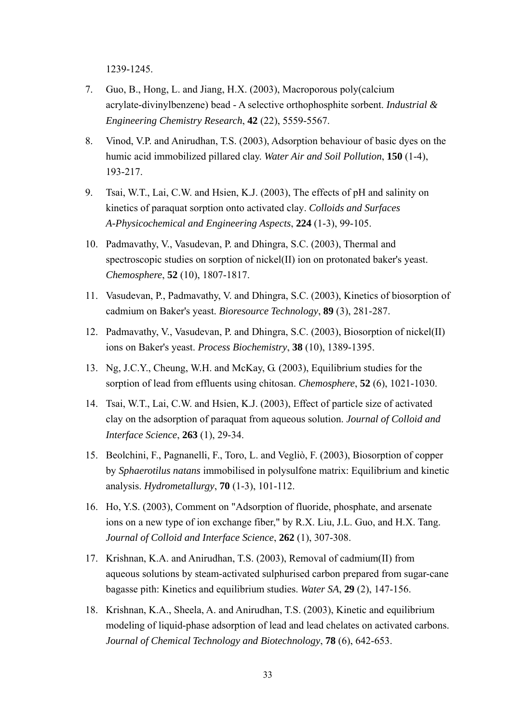1239-1245.

- 7. Guo, B., Hong, L. and Jiang, H.X. (2003), Macroporous poly(calcium acrylate-divinylbenzene) bead - A selective orthophosphite sorbent. *Industrial & Engineering Chemistry Research*, **42** (22), 5559-5567.
- 8. Vinod, V.P. and Anirudhan, T.S. (2003), Adsorption behaviour of basic dyes on the humic acid immobilized pillared clay. *Water Air and Soil Pollution*, **150** (1-4), 193-217.
- 9. Tsai, W.T., Lai, C.W. and Hsien, K.J. (2003), The effects of pH and salinity on kinetics of paraquat sorption onto activated clay. *Colloids and Surfaces A-Physicochemical and Engineering Aspects*, **224** (1-3), 99-105.
- 10. Padmavathy, V., Vasudevan, P. and Dhingra, S.C. (2003), Thermal and spectroscopic studies on sorption of nickel(II) ion on protonated baker's yeast. *Chemosphere*, **52** (10), 1807-1817.
- 11. Vasudevan, P., Padmavathy, V. and Dhingra, S.C. (2003), Kinetics of biosorption of cadmium on Baker's yeast. *Bioresource Technology*, **89** (3), 281-287.
- 12. Padmavathy, V., Vasudevan, P. and Dhingra, S.C. (2003), Biosorption of nickel(II) ions on Baker's yeast. *Process Biochemistry*, **38** (10), 1389-1395.
- 13. Ng, J.C.Y., Cheung, W.H. and McKay, G. (2003), Equilibrium studies for the sorption of lead from effluents using chitosan. *Chemosphere*, **52** (6), 1021-1030.
- 14. Tsai, W.T., Lai, C.W. and Hsien, K.J. (2003), Effect of particle size of activated clay on the adsorption of paraquat from aqueous solution. *Journal of Colloid and Interface Science*, **263** (1), 29-34.
- 15. Beolchini, F., Pagnanelli, F., Toro, L. and Vegliò, F. (2003), Biosorption of copper by *Sphaerotilus natans* immobilised in polysulfone matrix: Equilibrium and kinetic analysis. *Hydrometallurgy*, **70** (1-3), 101-112.
- 16. Ho, Y.S. (2003), Comment on "Adsorption of fluoride, phosphate, and arsenate ions on a new type of ion exchange fiber," by R.X. Liu, J.L. Guo, and H.X. Tang. *Journal of Colloid and Interface Science*, **262** (1), 307-308.
- 17. Krishnan, K.A. and Anirudhan, T.S. (2003), Removal of cadmium(II) from aqueous solutions by steam-activated sulphurised carbon prepared from sugar-cane bagasse pith: Kinetics and equilibrium studies. *Water SA*, **29** (2), 147-156.
- 18. Krishnan, K.A., Sheela, A. and Anirudhan, T.S. (2003), Kinetic and equilibrium modeling of liquid-phase adsorption of lead and lead chelates on activated carbons. *Journal of Chemical Technology and Biotechnology*, **78** (6), 642-653.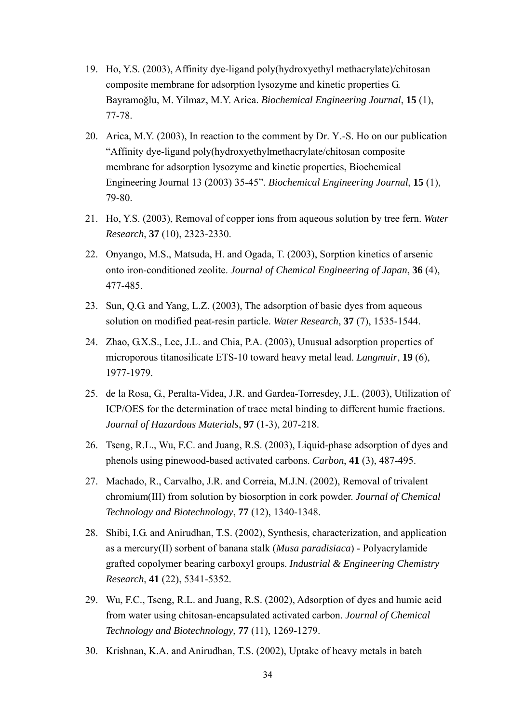- 19. Ho, Y.S. (2003), Affinity dye-ligand poly(hydroxyethyl methacrylate)/chitosan composite membrane for adsorption lysozyme and kinetic properties G. Bayramoğlu, M. Yilmaz, M.Y. Arica. *Biochemical Engineering Journal*, **15** (1), 77-78.
- 20. Arica, M.Y. (2003), In reaction to the comment by Dr. Y.-S. Ho on our publication "Affinity dye-ligand poly(hydroxyethylmethacrylate/chitosan composite membrane for adsorption lysozyme and kinetic properties, Biochemical Engineering Journal 13 (2003) 35-45". *Biochemical Engineering Journal*, **15** (1), 79-80.
- 21. Ho, Y.S. (2003), Removal of copper ions from aqueous solution by tree fern. *Water Research*, **37** (10), 2323-2330.
- 22. Onyango, M.S., Matsuda, H. and Ogada, T. (2003), Sorption kinetics of arsenic onto iron-conditioned zeolite. *Journal of Chemical Engineering of Japan*, **36** (4), 477-485.
- 23. Sun, Q.G. and Yang, L.Z. (2003), The adsorption of basic dyes from aqueous solution on modified peat-resin particle. *Water Research*, **37** (7), 1535-1544.
- 24. Zhao, G.X.S., Lee, J.L. and Chia, P.A. (2003), Unusual adsorption properties of microporous titanosilicate ETS-10 toward heavy metal lead. *Langmuir*, **19** (6), 1977-1979.
- 25. de la Rosa, G., Peralta-Videa, J.R. and Gardea-Torresdey, J.L. (2003), Utilization of ICP/OES for the determination of trace metal binding to different humic fractions. *Journal of Hazardous Materials*, **97** (1-3), 207-218.
- 26. Tseng, R.L., Wu, F.C. and Juang, R.S. (2003), Liquid-phase adsorption of dyes and phenols using pinewood-based activated carbons. *Carbon*, **41** (3), 487-495.
- 27. Machado, R., Carvalho, J.R. and Correia, M.J.N. (2002), Removal of trivalent chromium(III) from solution by biosorption in cork powder. *Journal of Chemical Technology and Biotechnology*, **77** (12), 1340-1348.
- 28. Shibi, I.G. and Anirudhan, T.S. (2002), Synthesis, characterization, and application as a mercury(II) sorbent of banana stalk (*Musa paradisiaca*) - Polyacrylamide grafted copolymer bearing carboxyl groups. *Industrial & Engineering Chemistry Research*, **41** (22), 5341-5352.
- 29. Wu, F.C., Tseng, R.L. and Juang, R.S. (2002), Adsorption of dyes and humic acid from water using chitosan-encapsulated activated carbon. *Journal of Chemical Technology and Biotechnology*, **77** (11), 1269-1279.
- 30. Krishnan, K.A. and Anirudhan, T.S. (2002), Uptake of heavy metals in batch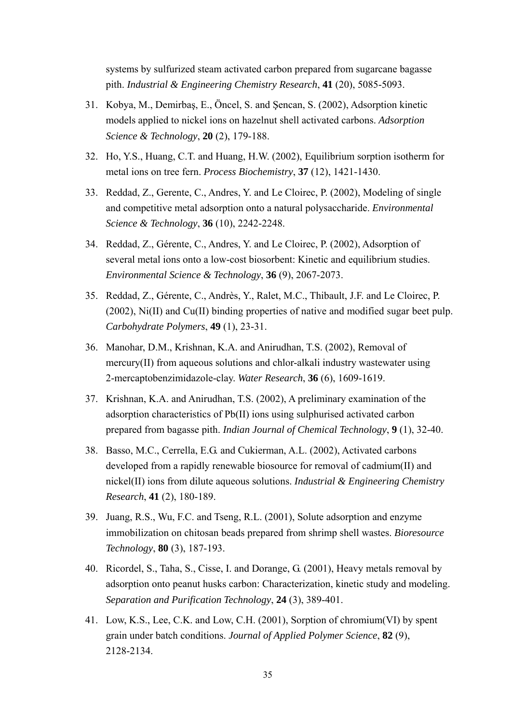systems by sulfurized steam activated carbon prepared from sugarcane bagasse pith. *Industrial & Engineering Chemistry Research*, **41** (20), 5085-5093.

- 31. Kobya, M., Demirbaş, E., Öncel, S. and Şencan, S. (2002), Adsorption kinetic models applied to nickel ions on hazelnut shell activated carbons. *Adsorption Science & Technology*, **20** (2), 179-188.
- 32. Ho, Y.S., Huang, C.T. and Huang, H.W. (2002), Equilibrium sorption isotherm for metal ions on tree fern. *Process Biochemistry*, **37** (12), 1421-1430.
- 33. Reddad, Z., Gerente, C., Andres, Y. and Le Cloirec, P. (2002), Modeling of single and competitive metal adsorption onto a natural polysaccharide. *Environmental Science & Technology*, **36** (10), 2242-2248.
- 34. Reddad, Z., Gérente, C., Andres, Y. and Le Cloirec, P. (2002), Adsorption of several metal ions onto a low-cost biosorbent: Kinetic and equilibrium studies. *Environmental Science & Technology*, **36** (9), 2067-2073.
- 35. Reddad, Z., Gérente, C., Andrès, Y., Ralet, M.C., Thibault, J.F. and Le Cloirec, P. (2002), Ni(II) and Cu(II) binding properties of native and modified sugar beet pulp. *Carbohydrate Polymers*, **49** (1), 23-31.
- 36. Manohar, D.M., Krishnan, K.A. and Anirudhan, T.S. (2002), Removal of mercury(II) from aqueous solutions and chlor-alkali industry wastewater using 2-mercaptobenzimidazole-clay. *Water Research*, **36** (6), 1609-1619.
- 37. Krishnan, K.A. and Anirudhan, T.S. (2002), A preliminary examination of the adsorption characteristics of Pb(II) ions using sulphurised activated carbon prepared from bagasse pith. *Indian Journal of Chemical Technology*, **9** (1), 32-40.
- 38. Basso, M.C., Cerrella, E.G. and Cukierman, A.L. (2002), Activated carbons developed from a rapidly renewable biosource for removal of cadmium(II) and nickel(II) ions from dilute aqueous solutions. *Industrial & Engineering Chemistry Research*, **41** (2), 180-189.
- 39. Juang, R.S., Wu, F.C. and Tseng, R.L. (2001), Solute adsorption and enzyme immobilization on chitosan beads prepared from shrimp shell wastes. *Bioresource Technology*, **80** (3), 187-193.
- 40. Ricordel, S., Taha, S., Cisse, I. and Dorange, G. (2001), Heavy metals removal by adsorption onto peanut husks carbon: Characterization, kinetic study and modeling. *Separation and Purification Technology*, **24** (3), 389-401.
- 41. Low, K.S., Lee, C.K. and Low, C.H. (2001), Sorption of chromium(VI) by spent grain under batch conditions. *Journal of Applied Polymer Science*, **82** (9), 2128-2134.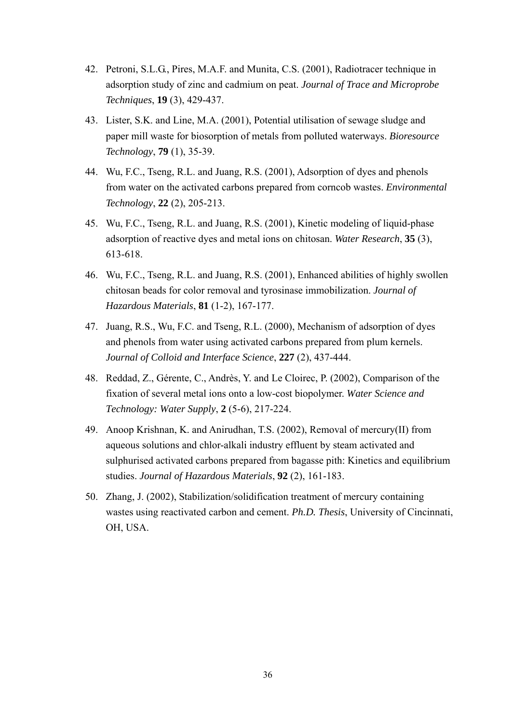- 42. Petroni, S.L.G., Pires, M.A.F. and Munita, C.S. (2001), Radiotracer technique in adsorption study of zinc and cadmium on peat. *Journal of Trace and Microprobe Techniques*, **19** (3), 429-437.
- 43. Lister, S.K. and Line, M.A. (2001), Potential utilisation of sewage sludge and paper mill waste for biosorption of metals from polluted waterways. *Bioresource Technology*, **79** (1), 35-39.
- 44. Wu, F.C., Tseng, R.L. and Juang, R.S. (2001), Adsorption of dyes and phenols from water on the activated carbons prepared from corncob wastes. *Environmental Technology*, **22** (2), 205-213.
- 45. Wu, F.C., Tseng, R.L. and Juang, R.S. (2001), Kinetic modeling of liquid-phase adsorption of reactive dyes and metal ions on chitosan. *Water Research*, **35** (3), 613-618.
- 46. Wu, F.C., Tseng, R.L. and Juang, R.S. (2001), Enhanced abilities of highly swollen chitosan beads for color removal and tyrosinase immobilization. *Journal of Hazardous Materials*, **81** (1-2), 167-177.
- 47. Juang, R.S., Wu, F.C. and Tseng, R.L. (2000), Mechanism of adsorption of dyes and phenols from water using activated carbons prepared from plum kernels. *Journal of Colloid and Interface Science*, **227** (2), 437-444.
- 48. Reddad, Z., Gérente, C., Andrès, Y. and Le Cloirec, P. (2002), Comparison of the fixation of several metal ions onto a low-cost biopolymer. *Water Science and Technology: Water Supply*, **2** (5-6), 217-224.
- 49. Anoop Krishnan, K. and Anirudhan, T.S. (2002), Removal of mercury(II) from aqueous solutions and chlor-alkali industry effluent by steam activated and sulphurised activated carbons prepared from bagasse pith: Kinetics and equilibrium studies. *Journal of Hazardous Materials*, **92** (2), 161-183.
- 50. Zhang, J. (2002), Stabilization/solidification treatment of mercury containing wastes using reactivated carbon and cement. *Ph.D. Thesis*, University of Cincinnati, OH, USA.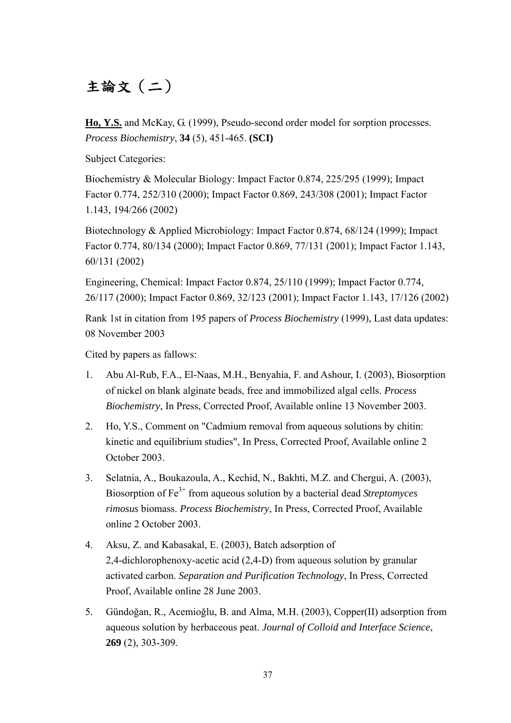# 主論文(二)

**Ho, Y.S.** and McKay, G. (1999), Pseudo-second order model for sorption processes. *Process Biochemistry*, **34** (5), 451-465. **(SCI)**

Subject Categories:

Biochemistry & Molecular Biology: Impact Factor 0.874, 225/295 (1999); Impact Factor 0.774, 252/310 (2000); Impact Factor 0.869, 243/308 (2001); Impact Factor 1.143, 194/266 (2002)

Biotechnology & Applied Microbiology: Impact Factor 0.874, 68/124 (1999); Impact Factor 0.774, 80/134 (2000); Impact Factor 0.869, 77/131 (2001); Impact Factor 1.143, 60/131 (2002)

Engineering, Chemical: Impact Factor 0.874, 25/110 (1999); Impact Factor 0.774, 26/117 (2000); Impact Factor 0.869, 32/123 (2001); Impact Factor 1.143, 17/126 (2002)

Rank 1st in citation from 195 papers of *Process Biochemistry* (1999), Last data updates: 08 November 2003

Cited by papers as fallows:

- 1. Abu Al-Rub, F.A., El-Naas, M.H., Benyahia, F. and Ashour, I. (2003), Biosorption of nickel on blank alginate beads, free and immobilized algal cells. *Process Biochemistry*, In Press, Corrected Proof, Available online 13 November 2003.
- 2. Ho, Y.S., Comment on "Cadmium removal from aqueous solutions by chitin: kinetic and equilibrium studies", In Press, Corrected Proof, Available online 2 October 2003.
- 3. Selatnia, A., Boukazoula, A., Kechid, N., Bakhti, M.Z. and Chergui, A. (2003), Biosorption of Fe3+ from aqueous solution by a bacterial dead *Streptomyces rimosus* biomass. *Process Biochemistry*, In Press, Corrected Proof, Available online 2 October 2003.
- 4. Aksu, Z. and Kabasakal, E. (2003), Batch adsorption of 2,4-dichlorophenoxy-acetic acid (2,4-D) from aqueous solution by granular activated carbon. *Separation and Purification Technology*, In Press, Corrected Proof, Available online 28 June 2003.
- 5. Gündoğan, R., Acemioğlu, B. and Alma, M.H. (2003), Copper(II) adsorption from aqueous solution by herbaceous peat. *Journal of Colloid and Interface Science*, **269** (2), 303-309.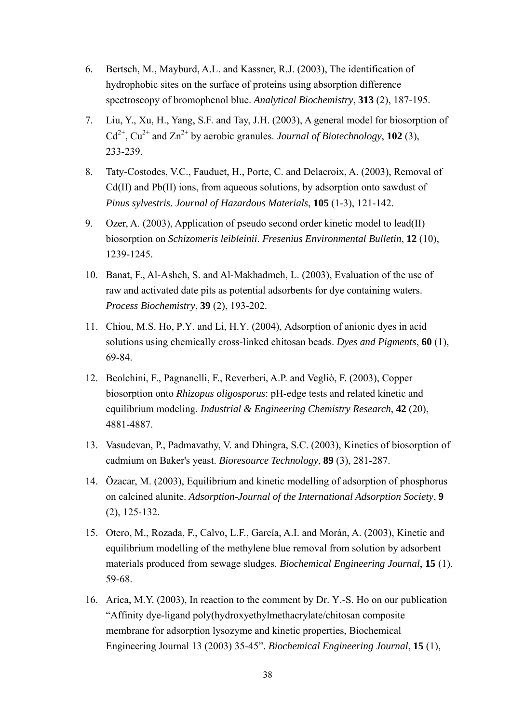- 6. Bertsch, M., Mayburd, A.L. and Kassner, R.J. (2003), The identification of hydrophobic sites on the surface of proteins using absorption difference spectroscopy of bromophenol blue. *Analytical Biochemistry*, **313** (2), 187-195.
- 7. Liu, Y., Xu, H., Yang, S.F. and Tay, J.H. (2003), A general model for biosorption of  $Cd^{2+}$ ,  $Cu^{2+}$  and  $Zn^{2+}$  by aerobic granules. *Journal of Biotechnology*, **102** (3), 233-239.
- 8. Taty-Costodes, V.C., Fauduet, H., Porte, C. and Delacroix, A. (2003), Removal of Cd(II) and Pb(II) ions, from aqueous solutions, by adsorption onto sawdust of *Pinus sylvestris*. *Journal of Hazardous Materials*, **105** (1-3), 121-142.
- 9. Ozer, A. (2003), Application of pseudo second order kinetic model to lead(II) biosorption on *Schizomeris leibleinii*. *Fresenius Environmental Bulletin*, **12** (10), 1239-1245.
- 10. Banat, F., Al-Asheh, S. and Al-Makhadmeh, L. (2003), Evaluation of the use of raw and activated date pits as potential adsorbents for dye containing waters. *Process Biochemistry*, **39** (2), 193-202.
- 11. Chiou, M.S. Ho, P.Y. and Li, H.Y. (2004), Adsorption of anionic dyes in acid solutions using chemically cross-linked chitosan beads. *Dyes and Pigments*, **60** (1), 69-84.
- 12. Beolchini, F., Pagnanelli, F., Reverberi, A.P. and Vegliò, F. (2003), Copper biosorption onto *Rhizopus oligosporus*: pH-edge tests and related kinetic and equilibrium modeling. *Industrial & Engineering Chemistry Research*, **42** (20), 4881-4887.
- 13. Vasudevan, P., Padmavathy, V. and Dhingra, S.C. (2003), Kinetics of biosorption of cadmium on Baker's yeast. *Bioresource Technology*, **89** (3), 281-287.
- 14. Özacar, M. (2003), Equilibrium and kinetic modelling of adsorption of phosphorus on calcined alunite. *Adsorption-Journal of the International Adsorption Society*, **9** (2), 125-132.
- 15. Otero, M., Rozada, F., Calvo, L.F., García, A.I. and Morán, A. (2003), Kinetic and equilibrium modelling of the methylene blue removal from solution by adsorbent materials produced from sewage sludges. *Biochemical Engineering Journal*, **15** (1), 59-68.
- 16. Arica, M.Y. (2003), In reaction to the comment by Dr. Y.-S. Ho on our publication "Affinity dye-ligand poly(hydroxyethylmethacrylate/chitosan composite membrane for adsorption lysozyme and kinetic properties, Biochemical Engineering Journal 13 (2003) 35-45". *Biochemical Engineering Journal*, **15** (1),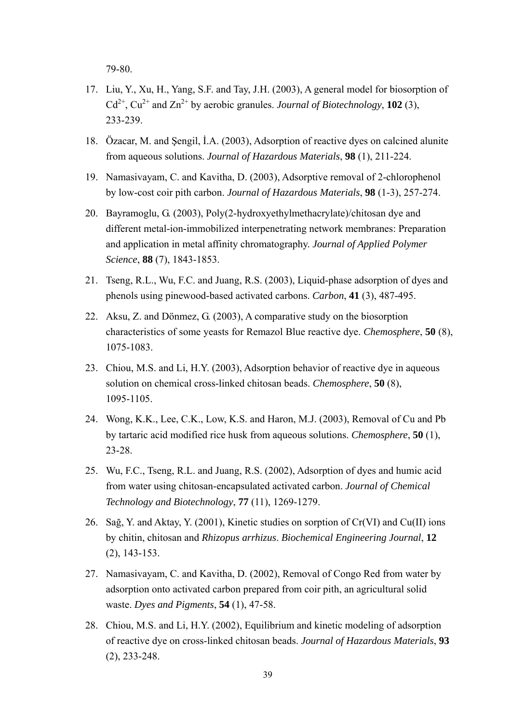79-80.

- 17. Liu, Y., Xu, H., Yang, S.F. and Tay, J.H. (2003), A general model for biosorption of  $Cd^{2+}$ ,  $Cu^{2+}$  and  $Zn^{2+}$  by aerobic granules. *Journal of Biotechnology*, **102** (3), 233-239.
- 18. Özacar, M. and Şengil, İ.A. (2003), Adsorption of reactive dyes on calcined alunite from aqueous solutions. *Journal of Hazardous Materials*, **98** (1), 211-224.
- 19. Namasivayam, C. and Kavitha, D. (2003), Adsorptive removal of 2-chlorophenol by low-cost coir pith carbon. *Journal of Hazardous Materials*, **98** (1-3), 257-274.
- 20. Bayramoglu, G. (2003), Poly(2-hydroxyethylmethacrylate)/chitosan dye and different metal-ion-immobilized interpenetrating network membranes: Preparation and application in metal affinity chromatography. *Journal of Applied Polymer Science*, **88** (7), 1843-1853.
- 21. Tseng, R.L., Wu, F.C. and Juang, R.S. (2003), Liquid-phase adsorption of dyes and phenols using pinewood-based activated carbons. *Carbon*, **41** (3), 487-495.
- 22. Aksu, Z. and Dönmez, G. (2003), A comparative study on the biosorption characteristics of some yeasts for Remazol Blue reactive dye. *Chemosphere*, **50** (8), 1075-1083.
- 23. Chiou, M.S. and Li, H.Y. (2003), Adsorption behavior of reactive dye in aqueous solution on chemical cross-linked chitosan beads. *Chemosphere*, **50** (8), 1095-1105.
- 24. Wong, K.K., Lee, C.K., Low, K.S. and Haron, M.J. (2003), Removal of Cu and Pb by tartaric acid modified rice husk from aqueous solutions. *Chemosphere*, **50** (1), 23-28.
- 25. Wu, F.C., Tseng, R.L. and Juang, R.S. (2002), Adsorption of dyes and humic acid from water using chitosan-encapsulated activated carbon. *Journal of Chemical Technology and Biotechnology*, **77** (11), 1269-1279.
- 26. Sağ, Y. and Aktay, Y. (2001), Kinetic studies on sorption of Cr(VI) and Cu(II) ions by chitin, chitosan and *Rhizopus arrhizus*. *Biochemical Engineering Journal*, **12** (2), 143-153.
- 27. Namasivayam, C. and Kavitha, D. (2002), Removal of Congo Red from water by adsorption onto activated carbon prepared from coir pith, an agricultural solid waste. *Dyes and Pigments*, **54** (1), 47-58.
- 28. Chiou, M.S. and Li, H.Y. (2002), Equilibrium and kinetic modeling of adsorption of reactive dye on cross-linked chitosan beads. *Journal of Hazardous Materials*, **93** (2), 233-248.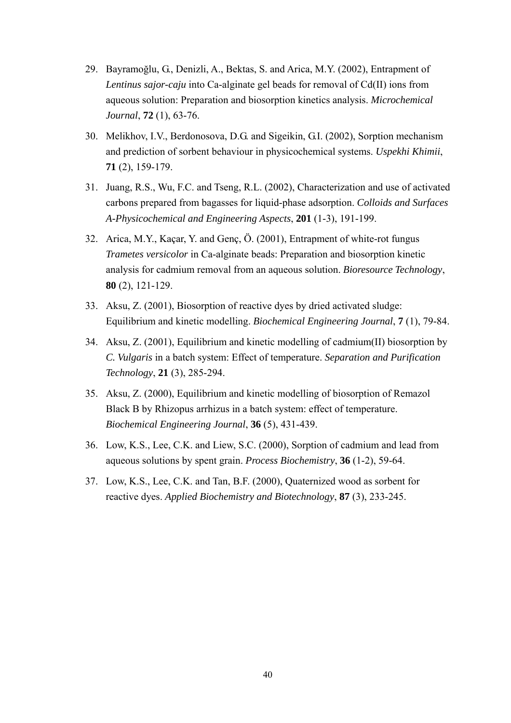- 29. Bayramoğlu, G., Denizli, A., Bektas, S. and Arica, M.Y. (2002), Entrapment of *Lentinus sajor-caju* into Ca-alginate gel beads for removal of Cd(II) ions from aqueous solution: Preparation and biosorption kinetics analysis. *Microchemical Journal*, **72** (1), 63-76.
- 30. Melikhov, I.V., Berdonosova, D.G. and Sigeikin, G.I. (2002), Sorption mechanism and prediction of sorbent behaviour in physicochemical systems. *Uspekhi Khimii*, **71** (2), 159-179.
- 31. Juang, R.S., Wu, F.C. and Tseng, R.L. (2002), Characterization and use of activated carbons prepared from bagasses for liquid-phase adsorption. *Colloids and Surfaces A-Physicochemical and Engineering Aspects*, **201** (1-3), 191-199.
- 32. Arica, M.Y., Kaçar, Y. and Genç, Ö. (2001), Entrapment of white-rot fungus *Trametes versicolor* in Ca-alginate beads: Preparation and biosorption kinetic analysis for cadmium removal from an aqueous solution. *Bioresource Technology*, **80** (2), 121-129.
- 33. Aksu, Z. (2001), Biosorption of reactive dyes by dried activated sludge: Equilibrium and kinetic modelling. *Biochemical Engineering Journal*, **7** (1), 79-84.
- 34. Aksu, Z. (2001), Equilibrium and kinetic modelling of cadmium(II) biosorption by *C. Vulgaris* in a batch system: Effect of temperature. *Separation and Purification Technology*, **21** (3), 285-294.
- 35. Aksu, Z. (2000), Equilibrium and kinetic modelling of biosorption of Remazol Black B by Rhizopus arrhizus in a batch system: effect of temperature. *Biochemical Engineering Journal*, **36** (5), 431-439.
- 36. Low, K.S., Lee, C.K. and Liew, S.C. (2000), Sorption of cadmium and lead from aqueous solutions by spent grain. *Process Biochemistry*, **36** (1-2), 59-64.
- 37. Low, K.S., Lee, C.K. and Tan, B.F. (2000), Quaternized wood as sorbent for reactive dyes. *Applied Biochemistry and Biotechnology*, **87** (3), 233-245.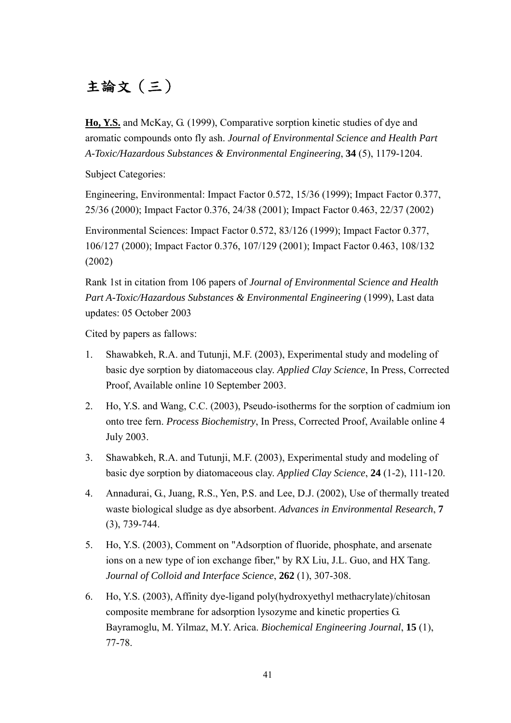# 主論文(三)

**Ho, Y.S.** and McKay, G. (1999), Comparative sorption kinetic studies of dye and aromatic compounds onto fly ash. *Journal of Environmental Science and Health Part A-Toxic/Hazardous Substances & Environmental Engineering*, **34** (5), 1179-1204.

Subject Categories:

Engineering, Environmental: Impact Factor 0.572, 15/36 (1999); Impact Factor 0.377, 25/36 (2000); Impact Factor 0.376, 24/38 (2001); Impact Factor 0.463, 22/37 (2002)

Environmental Sciences: Impact Factor 0.572, 83/126 (1999); Impact Factor 0.377, 106/127 (2000); Impact Factor 0.376, 107/129 (2001); Impact Factor 0.463, 108/132 (2002)

Rank 1st in citation from 106 papers of *Journal of Environmental Science and Health Part A-Toxic/Hazardous Substances & Environmental Engineering* (1999), Last data updates: 05 October 2003

Cited by papers as fallows:

- 1. Shawabkeh, R.A. and Tutunji, M.F. (2003), Experimental study and modeling of basic dye sorption by diatomaceous clay. *Applied Clay Science*, In Press, Corrected Proof, Available online 10 September 2003.
- 2. Ho, Y.S. and Wang, C.C. (2003), Pseudo-isotherms for the sorption of cadmium ion onto tree fern. *Process Biochemistry*, In Press, Corrected Proof, Available online 4 July 2003.
- 3. Shawabkeh, R.A. and Tutunji, M.F. (2003), Experimental study and modeling of basic dye sorption by diatomaceous clay. *Applied Clay Science*, **24** (1-2), 111-120.
- 4. Annadurai, G., Juang, R.S., Yen, P.S. and Lee, D.J. (2002), Use of thermally treated waste biological sludge as dye absorbent. *Advances in Environmental Research*, **7** (3), 739-744.
- 5. Ho, Y.S. (2003), Comment on "Adsorption of fluoride, phosphate, and arsenate ions on a new type of ion exchange fiber," by RX Liu, J.L. Guo, and HX Tang. *Journal of Colloid and Interface Science*, **262** (1), 307-308.
- 6. Ho, Y.S. (2003), Affinity dye-ligand poly(hydroxyethyl methacrylate)/chitosan composite membrane for adsorption lysozyme and kinetic properties G. Bayramoglu, M. Yilmaz, M.Y. Arica. *Biochemical Engineering Journal*, **15** (1), 77-78.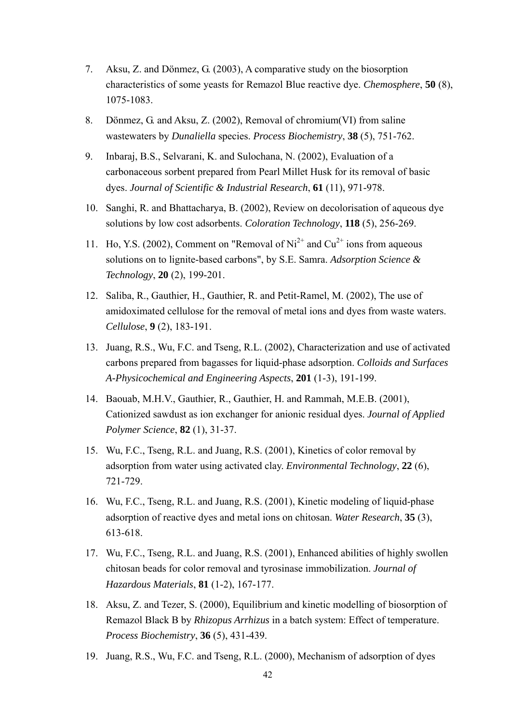- 7. Aksu, Z. and Dönmez, G. (2003), A comparative study on the biosorption characteristics of some yeasts for Remazol Blue reactive dye. *Chemosphere*, **50** (8), 1075-1083.
- 8. Dönmez, G. and Aksu, Z. (2002), Removal of chromium(VI) from saline wastewaters by *Dunaliella* species. *Process Biochemistry*, **38** (5), 751-762.
- 9. Inbaraj, B.S., Selvarani, K. and Sulochana, N. (2002), Evaluation of a carbonaceous sorbent prepared from Pearl Millet Husk for its removal of basic dyes. *Journal of Scientific & Industrial Research*, **61** (11), 971-978.
- 10. Sanghi, R. and Bhattacharya, B. (2002), Review on decolorisation of aqueous dye solutions by low cost adsorbents. *Coloration Technology*, **118** (5), 256-269.
- 11. Ho, Y.S. (2002), Comment on "Removal of  $Ni^{2+}$  and  $Cu^{2+}$  ions from aqueous solutions on to lignite-based carbons", by S.E. Samra. *Adsorption Science & Technology*, **20** (2), 199-201.
- 12. Saliba, R., Gauthier, H., Gauthier, R. and Petit-Ramel, M. (2002), The use of amidoximated cellulose for the removal of metal ions and dyes from waste waters. *Cellulose*, **9** (2), 183-191.
- 13. Juang, R.S., Wu, F.C. and Tseng, R.L. (2002), Characterization and use of activated carbons prepared from bagasses for liquid-phase adsorption. *Colloids and Surfaces A-Physicochemical and Engineering Aspects*, **201** (1-3), 191-199.
- 14. Baouab, M.H.V., Gauthier, R., Gauthier, H. and Rammah, M.E.B. (2001), Cationized sawdust as ion exchanger for anionic residual dyes. *Journal of Applied Polymer Science*, **82** (1), 31-37.
- 15. Wu, F.C., Tseng, R.L. and Juang, R.S. (2001), Kinetics of color removal by adsorption from water using activated clay. *Environmental Technology*, **22** (6), 721-729.
- 16. Wu, F.C., Tseng, R.L. and Juang, R.S. (2001), Kinetic modeling of liquid-phase adsorption of reactive dyes and metal ions on chitosan. *Water Research*, **35** (3), 613-618.
- 17. Wu, F.C., Tseng, R.L. and Juang, R.S. (2001), Enhanced abilities of highly swollen chitosan beads for color removal and tyrosinase immobilization. *Journal of Hazardous Materials*, **81** (1-2), 167-177.
- 18. Aksu, Z. and Tezer, S. (2000), Equilibrium and kinetic modelling of biosorption of Remazol Black B by *Rhizopus Arrhizus* in a batch system: Effect of temperature. *Process Biochemistry*, **36** (5), 431-439.
- 19. Juang, R.S., Wu, F.C. and Tseng, R.L. (2000), Mechanism of adsorption of dyes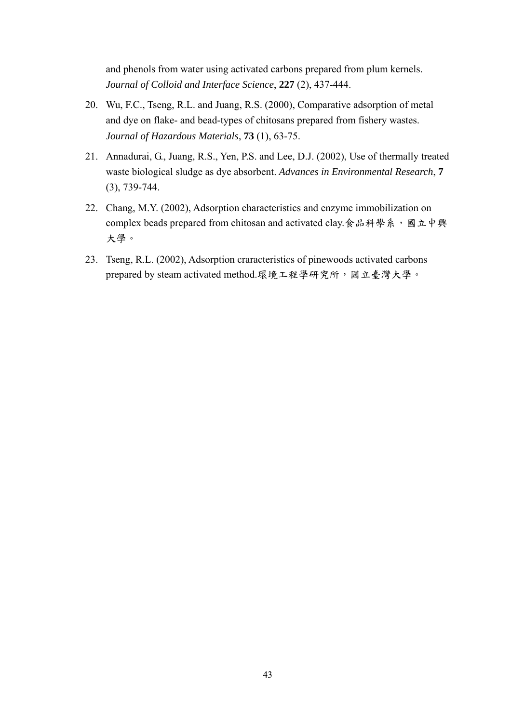and phenols from water using activated carbons prepared from plum kernels. *Journal of Colloid and Interface Science*, **227** (2), 437-444.

- 20. Wu, F.C., Tseng, R.L. and Juang, R.S. (2000), Comparative adsorption of metal and dye on flake- and bead-types of chitosans prepared from fishery wastes. *Journal of Hazardous Materials*, **73** (1), 63-75.
- 21. Annadurai, G., Juang, R.S., Yen, P.S. and Lee, D.J. (2002), Use of thermally treated waste biological sludge as dye absorbent. *Advances in Environmental Research*, **7** (3), 739-744.
- 22. Chang, M.Y. (2002), Adsorption characteristics and enzyme immobilization on complex beads prepared from chitosan and activated clay.食品科學系,國立中興 大學。
- 23. Tseng, R.L. (2002), Adsorption craracteristics of pinewoods activated carbons prepared by steam activated method.環境工程學研究所,國立臺灣大學。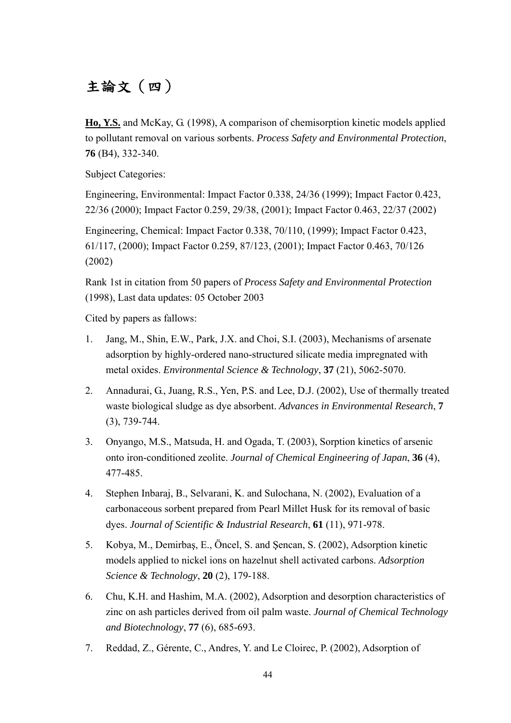# 主論文(四)

**Ho, Y.S.** and McKay, G. (1998), A comparison of chemisorption kinetic models applied to pollutant removal on various sorbents. *Process Safety and Environmental Protection*, **76** (B4), 332-340.

Subject Categories:

Engineering, Environmental: Impact Factor 0.338, 24/36 (1999); Impact Factor 0.423, 22/36 (2000); Impact Factor 0.259, 29/38, (2001); Impact Factor 0.463, 22/37 (2002)

Engineering, Chemical: Impact Factor 0.338, 70/110, (1999); Impact Factor 0.423, 61/117, (2000); Impact Factor 0.259, 87/123, (2001); Impact Factor 0.463, 70/126 (2002)

Rank 1st in citation from 50 papers of *Process Safety and Environmental Protection* (1998), Last data updates: 05 October 2003

Cited by papers as fallows:

- 1. Jang, M., Shin, E.W., Park, J.X. and Choi, S.I. (2003), Mechanisms of arsenate adsorption by highly-ordered nano-structured silicate media impregnated with metal oxides. *Environmental Science & Technology*, **37** (21), 5062-5070.
- 2. Annadurai, G., Juang, R.S., Yen, P.S. and Lee, D.J. (2002), Use of thermally treated waste biological sludge as dye absorbent. *Advances in Environmental Research*, **7** (3), 739-744.
- 3. Onyango, M.S., Matsuda, H. and Ogada, T. (2003), Sorption kinetics of arsenic onto iron-conditioned zeolite. *Journal of Chemical Engineering of Japan*, **36** (4), 477-485.
- 4. Stephen Inbaraj, B., Selvarani, K. and Sulochana, N. (2002), Evaluation of a carbonaceous sorbent prepared from Pearl Millet Husk for its removal of basic dyes. *Journal of Scientific & Industrial Research*, **61** (11), 971-978.
- 5. Kobya, M., Demirbaş, E., Öncel, S. and Şencan, S. (2002), Adsorption kinetic models applied to nickel ions on hazelnut shell activated carbons. *Adsorption Science & Technology*, **20** (2), 179-188.
- 6. Chu, K.H. and Hashim, M.A. (2002), Adsorption and desorption characteristics of zinc on ash particles derived from oil palm waste. *Journal of Chemical Technology and Biotechnology*, **77** (6), 685-693.
- 7. Reddad, Z., Gérente, C., Andres, Y. and Le Cloirec, P. (2002), Adsorption of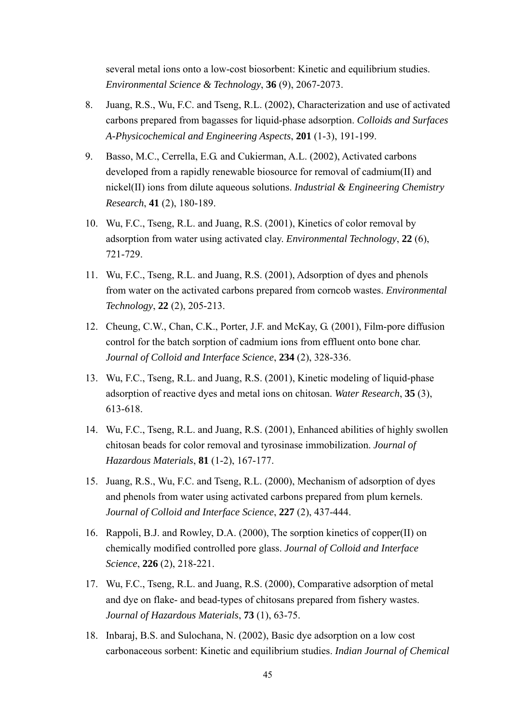several metal ions onto a low-cost biosorbent: Kinetic and equilibrium studies. *Environmental Science & Technology*, **36** (9), 2067-2073.

- 8. Juang, R.S., Wu, F.C. and Tseng, R.L. (2002), Characterization and use of activated carbons prepared from bagasses for liquid-phase adsorption. *Colloids and Surfaces A-Physicochemical and Engineering Aspects*, **201** (1-3), 191-199.
- 9. Basso, M.C., Cerrella, E.G. and Cukierman, A.L. (2002), Activated carbons developed from a rapidly renewable biosource for removal of cadmium(II) and nickel(II) ions from dilute aqueous solutions. *Industrial & Engineering Chemistry Research*, **41** (2), 180-189.
- 10. Wu, F.C., Tseng, R.L. and Juang, R.S. (2001), Kinetics of color removal by adsorption from water using activated clay. *Environmental Technology*, **22** (6), 721-729.
- 11. Wu, F.C., Tseng, R.L. and Juang, R.S. (2001), Adsorption of dyes and phenols from water on the activated carbons prepared from corncob wastes. *Environmental Technology*, **22** (2), 205-213.
- 12. Cheung, C.W., Chan, C.K., Porter, J.F. and McKay, G. (2001), Film-pore diffusion control for the batch sorption of cadmium ions from effluent onto bone char. *Journal of Colloid and Interface Science*, **234** (2), 328-336.
- 13. Wu, F.C., Tseng, R.L. and Juang, R.S. (2001), Kinetic modeling of liquid-phase adsorption of reactive dyes and metal ions on chitosan. *Water Research*, **35** (3), 613-618.
- 14. Wu, F.C., Tseng, R.L. and Juang, R.S. (2001), Enhanced abilities of highly swollen chitosan beads for color removal and tyrosinase immobilization. *Journal of Hazardous Materials*, **81** (1-2), 167-177.
- 15. Juang, R.S., Wu, F.C. and Tseng, R.L. (2000), Mechanism of adsorption of dyes and phenols from water using activated carbons prepared from plum kernels. *Journal of Colloid and Interface Science*, **227** (2), 437-444.
- 16. Rappoli, B.J. and Rowley, D.A. (2000), The sorption kinetics of copper(II) on chemically modified controlled pore glass. *Journal of Colloid and Interface Science*, **226** (2), 218-221.
- 17. Wu, F.C., Tseng, R.L. and Juang, R.S. (2000), Comparative adsorption of metal and dye on flake- and bead-types of chitosans prepared from fishery wastes. *Journal of Hazardous Materials*, **73** (1), 63-75.
- 18. Inbaraj, B.S. and Sulochana, N. (2002), Basic dye adsorption on a low cost carbonaceous sorbent: Kinetic and equilibrium studies. *Indian Journal of Chemical*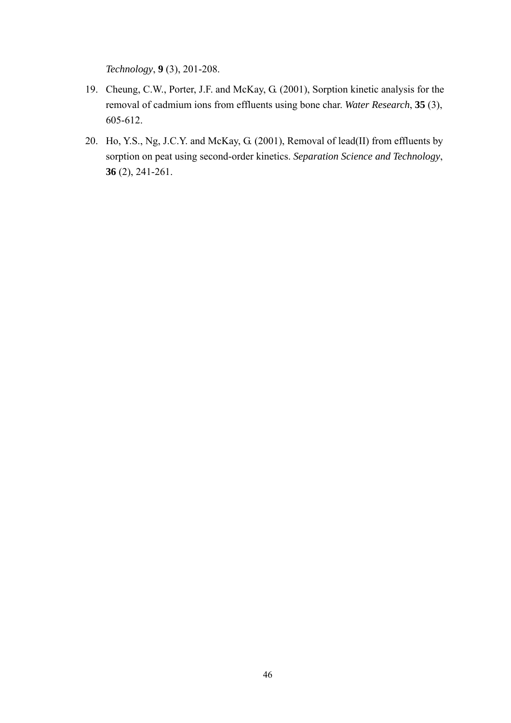*Technology*, **9** (3), 201-208.

- 19. Cheung, C.W., Porter, J.F. and McKay, G. (2001), Sorption kinetic analysis for the removal of cadmium ions from effluents using bone char. *Water Research*, **35** (3), 605-612.
- 20. Ho, Y.S., Ng, J.C.Y. and McKay, G. (2001), Removal of lead(II) from effluents by sorption on peat using second-order kinetics. *Separation Science and Technology*, **36** (2), 241-261.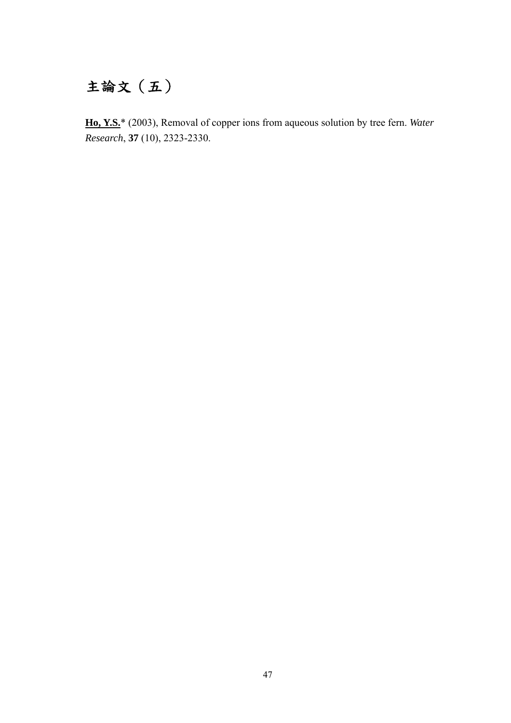# 主論文(五)

**Ho, Y.S.**\* (2003), Removal of copper ions from aqueous solution by tree fern. *Water Research*, **37** (10), 2323-2330.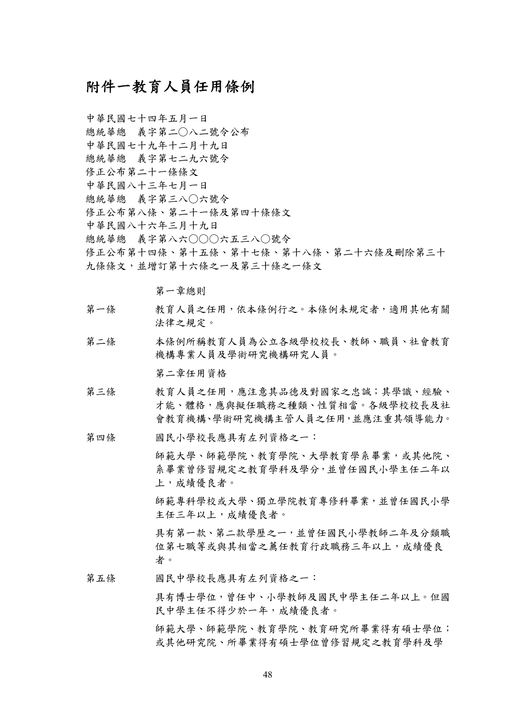### 附件一教育人員任用條例

中華民國七十四年五月一日 總統華總 義字第二○八二號令公布 中華民國七十九年十二月十九日 總統華總 義字第七二九六號令 修正公布第二十一條條文 中華民國八十三年七月一日 總統華總 義字第三八○六號令 修正公布第八條、第二十一條及第四十條條文 中華民國八十六年三月十九日 總統華總 義字第八六○○○六五三八○號令 修正公布第十四條、第十五條、第十七條、第十八條、第二十六條及刪除第三十 九條條文,並增訂第十六條之一條文

第一章總則

- 第一條 教育人員之任用,依本條例行之。本條例未規定者,適用其他有關 法律之規定。
- 第二條 本條例所稱教育人員為公立各級學校校長、教師、職員、社會教育 機構專業人員及學術研究機構研究人員。

第二章任用資格

- 第三條 教育人員之任用,應注意其品德及對國家之忠誠;其學識、經驗、 才能、體格,應與擬任職務之種類、性質相當。各級學校校長及社 會教育機構、學術研究機構主管人員之任用,並應注重其領導能力。
- 第四條 國民小學校長應具有左列資格之一:
	- 師範大學、師範學院、教育學院、大學教育學系畢業,或其他院、 系畢業曾修習規定之教育學科及學分,並曾任國民小學主任二年以 上,成績優良者。

師範專科學校或大學、獨立學院教育專修科畢業,並曾任國民小學 主任三年以上,成績優良者。

具有第一款、第二款學歷之一,並曾任國民小學教師二年及分類職 位第七職等或與其相當之薦任教育行政職務三年以上,成績優良 者。

第五條 國民中學校長應具有左列資格之一:

具有博士學位,曾任中、小學教師及國民中學主任二年以上。但國 民中學主任不得少於一年,成績優良者。

師範大學、師範學院、教育研究所畢業得有碩士學位; 或其他研究院、所畢業得有碩士學位曾修習規定之教育學科及學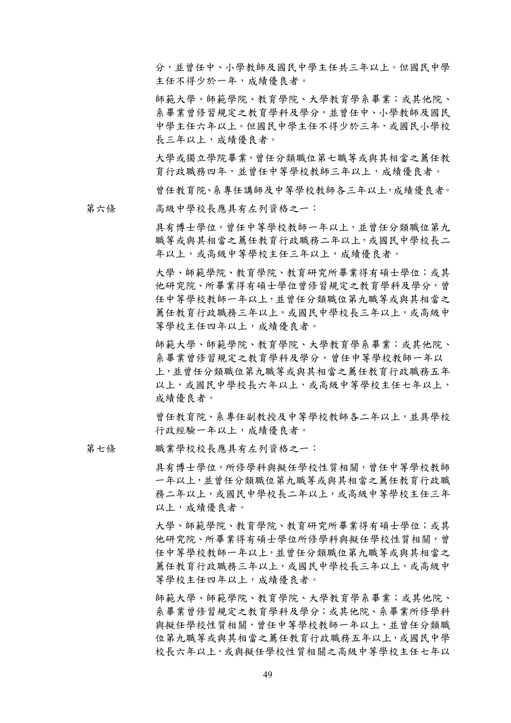分,並曾任中、小學教師及國民中學主任共三年以上。但國民中學 主任不得少於一年,成績優良者。

師範大學、師範學院、教育學院、大學教育學系畢業;或其他院、 系畢業曾修習規定之教育學科及學分,並曾任中、小學教師及國民 中學主任六年以上。但國民中學主任不得少於三年,或國民小學校 長三年以上,成績優良者。

大學或獨立學院畢業,曾任分類職位第七職等或與其相當之薦任教 育行政職務四年,並曾任中等學校教師三年以上,成績優良者。

曾任教育院、系專任講師及中等學校教師各三年以上,成績優良者。

第六條 高級中學校長應具有左列資格之一:

具有博士學位,曾任中等學校教師一年以上,並曾任分類職位第九 職等或與其相當之薦任教育行政職務二年以上,或國民中學校長二 年以上,或高級中等學校主任三年以上,成績優良者。

大學、師範學院、教育學院、教育研究所畢業得有碩士學位;或其 他研究院、所畢業得有碩士學位曾修習規定之教育學科及學分,曾 任中等學校教師一年以上,並曾任分類職位第九職等或與其相當之 薦任教育行政職務三年以上,或國民中學校長三年以上,或高級中 等學校主任四年以上,成績優良者。

師範大學、師範學院、教育學院、大學教育學系畢業;或其他院、 系畢業曾修習規定之教育學科及學分,曾任中等學校教師一年以 上,並曾任分類職位第九職等或與其相當之薦任教育行政職務五年 以上,或國民中學校長六年以上,或高級中等學校主任七年以上, 成績優良者。

曾任教育院、系專任副教授及中等學校教師各二年以上,並具學校 行政經驗一年以上,成績優良者。

第七條 職業學校校長應具有左列資格之一:

具有博士學位,所修學科與擬任學校性質相關,曾任中等學校教師 一年以上,並曾任分類職位第九職等或與其相當之薦任教育行政職 務二年以上,或國民中學校長二年以上,或高級中等學校主任三年 以上,成績優良者。

大學、師範學院、教育學院、教育研究所畢業得有碩士學位;或其 他研究院、所畢業得有碩士學位所修學科與擬任學校性質相關,曾 任中等學校教師一年以上,並曾任分類職位第九職等或與其相當之 薦任教育行政職務三年以上,或國民中學校長三年以上,或高級中 等學校主任四年以上,成績優良者。

師範大學、師範學院、教育學院、大學教育學系畢業;或其他院、 系畢業曾修習規定之教育學科及學分;或其他院、系畢業所修學科 與擬任學校性質相關,曾任中等學校教師一年以上,並曾任分類職 位第九職等或與其相當之薦任教育行政職務五年以上,或國民中學 校長六年以上,或與擬任學校性質相關之高級中等學校主任七年以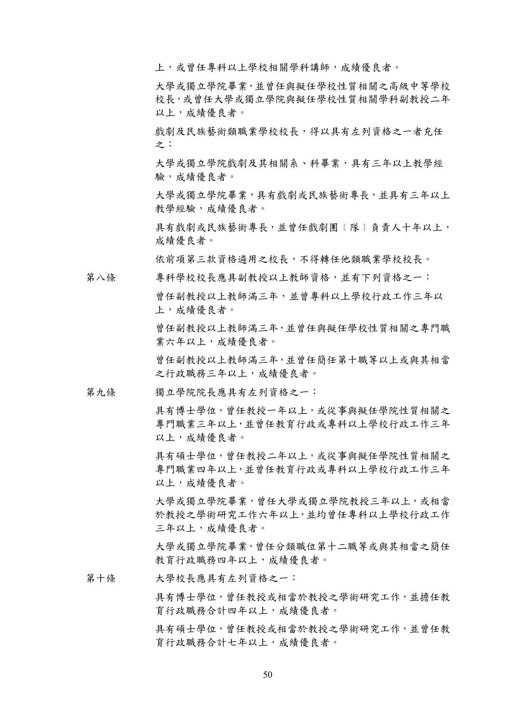上,或曾任專科以上學校相關學科講師,成績優良者。

大學或獨立學院畢業,並曾任與擬任學校性質相關之高級中等學校 校長,或曾任大學或獨立學院與擬任學校性質相關學科副教授二年 以上,成績優良者。

戲劇及民族藝術類職業學校校長,得以具有左列資格之一者充任 之:

大學或獨立學院戲劇及其相關系、科畢業,具有三年以上教學經 驗,成績優良者。

大學或獨立學院畢業,具有戲劇或民族藝術專長,並具有三年以上 教學經驗,成績優良者。

具有戲劇或民族藝術專長,並曾任戲劇團〔隊〕負責人十年以上, 成績優良者。

依前項第三款資格遴用之校長,不得轉任他類職業學校校長。

第八條 專科學校校長應具副教授以上教師資格,並有下列資格之一:

曾任副教授以上教師滿三年,並曾專科以上學校行政工作三年以 上,成績優良者。

曾任副教授以上教師滿三年,並曾任與擬任學校性質相關之專門職 業六年以上,成績優良者。

曾任副教授以上教師滿三年,並曾任簡任第十職等以上或與其相當 之行政職務三年以上,成績優良者。

第九條 獨立學院院長應具有左列資格之一:

具有博士學位,曾任教授一年以上,或從事與擬任學院性質相關之 專門職業三年以上,並曾任教育行政或專科以上學校行政工作三年 以上,成績優良者。

具有碩士學位,曾任教授二年以上,或從事與擬任學院性質相關之 專門職業四年以上,並曾任教育行政或專科以上學校行政工作三年 以上,成績優良者。

大學或獨立學院畢業,曾任大學或獨立學院教授三年以上,或相當 於教授之學術研究工作六年以上,並均曾任專科以上學校行政工作 三年以上,成績優良者。

大學或獨立學院畢業,曾任分類職位第十二職等或與其相當之簡任 教育行政職務四年以上,成績優良者。

第十條 大學校長應具有左列資格之一:

具有博士學位,曾任教授或相當於教授之學術研究工作,並擔任教 育行政職務合計四年以上,成績優良者。

具有碩士學位,曾任教授或相當於教授之學術研究工作,並曾任教 育行政職務合計七年以上,成績優良者。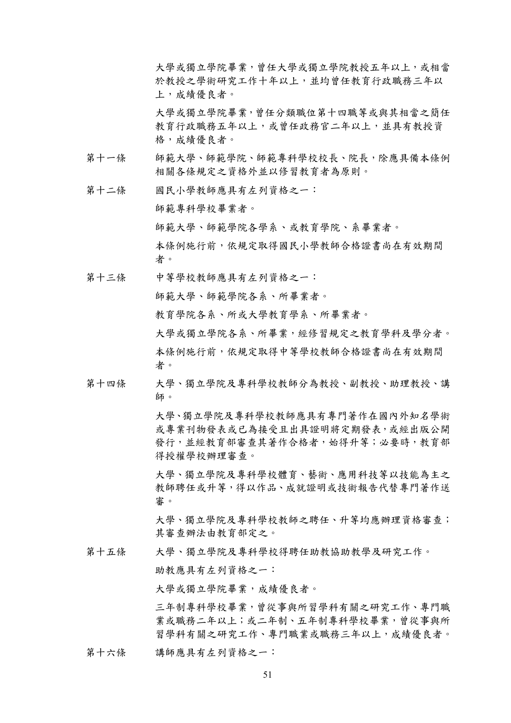大學或獨立學院畢業,曾任大學或獨立學院教授五年以上,或相當 於教授之學術研究工作十年以上,並均曾任教育行政職務三年以 上,成績優良者。

大學或獨立學院畢業,曾任分類職位第十四職等或與其相當之簡任 教育行政職務五年以上,或曾任政務官二年以上,並具有教授資 格,成績優良者。

- 第十一條 師範大學、師範學院、師範專科學校校長、院長,除應具備本條例 相關各條規定之資格外並以修習教育者為原則。
- 第十二條 國民小學教師應具有左列資格之一:

師範專科學校畢業者。

師範大學、師範學院各學系、或教育學院、系畢業者。

本條例施行前,依規定取得國民小學教師合格證書尚在有效期間 者。

第十三條 中等學校教師應具有左列資格之一:

師範大學、師範學院各系、所畢業者。

教育學院各系、所或大學教育學系、所畢業者。

大學或獨立學院各系、所畢業,經修習規定之教育學科及學分者。 本條例施行前,依規定取得中等學校教師合格證書尚在有效期間 者。

第十四條 大學、獨立學院及專科學校教師分為教授、副教授、助理教授、講 師。

> 大學、獨立學院及專科學校教師應具有專門著作在國內外知名學術 或專業刊物發表或已為接受且出具證明將定期發表,或經出版公開 發行,並經教育部審查其著作合格者,始得升等;必要時,教育部 得授權學校辦理審查。

> 大學、獨立學院及專科學校體育、藝術、應用科技等以技能為主之 教師聘任或升等,得以作品、成就證明或技術報告代替專門著作送 審。

> 大學、獨立學院及專科學校教師之聘任、升等均應辦理資格審查; 其審查辦法由教育部定之。

第十五條 大學、獨立學院及專科學校得聘任助教協助教學及研究工作。

助教應具有左列資格之一:

大學或獨立學院畢業,成績優良者。

三年制專科學校畢業,曾從事與所習學科有關之研究工作、專門職 業或職務二年以上;或二年制、五年制專科學校畢業,曾從事與所 習學科有關之研究工作、專門職業或職務三年以上,成績優良者。

第十六條 講師應具有左列資格之一: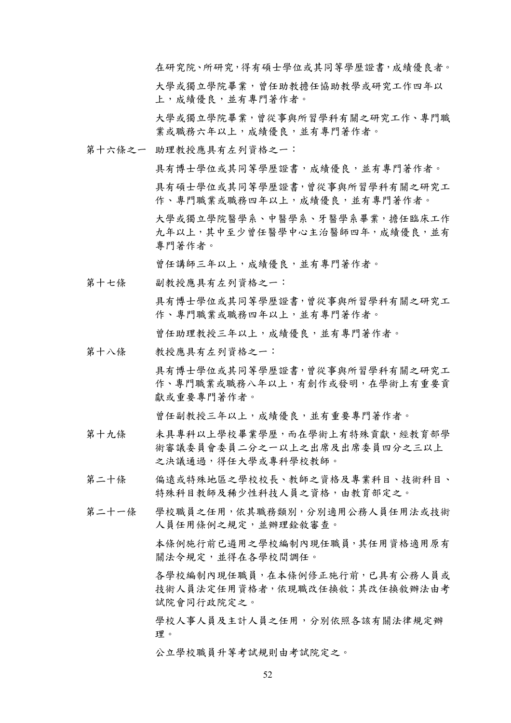在研究院、所研究,得有碩士學位或其同等學歷證書,成績優良者。 大學或獨立學院畢業,曾任助教擔任協助教學或研究工作四年以

上,成績優良,並有專門著作者。

大學或獨立學院畢業,曾從事與所習學科有關之研究工作、專門職 業或職務六年以上,成績優良,並有專門著作者。

第十六條之一 助理教授應具有左列資格之一:

具有博士學位或其同等學歷證書,成績優良,並有專門著作者。 具有碩士學位或其同等學歷證書,曾從事與所習學科有關之研究工 作、專門職業或職務四年以上,成績優良,並有專門著作者。

大學或獨立學院醫學系、中醫學系、牙醫學系畢業,擔任臨床工作 九年以上,其中至少曾任醫學中心主治醫師四年,成績優良,並有 專門著作者。

曾任講師三年以上,成績優良,並有專門著作者。

第十七條 副教授應具有左列資格之一:

具有博士學位或其同等學歷證書,曾從事與所習學科有關之研究工 作、專門職業或職務四年以上,並有專門著作者。

曾任助理教授三年以上,成績優良,並有專門著作者。

第十八條 教授應具有左列資格之一:

具有博士學位或其同等學歷證書,曾從事與所習學科有關之研究工 作、專門職業或職務八年以上,有創作或發明,在學術上有重要貢 獻或重要專門著作者。

曾任副教授三年以上,成績優良,並有重要專門著作者。

- 第十九條 未具專科以上學校畢業學歷,而在學術上有特殊貢獻,經教育部學 術審議委員會委員二分之一以上之出席及出席委員四分之三以上 之決議通過,得任大學或專科學校教師。
- 第二十條 偏遠或特殊地區之學校校長、教師之資格及專業科目、技術科目、 特殊科目教師及稀少性科技人員之資格,由教育部定之。
- 第二十一條 學校職員之任用,依其職務類別,分別適用公務人員任用法或技術 人員任用條例之規定,並辦理銓敘審查。

本條例施行前已遴用之學校編制內現任職員,其任用資格適用原有 關法令規定,並得在各學校間調任。

各學校編制內現任職員,在本條例修正施行前,已具有公務人員或 技術人員法定任用資格者,依現職改任換敘;其改任換敘辦法由考 試院會同行政院定之。

學校人事人員及主計人員之任用,分別依照各該有關法律規定辦 理。

公立學校職員升等考試規則由考試院定之。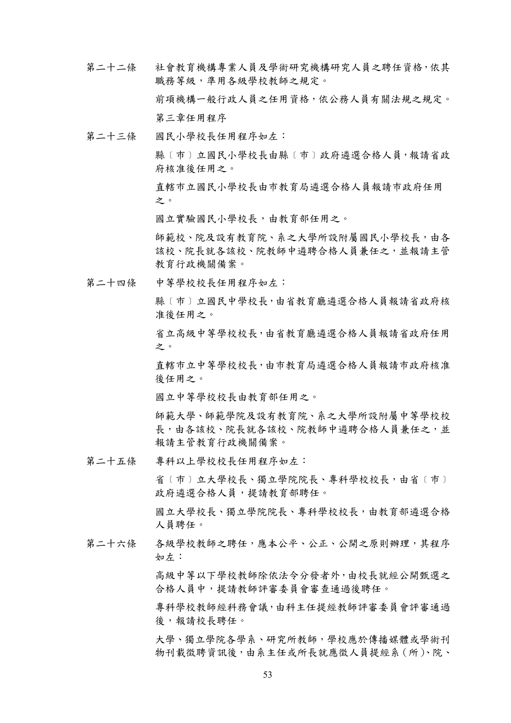- 第二十二條 社會教育機構專業人員及學術研究機構研究人員之聘任資格,依其 職務等級,準用各級學校教師之規定。 前項機構一般行政人員之任用資格,依公務人員有關法規之規定。 第三章任用程序
- 第二十三條 國民小學校長任用程序如左:

縣〔市〕立國民小學校長由縣〔市〕政府遴選合格人員,報請省政 府核准後任用之。

有轄市立國民小學校長由市教育局遴選合格人員報請市政府任用 之。

國立實驗國民小學校長,由教育部任用之。

師範校、院及設有教育院、系之大學所設附屬國民小學校長,由各 該校、院長就各該校、院教師中遴聘合格人員兼任之,並報請主管 教育行政機關備案。

第二十四條 中等學校校長任用程序如左:

縣﹝巿﹞立國民中學校長,由省教育廳遴選合格人員報請省政府核 准後任用之。

省立高級中等學校校長,由省教育廳遴選合格人員報請省政府任用 之。

直轄巿立中等學校校長,由巿教育局遴選合格人員報請巿政府核准 後任用之。

國立中等學校校長由教育部任用之。

師範大學、師範學院及設有教育院、系之大學所設附屬中等學校校 長,由各該校、院務師中遴聘合格人員兼任之,並 報請主管教育行政機關備案。

第二十五條 專科以上學校校長任用程序如左:

省〔市〕立大學校長、獨立學院院長、專科學校校長,由省〔市〕 政府遴選合格人員,提請教育部聘任。

國立大學校長、獨立學院院長、專科學校校長,由教育部遴選合格 人員聘任。

第二十六條 各級學校教師之聘任,應本公平、公正、公開之原則辦理,其程序 如左:

> 高級中等以下學校教師除依法令分發者外,由校長就經公開甄選之 合格人員中,提請教師評審委員會審查通過後聘任。

> 專科學校教師經科務會議,由科主任提經教師評審委員會評審通過 後,報請校長聘任。

> 大學、獨立學院各學系、研究所教師,學校應於傳播媒體或學術刊 物刊載徵聘資訊後,由系主任或所長就應徵人員提經系(所)、院、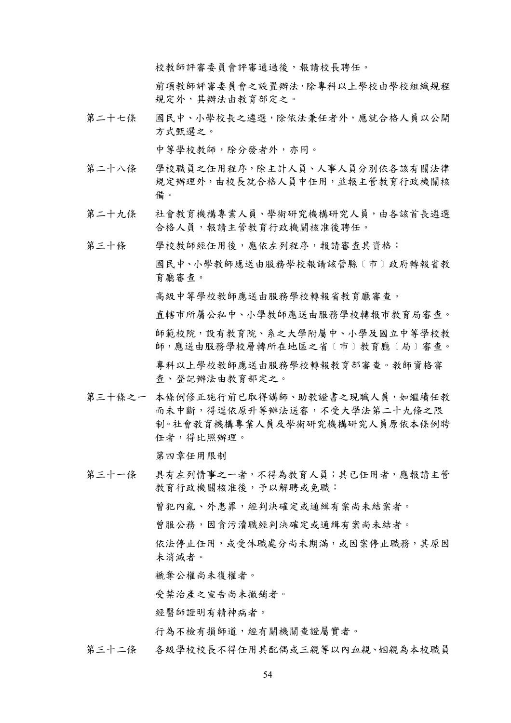校教師評審委員會評審通過後,報請校長聘任。

前項教師評審委員會之設置辦法,除專科以上學校由學校組織規程 規定外,其辦法由教育部定之。

第二十七條 國民中、小學校長之遴選,除依法兼任者外,應就合格人員以公開 方式甄選之。

中等學校教師,除分發者外,亦同。

- 第二十八條 學校職員之任用程序,除主計人員、人事人員分別依各該有關法律 規定辦理外,由校長就合格人員中任用,並報主管教育行政機關核 備。
- 第二十九條 社會教育機構專業人員、學術研究機構研究人員,由各該首長遴選 合格人員,報請主管教育行政機關核准後聘任。
- 第三十條 學校教師經任用後,應依左列程序,報請審查其資格: 國民中、小學教師應送由服務學校報請該管縣﹝巿﹞政府轉報省教 育廳審查。 高級中等學校教師應送由服務學校轉報省教育廳審查。 直轄巿所屬公私中、小學教師應送由服務學校轉報巿教育局審查。 師範校院,設有教育院、系之大學附屬中、小學及國立中等學校教 師,應送由服務學校層轉所在地區之省﹝巿﹞教育廳﹝局﹞審查。 專科以上學校教師應送由服務學校轉報教育部審查。教師資格審 查、登記辦法由教育部定之。
- 第三十條之一 本條例修正施行前已取得講師、助教證書之現職人員,如繼續任教 而未中斷,得逕依原升等辦法送審,不受大學法第二十九條之限 制。社會教育機構專業人員及學術研究機構研究人員原依本條例聘 任者,得比照辦理。

第四章任用限制

第三十一條 具有左列情事之一者,不得為教育人員;其已任用者,應報請主管 教育行政機關核准後,予以解聘或免職: 曾犯內亂、外患罪,經判決確定或通緝有案尚未結案者。 曾服公務,因貪污瀆職經判決確定或通緝有案尚未結者。 依法停止任用,或受休職處分尚未期滿,或因案停止職務,其原因 未消滅者。 褫奪公權尚未復權者。 受禁治產之宣告尚未撤銷者。 經醫師證明有精神病者。

行為不檢有損師道,經有關機關查證屬實者。

第三十二條 各級學校校長不得任用其配偶或三親等以內血親、姻親為本校職員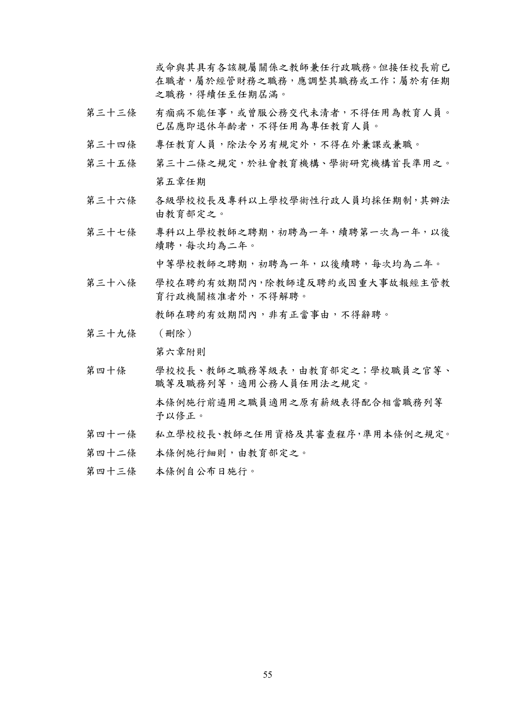或命與其具有各該親屬關係之教師兼任行政職務。但接任校長前已 在職者,屬於經管財務之職務,應調整其職務或工作;屬於有任期 之職務,得續任至任期屆滿。

- 第三十三條 有痼病不能任事,或曾服公務交代未清者,不得任用為教育人員。 已屆應即退休年齡者,不得任用為專任教育人員。
- 第三十四條 專任教育人員,除法令另有規定外,不得在外兼課或兼職。
- 第三十五條 第三十二條之規定,於社會教育機構、學術研究機構首長準用之。 第五章任期
- 第三十六條 各級學校校長及專科以上學校學術性行政人員均採任期制,其辦法 由教育部定之。
- 第三十七條 專科以上學校教師之聘期,初聘為一年,續聘第一次為一年,以後 續聘,每次均為二年。

中等學校教師之聘期,初聘為一年,以後續聘,每次均為二年。

第三十八條 學校在聘約有效期間內,除教師違反聘約或因重大事故報經主管教 育行政機關核准者外,不得解聘。

教師在聘約有效期間內,非有正當事由,不得辭聘。

第三十九條 (刪除)

第六章附則

- 第四十條 學校校長、教師之職務等級表,由教育部定之;學校職員之官等、 職等及職務列等,適用公務人員任用法之規定。 本條例施行前遴用之職員適用之原有薪級表得配合相當職務列等 予以修正。
- 第四十一條 私立學校校長、教師之任用資格及其審查程序,準用本條例之規定。
- 第四十二條 本條例施行細則,由教育部定之。
- 第四十三條 本條例自公布日施行。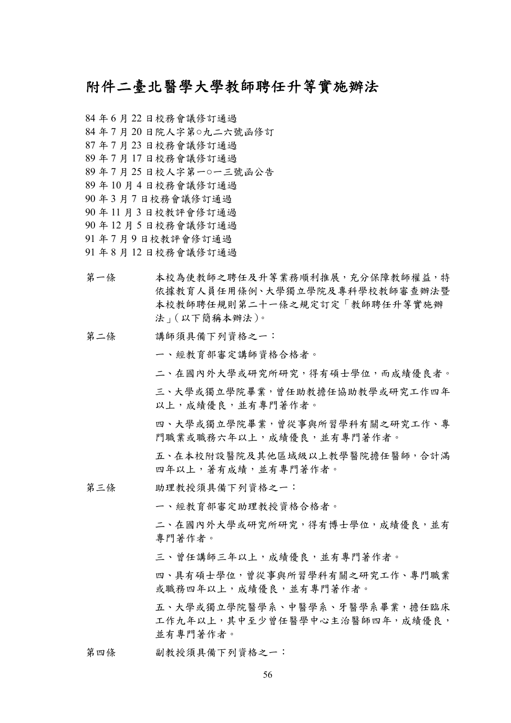### 附件二臺北醫學大學教師聘任升等實施辦法

 年 6 月 22 日校務會議修訂通過 年 7 月 20 日院人字第○九二六號函修訂 年 7 月 23 日校務會議修訂通過 年 7 月 17 日校務會議修訂通過 年 7 月 25 日校人字第一○一三號函公告 年 10 月 4 日校務會議修訂通過 年 3 月 7 日校務會議修訂通過 年 11 月 3 日校教評會修訂通過 年 12 月 5 日校務會議修訂通過 年 7 月 9 日校教評會修訂通過 年 8 月 12 日校務會議修訂通過

- 第一條 本校為使教師之聘任及升等業務順利推展,充分保障教師權益,特 依據教育人員任用條例、大學獨立學院及專科學校教師審查辦法暨 本校教師聘任規則第二十一條之規定訂定「教師聘任升等實施辦 法」(以下簡稱本辦法)。
- 第二條 講師須具備下列資格之一:

一、經教育部審定講師資格合格者。

二、在國內外大學或研究所研究,得有碩士學位,而成績優良者。

三、大學或獨立學院畢業,曾任助教擔任協助教學或研究工作四年 以上,成績優良,並有專門著作者。

四、大學或獨立學院畢業,曾從事與所習學科有關之研究工作、專 門職業或職務六年以上,成績優良,並有專門著作者。

五、在本校附設醫院及其他區域級以上教學醫院擔任醫師,合計滿 四年以上,著有成績,並有專門著作者。

第三條 助理教授須具備下列資格之一:

一、經教育部審定助理教授資格合格者。

二、在國內外大學或研究所研究,得有博士學位,成績優良,並有 專門著作者。

三、曾任講師三年以上,成績優良,並有專門著作者。

四、具有碩士學位,曾從事與所習學科有關之研究工作、專門職業 或職務四年以上,成績優良,並有專門著作者。

五、大學或獨立學院醫學系、中醫學系、牙醫學系畢業,擔任臨床 工作九年以上,其中至少曾任醫學中心主治醫師四年,成績優良, 並有專門著作者。

#### 第四條 副教授須具備下列資格之一: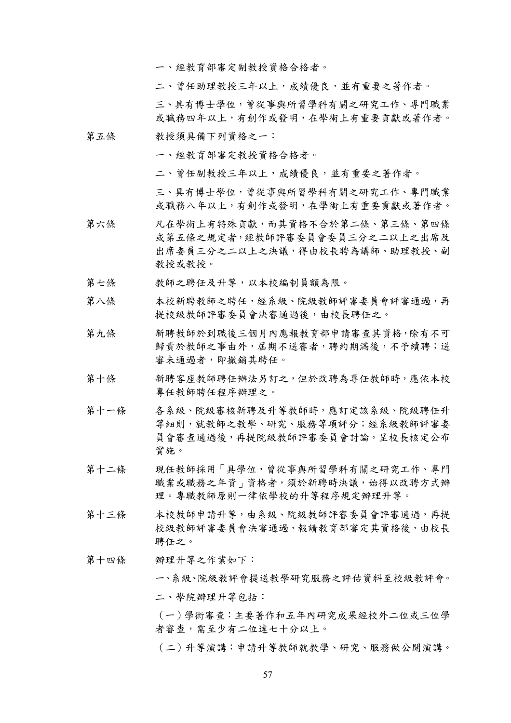一、經教育部審定副教授資格合格者。

二、曾任助理教授三年以上,成績優良,並有重要之著作者。

三、具有博士學位,曾從事與所習學科有關之研究工作、專門職業 或職務四年以上,有創作或發明,在學術上有重要貢獻或著作者。

#### 第五條 教授須具備下列資格之一:

一、經教育部審定教授資格合格者。

二、曾任副教授三年以上,成績優良,並有重要之著作者。

三、具有博士學位,曾從事與所習學科有關之研究工作、專門職業 或職務八年以上,有創作或發明,在學術上有重要貢獻或著作者。

- 第六條 凡在學術上有特殊貢獻,而其資格不合於第二條、第三條、第四條 或第五條之規定者,經教師評審委員會委員三分之二以上之出席及 出席委員三分之二以上之決議,得由校長聘為講師、助理教授、副 教授或教授。
- 第七條 教師之聘任及升等,以本校編制員額為限。
- 第八條 本校新聘教師之聘任,經系級、院級教師評審委員會評審通過,再 提校級教師評審委員會決審通過後,由校長聘任之。
- 第九條 新聘教師於到職後三個月內應報教育部申請審查其資格,除有不可 歸責於教師之事由外,屆期不送審者,聘約期滿後,不予續聘;送 審未通過者,即撤銷其聘任。
- 第十條 新聘客座教師聘任辦法另訂之,但於改聘為專任教師時,應依本校 專任教師聘任程序辦理之。
- 第十一條 各系級、院級審核新聘及升等教師時,應訂定該系級、院級聘任升 等細則,就教師之教學、研究、服務等項評分;經系級教師評審委 員會審查通過後,再提院級教師評審委員會討論。呈校長核定公布 實施。
- 第十二條 現任教師採用「具學位,曾從事與所習學科有關之研究工作、專門 職業或職務之年資」資格者,須於新聘時決議,始得以改聘方式辦 理。專職教師原則一律依學校的升等程序規定辦理升等。
- 第十三條 本校教師申請升等,由系級、院級教師評審委員會評審通過,再提 校級教師評審委員會決審通過,報請教育部審定其資格後,由校長 聘任之。

#### 第十四條 辦理升等之作業如下:

一、系級、院級教評會提送教學研究服務之評估資料至校級教評會。 二、學院辦理升等包括:

(一)學術審查:主要著作和五年內研究成果經校外二位或三位學 者審查,需至少有二位達七十分以上。

(二)升等演講:申請升等教師就教學、研究、服務做公開演講。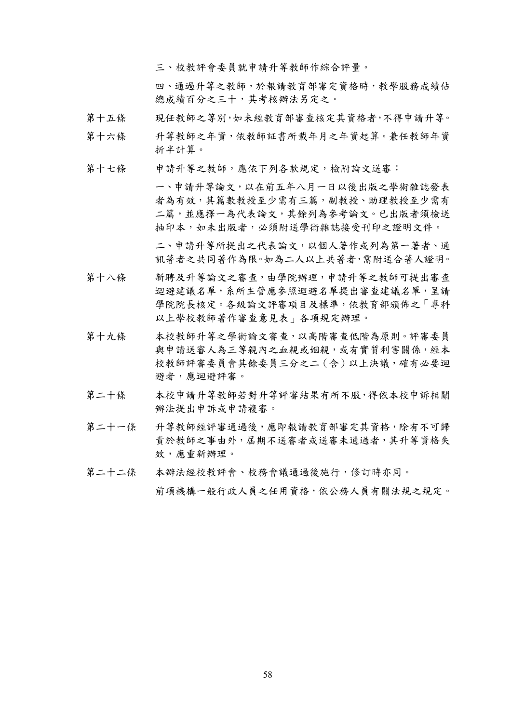三、校教評會委員就申請升等教師作綜合評量。

四、通過升等之教師,於報請教育部審定資格時,教學服務成績佔 總成績百分之三十,其考核辦法另定之。

- 第十五條 現任教師之等別,如未經教育部審查核定其資格者,不得申請升等。
- 第十六條 升等教師之年資,依教師証書所載年月之年資起算。兼任教師年資 折半計算。
- 第十七條 申請升等之教師,應依下列各款規定,檢附論文送審:

一、申請升等論文,以在前五年八月一日以後出版之學術雜誌發表 者為有效,其篇數教授至少需有三篇,副教授、助理教授至少需有 二篇,並應擇一為代表論文,其餘列為參考論文。已出版者須檢送 抽印本,如未出版者,必須附送學術雜誌接受刊印之證明文件。

二、申請升等所提出之代表論文,以個人著作或列為第一著者、通 訊著者之共同著作為限。如為二人以上共著者,需附送合著人證明。

- 第十八條 新聘及升等論文之審查,由學院辦理,申請升等之教師可提出審查 迴避建議名單,系所主管應參照迴避名單提出審查建議名單,呈請 學院院長核定。各級論文評審項目及標準,依教育部頒佈之「專科 以上學校教師著作審查意見表」各項規定辦理。
- 第十九條 本校教師升等之學術論文審查,以高階審查低階為原則。評審委員 與申請送審人為三等親內之血親或姻親,或有實質利害關係,經本 校教師評審委員會其餘委員三分之二(含)以上決議,確有必要迴 避者,應迴避評審。
- 第二十條 本校申請升等教師若對升等評審結果有所不服,得依本校申訴相關 辦法提出申訴或申請複審。
- 第二十一條 升等教師經評審通過後,應即報請教育部審定其資格,除有不可歸 責於教師之事由外,屆期不送審者或送審未通過者,其升等資格失 效,應重新辦理。
- 第二十二條 本辦法經校教評會、校務會議通過後施行,修訂時亦同。

前項機構一般行政人員之任用資格,依公務人員有關法規之規定。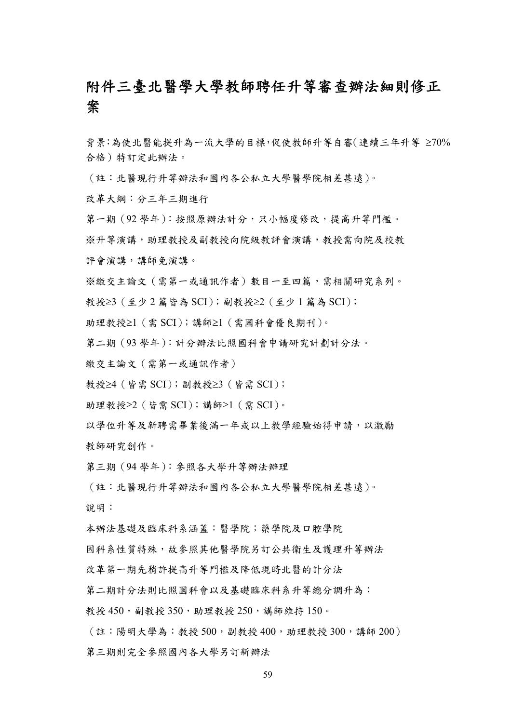## 附件三臺北醫學大學教師聘任升等審查辦法細則修正 案

背景:為使北醫能提升為一流大學的目標,促使教師升等自審(連續三年升等 ≥70% 合格)特訂定此辦法。

(註:北醫現行升等辦法和國內各公私立大學醫學院相差甚遠)。

改革大綱:分三年三期進行

第一期 (92 學年): 按照原辦法計分,只小幅度修改,提高升等門檻。

※升等演講,助理教授及副教授向院級教評會演講,教授需向院及校教

評會演講,講師免演講。

※繳交主論文(需第一或通訊作者)數目一至四篇,需相關研究系列。

教授≥3(至少 2 篇皆為 SCI);副教授≥2(至少 1 篇為 SCI);

助理教授≥1(需 SCI);講師≥1(需國科會優良期刊)。

第二期(93 學年):計分辦法比照國科會申請研究計劃計分法。

繳交主論文(需第一或通訊作者)

教授≥4(皆需 SCI);副教授≥3(皆需 SCI);

助理教授≥2(皆需 SCI);講師≥1(需 SCI)。

以學位升等及新聘需畢業後滿一年或以上教學經驗始得申請,以激勵 教師研究創作。

第三期(94 學年):參照各大學升等辦法辦理

(註:北醫現行升等辦法和國內各公私立大學醫學院相差甚遠)。 說明:

本辦法基礎及臨床科系涵蓋:醫學院;藥學院及口腔學院

因科系性質特殊,故參照其他醫學院另訂公共衛生及護理升等辦法

改革第一期先稍許提高升等門檻及降低現時北醫的計分法

第二期計分法則比照國科會以及基礎臨床科系升等總分調升為:

教授 450,副教授 350,助理教授 250,講師維持 150。

(註:陽明大學為:教授 500,副教授 400,助理教授 300,講師 200) 第三期則完全參照國內各大學另訂新辦法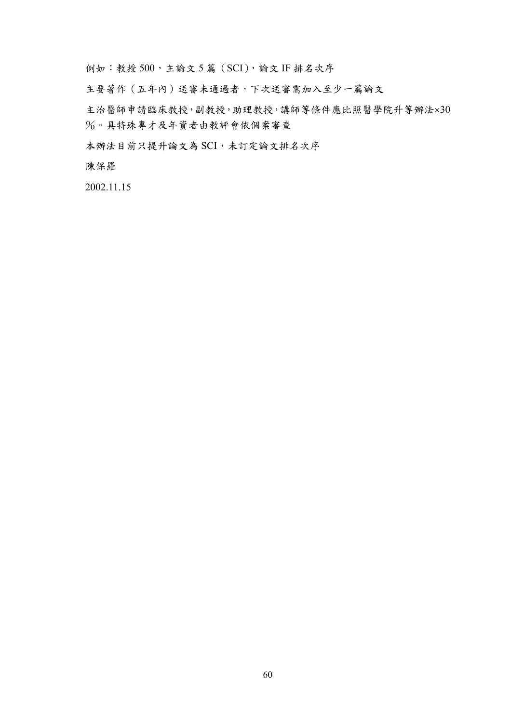例如:教授 500, 主論文 5 篇 (SCI), 論文 IF 排名次序

主要著作(五年內)送審未通過者,下次送審需加入至少一篇論文

主治醫師申請臨床教授,副教授,助理教授,講師等條件應比照醫學院升等辦法×30 %。具特殊專才及年資者由教評會依個案審查

本辦法目前只提升論文為 SCI,未訂定論文排名次序

陳保羅

2002.11.15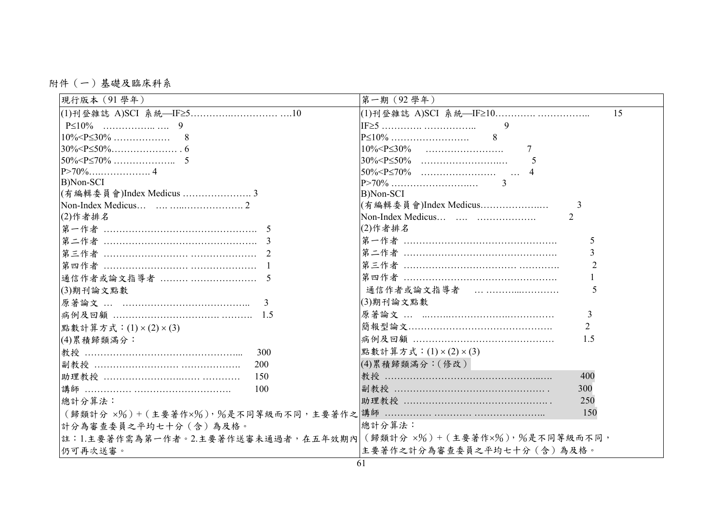附件(一)基礎及臨床科系

| 現行版本 (91學年)                                                         | 第一期 (92學年)                    |  |
|---------------------------------------------------------------------|-------------------------------|--|
|                                                                     | 15                            |  |
|                                                                     | $\overline{Q}$                |  |
|                                                                     |                               |  |
|                                                                     |                               |  |
|                                                                     |                               |  |
|                                                                     |                               |  |
| B)Non-SCI                                                           | $\mathcal{R}$                 |  |
| (有編輯委員會)Index Medicus  3                                            | B)Non-SCI                     |  |
|                                                                     | (有編輯委員會)Index Medicus         |  |
| (2)作者排名                                                             |                               |  |
|                                                                     | (2)作者排名                       |  |
|                                                                     | 5                             |  |
|                                                                     | 3                             |  |
|                                                                     | $\mathcal{D}$                 |  |
| 通信作者或論文指導者   5                                                      |                               |  |
| (3)期刊論文點數                                                           | 通信作者或論文指導者<br>5               |  |
|                                                                     | (3)期刊論文點數                     |  |
|                                                                     | $\mathcal{E}$                 |  |
| 點數計算方式: (1) × (2) × (3)                                             | $\overline{2}$                |  |
| (4)累積歸類滿分:                                                          | 1.5                           |  |
| 300<br>教授 ………………………………………………                                        | 點數計算方式: (1) × (2) × (3)       |  |
| 200                                                                 | (4)累積歸類滿分:(修改)。               |  |
| 150                                                                 | 400                           |  |
| 100                                                                 | 副教授 ………………………………………………<br>300 |  |
| 總計分算法:                                                              | 250                           |  |
|                                                                     | 150                           |  |
| 計分為審查委員之平均七十分(含)為及格。                                                | 總計分算法:                        |  |
| 註:1.主要著作需為第一作者。2.主要著作送審未通過者,在五年效期內 (歸類計分 x%) + (主要著作x%), %是不同等級而不同, |                               |  |
| 仍可再次送審。                                                             | 主要著作之計分為審查委員之平均七十分(含)為及格。     |  |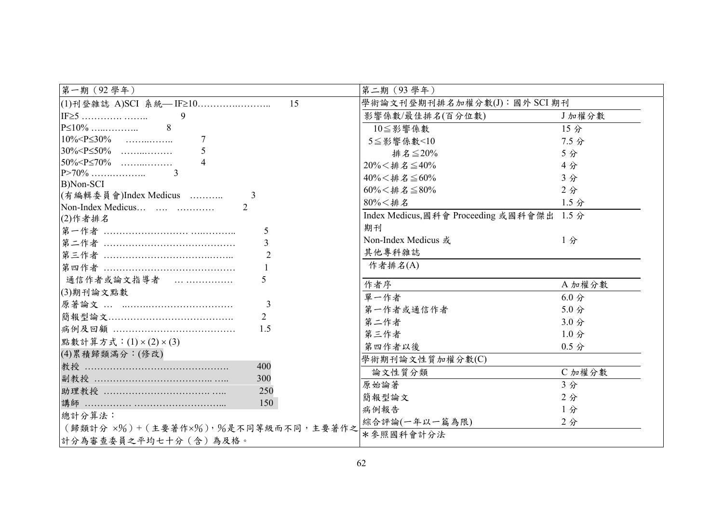| 第一期 (92學年)                             | 第二期 (93學年)                                 |                  |
|----------------------------------------|--------------------------------------------|------------------|
| 15<br> (1)刊登雜誌 A)SCI 系統— IF≥10         | 學術論文刊登期刊排名加權分數(J):國外 SCI 期刊                |                  |
| 9                                      | 影響係數/最佳排名(百分位數)                            | J加權分數            |
| $P\leq 10\%$<br>-8                     | $10 \leq$ 影響係數                             | 15 <sub>分</sub>  |
| $10\% < P \leq 30\%$                   | $5 \leq$ 影響係數<10                           | $7.5$ 分          |
| $30\% < P \le 50\%$                    | 排名 $\leq 20\%$                             | 5分               |
| $50\% < P \le 70\%$                    | $20\% < $ 排名 $\leq 40\%$                   | 4分               |
|                                        | $40\% < $ 排名 $\leq 60\%$                   | 3分               |
| B)Non-SCI                              | $60\% < $ 排名 $\leq$ 80%                    | 2分               |
| (有編輯委員會)Index Medicus<br>$\mathcal{L}$ | $80\% < #\,\mathrm{\AA}$                   | 1.5 <sub>分</sub> |
| $\text{Non-Index Medicus}$<br>(2)作者排名  | Index Medicus, 國科會 Proceeding 或國科會傑出 1.5 分 |                  |
| $\overline{5}$                         | 期刊                                         |                  |
|                                        | Non-Index Medicus 或                        | 1分               |
| $\overline{2}$                         | 其他專科雜誌                                     |                  |
|                                        | 作者排名(A)                                    |                  |
| 通信作者或論文指導者<br>$\varsigma$              |                                            |                  |
| (3)期刊論文點數                              | 作者序                                        | A 加權分數           |
| $\overline{\mathcal{E}}$               | 單一作者                                       | $6.0$ 分          |
| 2                                      | 第一作者或通信作者                                  | 5.0 <sub>分</sub> |
| 1.5                                    | 第二作者                                       | 3.0 <sub>分</sub> |
|                                        | 第三作者                                       | $1.0$ 分          |
| 點數計算方式: $(1) \times (2) \times (3)$    | 第四作者以後                                     | $0.5$ 分          |
| (4)累積歸類滿分:(修改)                         | 學術期刊論文性質加權分數(C)                            |                  |
| 教授 …………………………………………<br>400             | 論文性質分類                                     | C 加權分數           |
| 副教授 ………………………………………<br>300             | 原始論著                                       | 3分               |
| 助理教授 ……………………………………<br>250             | 簡報型論文                                      | 2分               |
| 150                                    | 病例報告                                       | 1分               |
| 總計分算法:                                 | 綜合評論(一年以一篇為限)                              | 2 <sub>分</sub>   |
| (歸類計分 x%)+(主要著作x%),%是不同等級而不同,主要著作之     | * 參照國科會計分法                                 |                  |
| 計分為審查委員之平均七十分(含)為及格。                   |                                            |                  |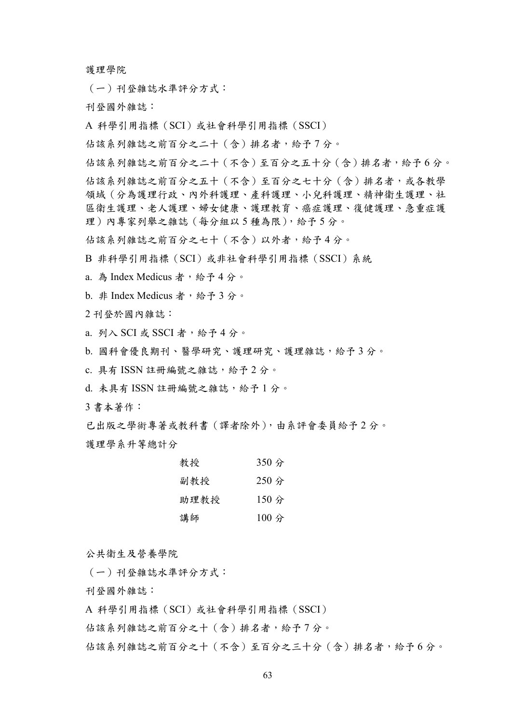護理學院

(一)刊登雜誌水準評分方式:

刊登國外雜誌:

A 科學引用指標(SCI)或社會科學引用指標(SSCI)

佔該系列雜誌之前百分之二十(含)排名者,給予 7 分。

佔該系列雜誌之前百分之二十(不含)至百分之五十分(含)排名者,給予 6 分。 佔該系列雜誌之前百分之五十(不含)至百分之七十分(含)排名者,或各教學 領域(分為護理行政、內外科護理、產科護理、小兒科護理、精神衛生護理、社 區衛生護理、老人護理、婦女健康、護理教育、癌症護理、復健護理、急重症護 理)內專家列舉之雜誌(每分組以 5 種為限),給予 5 分。

佔該系列雜誌之前百分之七十(不含)以外者,給予 4 分。

B 非科學引用指標(SCI)或非社會科學引用指標(SSCI)系統

a. 為 Index Medicus 者,給予 4 分。

b. 非 Index Medicus 者,給予3分。

2 刊登於國內雜誌:

a. 列入 SCI 或 SSCI 者, 給予4分。

b. 國科會優良期刊、醫學研究、護理研究、護理雜誌,給予 3 分。

c. 具有 ISSN 註冊編號之雜誌,給予 2 分。

d. 未具有 ISSN 註冊編號之雜誌,給予 1 分。

3 書本著作:

已出版之學術專著或教科書(譯者除外),由系評會委員給予 2 分。 護理學系升等總計分

| 教授   | 350分                   |
|------|------------------------|
| 副教授  | $250$ 分                |
| 助理教授 | 150分                   |
| 講師   | $100 \nleftrightarrow$ |

公共衛生及營養學院

(一)刊登雜誌水準評分方式:

刊登國外雜誌:

A 科學引用指標(SCI)或社會科學引用指標(SSCI)

佔該系列雜誌之前百分之十(含)排名者,給予 7 分。

佔該系列雜誌之前百分之十(不含)至百分之三十分(含)排名者,給予 6 分。